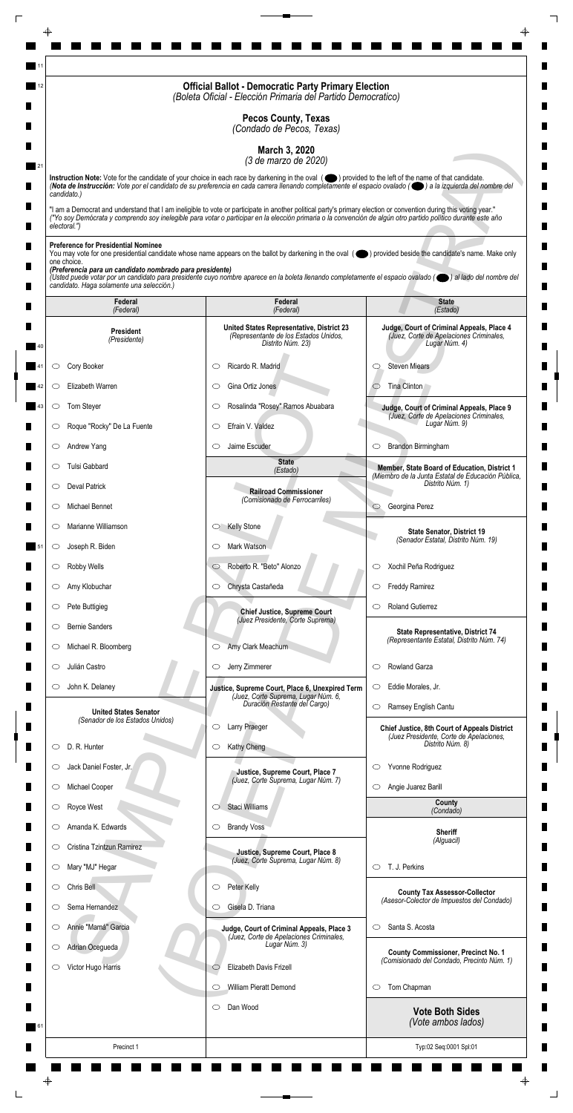|                                                                                                                                                                    | <b>Official Ballot - Democratic Party Primary Election</b><br>(Boleta Oficial - Elección Primaria del Partido Democratico)                                                                                                                                                                                           |                                                                                                       |
|--------------------------------------------------------------------------------------------------------------------------------------------------------------------|----------------------------------------------------------------------------------------------------------------------------------------------------------------------------------------------------------------------------------------------------------------------------------------------------------------------|-------------------------------------------------------------------------------------------------------|
|                                                                                                                                                                    | <b>Pecos County, Texas</b><br>(Condado de Pecos, Texas)                                                                                                                                                                                                                                                              |                                                                                                       |
|                                                                                                                                                                    | March 3, 2020<br>(3 de marzo de 2020)                                                                                                                                                                                                                                                                                |                                                                                                       |
|                                                                                                                                                                    | Instruction Note: Vote for the candidate of your choice in each race by darkening in the oval (O) provided to the left of the name of that candidate.<br>(Nota de Instrucción: Vote por el candidato de su preferencia en cada carrera llenando completamente el espacio ovalado ((e) a la izquierda del nombre del  |                                                                                                       |
| candidato.)                                                                                                                                                        | "I am a Democrat and understand that I am ineligible to vote or participate in another political party's primary election or convention during this voting year."                                                                                                                                                    |                                                                                                       |
| electoral.")                                                                                                                                                       | ("Yo soy Demócrata y comprendo soy inelegible para votar o participar en la elección primaria o la convención de algún otro partido político durante este año                                                                                                                                                        |                                                                                                       |
| <b>Preference for Presidential Nominee</b><br>one choice.<br>(Preferencia para un candidato nombrado para presidente)<br>candidato. Haga solamente una selección.) | You may vote for one presidential candidate whose name appears on the ballot by darkening in the oval (objetived beside the candidate's name. Make only<br>(Usted puede votar por un candidato para presidente cuyo nombre aparece en la boleta llenando completamente el espacio ovalado (el al lado del nombre del |                                                                                                       |
| Federal<br>(Federal)                                                                                                                                               | Federal<br>(Federal)                                                                                                                                                                                                                                                                                                 | <b>State</b><br>(Estado)                                                                              |
| <b>President</b><br>(Presidente)                                                                                                                                   | United States Representative, District 23<br>(Representante de los Estados Unidos,<br>Distrito Núm. 23)                                                                                                                                                                                                              | Judge, Court of Criminal Appeals, Place 4<br>(Juez, Corte de Apelaciones Criminales,<br>Lugar Núm. 4) |
| Cory Booker<br>O                                                                                                                                                   | Ricardo R. Madrid<br>C                                                                                                                                                                                                                                                                                               | <b>Steven Miears</b><br>O                                                                             |
| Elizabeth Warren<br>O                                                                                                                                              | Gina Ortiz Jones<br>O                                                                                                                                                                                                                                                                                                | Tina Clinton                                                                                          |
| Tom Steyer                                                                                                                                                         | Rosalinda "Rosey" Ramos Abuabara                                                                                                                                                                                                                                                                                     | Judge, Court of Criminal Appeals, Place 9<br>(Juez, Corte de Apelaciones Criminales,                  |
| Roque "Rocky" De La Fuente<br>O                                                                                                                                    | Efrain V. Valdez<br>$\circlearrowright$                                                                                                                                                                                                                                                                              | Lugar Núm. 9)                                                                                         |
| Andrew Yang<br>$\circ$                                                                                                                                             | Jaime Escuder<br>$\circlearrowright$                                                                                                                                                                                                                                                                                 | Brandon Birmingham<br>$\circ$                                                                         |
| Tulsi Gabbard<br>O                                                                                                                                                 | <b>State</b><br>(Estado)                                                                                                                                                                                                                                                                                             | Member, State Board of Education, District 1<br>(Miembro de la Junta Estatal de Educación Pública,    |
| Deval Patrick<br>$\circ$                                                                                                                                           | <b>Railroad Commissioner</b><br>(Comisionado de Ferrocarriles)                                                                                                                                                                                                                                                       | Distrito Núm. 1)                                                                                      |
| Michael Bennet<br>O                                                                                                                                                |                                                                                                                                                                                                                                                                                                                      | Georgina Perez<br>$\circ$                                                                             |
| Marianne Williamson<br>$\circ$                                                                                                                                     | <b>Kelly Stone</b><br>$\circ$                                                                                                                                                                                                                                                                                        | <b>State Senator, District 19</b><br>(Senador Estatal, Distrito Núm. 19)                              |
| Joseph R. Biden<br>$\circ$                                                                                                                                         | Mark Watson<br>O                                                                                                                                                                                                                                                                                                     |                                                                                                       |
| Robby Wells<br>$\circ$                                                                                                                                             | Roberto R. "Beto" Alonzo<br>$\circ$                                                                                                                                                                                                                                                                                  | Xochil Peña Rodriguez<br>$\circ$                                                                      |
| Amy Klobuchar<br>O                                                                                                                                                 | Chrysta Castañeda<br>$\circ$                                                                                                                                                                                                                                                                                         | <b>Freddy Ramirez</b><br>$\circ$                                                                      |
| Pete Buttigieg<br>$\circ$                                                                                                                                          | <b>Chief Justice, Supreme Court</b><br>(Juez Presidente, Corte Suprema)                                                                                                                                                                                                                                              | <b>Roland Gutierrez</b><br>O                                                                          |
| <b>Bernie Sanders</b><br>O<br>Michael R. Bloomberg                                                                                                                 | Amy Clark Meachum<br>$\circ$                                                                                                                                                                                                                                                                                         | State Representative, District 74<br>(Representante Estatal, Distrito Núm. 74)                        |
| $\cup$<br>Julián Castro<br>O                                                                                                                                       | Jerry Zimmerer<br>$\circ$                                                                                                                                                                                                                                                                                            | Rowland Garza<br>$\circlearrowright$                                                                  |
| John K. Delaney<br>$\circ$                                                                                                                                         | Justice, Supreme Court, Place 6, Unexpired Term                                                                                                                                                                                                                                                                      | Eddie Morales, Jr.<br>$\circ$                                                                         |
|                                                                                                                                                                    | (Juez, Corte Suprema, Lugar Núm. 6,<br>Duración Restante del Cargo)                                                                                                                                                                                                                                                  | Ramsey English Cantu<br>$\circlearrowright$                                                           |
| <b>United States Senator</b><br>(Senador de los Estados Unidos)                                                                                                    | Larry Praeger<br>O                                                                                                                                                                                                                                                                                                   | <b>Chief Justice, 8th Court of Appeals District</b>                                                   |
| D. R. Hunter<br>O                                                                                                                                                  | Kathy Cheng<br>$\circ$                                                                                                                                                                                                                                                                                               | (Juez Presidente, Corte de Apelaciones,<br>Distrito Núm. 8)                                           |
| Jack Daniel Foster, Jr.<br>O                                                                                                                                       | Justice, Supreme Court, Place 7                                                                                                                                                                                                                                                                                      | Yvonne Rodriguez<br>$\circ$                                                                           |
| Michael Cooper<br>$\circ$                                                                                                                                          | (Juez, Corte Suprema, Lugar Núm. 7)                                                                                                                                                                                                                                                                                  | Angie Juarez Barill<br>$\circ$                                                                        |
| Royce West                                                                                                                                                         | Staci Williams                                                                                                                                                                                                                                                                                                       | County<br>(Condado)                                                                                   |
| Amanda K. Edwards<br>O                                                                                                                                             | <b>Brandy Voss</b><br>$\circ$                                                                                                                                                                                                                                                                                        | <b>Sheriff</b>                                                                                        |
| Cristina Tzintzun Ramirez<br>$\circ$                                                                                                                               | Justice, Supreme Court, Place 8                                                                                                                                                                                                                                                                                      | (Alguacil)                                                                                            |
| Mary "MJ" Hegar<br>$\circ$                                                                                                                                         | (Juez, Corte Suprema, Lugar Núm. 8)                                                                                                                                                                                                                                                                                  | T. J. Perkins<br>$\circ$                                                                              |
| Chris Bell<br>O<br>Sema Hernandez<br>O                                                                                                                             | Peter Kelly<br>$\circ$<br>Gisela D. Triana<br>◯                                                                                                                                                                                                                                                                      | <b>County Tax Assessor-Collector</b><br>(Asesor-Colector de Impuestos del Condado)                    |
| Annie "Mamá" Garcia<br>$\circ$                                                                                                                                     | Judge, Court of Criminal Appeals, Place 3                                                                                                                                                                                                                                                                            | Santa S. Acosta<br>$\circlearrowright$                                                                |
| Adrian Ocegueda<br>$\circ$                                                                                                                                         | (Juez, Corte de Apelaciones Criminales,<br>Lugar Núm. 3)                                                                                                                                                                                                                                                             |                                                                                                       |
| Victor Hugo Harris<br>O                                                                                                                                            | Elizabeth Davis Frizell<br>$\circlearrowright$                                                                                                                                                                                                                                                                       | <b>County Commissioner, Precinct No. 1</b><br>(Comisionado del Condado, Precinto Núm. 1)              |
|                                                                                                                                                                    | William Pieratt Demond<br>$\circlearrowright$                                                                                                                                                                                                                                                                        | Tom Chapman<br>$\circ$                                                                                |
|                                                                                                                                                                    | Dan Wood<br>$\circ$                                                                                                                                                                                                                                                                                                  | <b>Vote Both Sides</b><br>(Vote ambos lados)                                                          |
| Precinct 1                                                                                                                                                         |                                                                                                                                                                                                                                                                                                                      | Typ:02 Seq:0001 Spl:01                                                                                |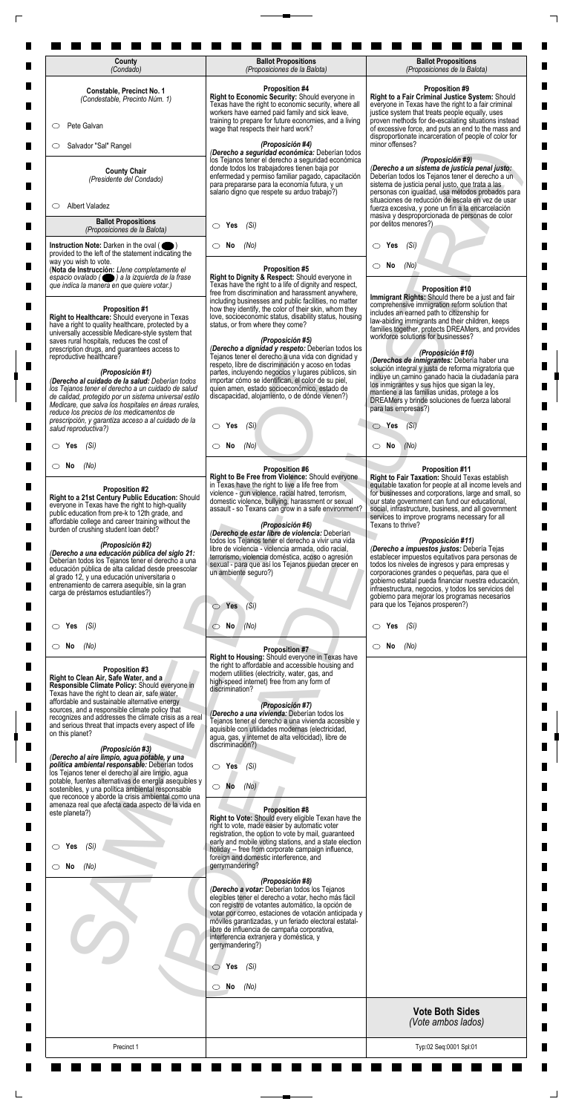| County<br>(Condado)                                                                                                                                                                                                                                                                                                                                                                                                                                                                                                                                                                               | <b>Ballot Propositions</b><br>(Proposiciones de la Balota)                                                                                                                                                                                                                                                                                                                                                                                                                                                                                                                                                                         | <b>Ballot Propositions</b><br>(Proposiciones de la Balota)                                                                                                                                                                                                                                                                                                                                                                                                                                                                                                                                                                                                                                                                                                                         |
|---------------------------------------------------------------------------------------------------------------------------------------------------------------------------------------------------------------------------------------------------------------------------------------------------------------------------------------------------------------------------------------------------------------------------------------------------------------------------------------------------------------------------------------------------------------------------------------------------|------------------------------------------------------------------------------------------------------------------------------------------------------------------------------------------------------------------------------------------------------------------------------------------------------------------------------------------------------------------------------------------------------------------------------------------------------------------------------------------------------------------------------------------------------------------------------------------------------------------------------------|------------------------------------------------------------------------------------------------------------------------------------------------------------------------------------------------------------------------------------------------------------------------------------------------------------------------------------------------------------------------------------------------------------------------------------------------------------------------------------------------------------------------------------------------------------------------------------------------------------------------------------------------------------------------------------------------------------------------------------------------------------------------------------|
| Constable, Precinct No. 1<br>(Condestable, Precinto Núm. 1)                                                                                                                                                                                                                                                                                                                                                                                                                                                                                                                                       | <b>Proposition #4</b><br>Right to Economic Security: Should everyone in<br>Texas have the right to economic security, where all                                                                                                                                                                                                                                                                                                                                                                                                                                                                                                    | <b>Proposition #9</b><br>Right to a Fair Criminal Justice System: Should<br>everyone in Texas have the right to a fair criminal                                                                                                                                                                                                                                                                                                                                                                                                                                                                                                                                                                                                                                                    |
| Pete Galvan<br>$\circ$                                                                                                                                                                                                                                                                                                                                                                                                                                                                                                                                                                            | workers have earned paid family and sick leave,<br>training to prepare for future economies, and a living<br>wage that respects their hard work?                                                                                                                                                                                                                                                                                                                                                                                                                                                                                   | justice system that treats people equally, uses<br>proven methods for de-escalating situations instead<br>of excessive force, and puts an end to the mass and                                                                                                                                                                                                                                                                                                                                                                                                                                                                                                                                                                                                                      |
| Salvador "Sal" Rangel<br>O                                                                                                                                                                                                                                                                                                                                                                                                                                                                                                                                                                        | (Proposición #4)<br>(Derecho a seguridad económica: Deberían todos                                                                                                                                                                                                                                                                                                                                                                                                                                                                                                                                                                 | disproportionate incarceration of people of color for<br>minor offenses?                                                                                                                                                                                                                                                                                                                                                                                                                                                                                                                                                                                                                                                                                                           |
| <b>County Chair</b><br>(Presidente del Condado)                                                                                                                                                                                                                                                                                                                                                                                                                                                                                                                                                   | los Tejanos tener el derecho a seguridad económica<br>donde todos los trabajadores tienen baja por<br>enfermedad y permiso familiar pagado, capacitación<br>para prepararse para la economía futura, y un<br>salario digno que respete su arduo trabajo?)                                                                                                                                                                                                                                                                                                                                                                          | (Proposición #9)<br>(Derecho a un sistema de justicia penal justo:<br>Deberían todos los Tejanos tener el derecho a un<br>sistema de justicia penal justo, que trata a las<br>personas con igualdad, usa métodos probados para<br>situaciones de reducción de escala en vez de usar                                                                                                                                                                                                                                                                                                                                                                                                                                                                                                |
| <b>Albert Valadez</b><br>O<br><b>Ballot Propositions</b>                                                                                                                                                                                                                                                                                                                                                                                                                                                                                                                                          |                                                                                                                                                                                                                                                                                                                                                                                                                                                                                                                                                                                                                                    | fuerza excesiva, y pone un fin a la encarcelación<br>masiva y desproporcionada de personas de color<br>por delitos menores?)                                                                                                                                                                                                                                                                                                                                                                                                                                                                                                                                                                                                                                                       |
| (Proposiciones de la Balota)<br>Instruction Note: Darken in the oval (                                                                                                                                                                                                                                                                                                                                                                                                                                                                                                                            | Yes<br>(Si)<br>$\circ$<br>(No)<br>No<br>O                                                                                                                                                                                                                                                                                                                                                                                                                                                                                                                                                                                          | Yes<br>(Si)<br>$\circ$                                                                                                                                                                                                                                                                                                                                                                                                                                                                                                                                                                                                                                                                                                                                                             |
| provided to the left of the statement indicating the<br>way you wish to vote.<br>(Nota de Instrucción: Llene completamente el<br>espacio ovalado ( ) a la izquierda de la frase                                                                                                                                                                                                                                                                                                                                                                                                                   | <b>Proposition #5</b><br>Right to Dignity & Respect: Should everyone in                                                                                                                                                                                                                                                                                                                                                                                                                                                                                                                                                            | No<br>(No)                                                                                                                                                                                                                                                                                                                                                                                                                                                                                                                                                                                                                                                                                                                                                                         |
| que indica la manera en que quiere votar.)<br><b>Proposition #1</b><br>Right to Healthcare: Should everyone in Texas<br>have a right to quality healthcare, protected by a<br>universally accessible Medicare-style system that                                                                                                                                                                                                                                                                                                                                                                   | Texas have the right to a life of dignity and respect,<br>free from discrimination and harassment anywhere,<br>including businesses and public facilities, no matter<br>how they identify, the color of their skin, whom they<br>love, socioeconomic status, disability status, housing<br>status, or from where they come?                                                                                                                                                                                                                                                                                                        | Proposition #10<br>Immigrant Rights: Should there be a just and fair<br>comprehensive immigration reform solution that<br>includes an earned path to citizenship for<br>law-abiding immigrants and their children, keeps<br>families together, protects DREAMers, and provides                                                                                                                                                                                                                                                                                                                                                                                                                                                                                                     |
| saves rural hospitals, reduces the cost of<br>prescription drugs, and guarantees access to<br>reproductive healthcare?<br>(Proposición #1)<br>(Derecho al cuidado de la salud: Deberían todos<br>los Tejanos tener el derecho a un cuidado de salud                                                                                                                                                                                                                                                                                                                                               | (Proposición #5)<br>(Derecho a dignidad y respeto: Deberían todos los<br>Tejanos tener el derecho a una vida con dignidad y<br>respeto, libre de discriminación y acoso en todas<br>partes, incluyendo negocios y lugares públicos, sin<br>importar cómo se identifican, el color de su piel,<br>quien amen, estado socioeconómico, estado de                                                                                                                                                                                                                                                                                      | workforce solutions for businesses?<br>(Proposición #10)<br>(Derechos de inmigrantes: Debería haber una<br>solución integral y justa de reforma migratoria que<br>incluye un camino ganado hacia la ciudadanía para<br>los inmigrantes y sus hijos que sigan la ley,                                                                                                                                                                                                                                                                                                                                                                                                                                                                                                               |
| de calidad, protegido por un sistema universal estilo<br>Medicare, que salva los hospitales en áreas rurales,<br>reduce los precios de los medicamentos de<br>prescripción, y garantiza acceso a al cuidado de la                                                                                                                                                                                                                                                                                                                                                                                 | discapacidad, alojamiento, o de dónde vienen?)                                                                                                                                                                                                                                                                                                                                                                                                                                                                                                                                                                                     | mantiene a las familias unidas, protege a los<br>DREAMers y brinde soluciones de fuerza laboral<br>para las empresas?)                                                                                                                                                                                                                                                                                                                                                                                                                                                                                                                                                                                                                                                             |
| salud reproductiva?)<br>$\circ$ Yes<br>(Sí)                                                                                                                                                                                                                                                                                                                                                                                                                                                                                                                                                       | $\bigcirc$ Yes (Si)<br>$\circ$ No<br>(No)                                                                                                                                                                                                                                                                                                                                                                                                                                                                                                                                                                                          | $\bigcirc$ Yes $(Si)$<br>$\circ$ No<br>(No)                                                                                                                                                                                                                                                                                                                                                                                                                                                                                                                                                                                                                                                                                                                                        |
| $\circ$ No<br>(No)                                                                                                                                                                                                                                                                                                                                                                                                                                                                                                                                                                                | <b>Proposition #6</b>                                                                                                                                                                                                                                                                                                                                                                                                                                                                                                                                                                                                              | <b>Proposition #11</b>                                                                                                                                                                                                                                                                                                                                                                                                                                                                                                                                                                                                                                                                                                                                                             |
| Proposition #2<br>Right to a 21st Century Public Education: Should<br>everyone in Texas have the right to high-quality<br>public education from pre-k to 12th grade, and<br>affordable college and career training without the<br>burden of crushing student loan debt?<br>(Proposición #2)<br>(Derecho a una educación pública del siglo 21:<br>Deberían todos los Tejanos tener el derecho a una<br>educación pública de alta calidad desde preescolar<br>al grado 12, y una educación universitaria o<br>entrenamiento de carrera asequible, sin la gran<br>carga de préstamos estudiantiles?) | Right to Be Free from Violence: Should everyone<br>in Texas have the right to live a life free from<br>violence - gun violence, racial hatred, terrorism,<br>domestic violence, bullying, harassment or sexual<br>assault - so Texans can grow in a safe environment?<br>(Proposición #6)<br>(Derecho de estar libre de violencia: Deberían<br>todos los Tejanos tener el derecho a vivir una vida<br>libre de violencia - violencia armada, odio racial,<br>terrorismo, violencia doméstica, acoso o agresión<br>sexual - para que así los Tejanos puedan crecer en<br>un ambiente seguro?)<br>Yes<br>(Si)<br>$\circlearrowright$ | Right to Fair Taxation: Should Texas establish<br>equitable taxation for people at all income levels and<br>for businesses and corporations, large and small, so<br>our state government can fund our educational,<br>social, infrastructure, business, and all government<br>services to improve programs necessary for all<br>Texans to thrive?<br>(Proposición #11)<br>(Derecho a impuestos justos: Debería Tejas<br>establecer impuestos equitativos para personas de<br>todos los niveles de ingresos y para empresas y<br>corporaciones grandes o pequeñas, para que el<br>gobierno estatal pueda financiar nuestra educación,<br>infraestructura, negocios, y todos los servicios del<br>gobierno para mejorar los programas necesarios<br>para que los Tejanos prosperen?) |
| (Sí)<br>$\circ$ Yes                                                                                                                                                                                                                                                                                                                                                                                                                                                                                                                                                                               | $\circ$ No<br>(No)                                                                                                                                                                                                                                                                                                                                                                                                                                                                                                                                                                                                                 | Yes<br>(Sí)                                                                                                                                                                                                                                                                                                                                                                                                                                                                                                                                                                                                                                                                                                                                                                        |
| $\circ$ No<br>(No)<br>Proposition #3<br>Right to Clean Air, Safe Water, and a<br>Responsible Climate Policy: Should everyone in<br>Texas have the right to clean air, safe water,<br>affordable and sustainable alternative energy<br>sources, and a responsible climate policy that<br>recognizes and addresses the climate crisis as a real<br>and serious threat that impacts every aspect of life<br>on this planet?<br>(Proposición #3)<br>(Derecho al aire limpio, agua potable, y una<br>política ambiental responsable: Deberían todos                                                    | <b>Proposition #7</b><br>Right to Housing: Should everyone in Texas have<br>the right to affordable and accessible housing and<br>modern utilities (electricity, water, gas, and<br>high-speed internet) free from any form of<br>discrimination?<br>(Proposición #7)<br>(Derecho a una vivienda: Deberían todos los<br>Tejanos tener el derecho a una vivienda accesible y<br>aquisible con utilidades modernas (electricidad,<br>agua, gas, y internet de alta velocidad), libre de<br>discriminación?)<br>$\circ$ Yes<br>(Si)                                                                                                   | $\circ$ No<br>(No)                                                                                                                                                                                                                                                                                                                                                                                                                                                                                                                                                                                                                                                                                                                                                                 |
| los Tejanos tener el derecho al aire limpio, agua<br>potable, fuentes alternativas de energía asequibles y<br>sostenibles, y una política ambiental responsable<br>que reconoce y aborde la crisis ambiental como una<br>amenaza real que afecta cada aspecto de la vida en<br>este planeta?)                                                                                                                                                                                                                                                                                                     | $\bigcirc$ No<br>(No)<br><b>Proposition #8</b>                                                                                                                                                                                                                                                                                                                                                                                                                                                                                                                                                                                     |                                                                                                                                                                                                                                                                                                                                                                                                                                                                                                                                                                                                                                                                                                                                                                                    |
| (Sí)<br>$\circ$ Yes                                                                                                                                                                                                                                                                                                                                                                                                                                                                                                                                                                               | Right to Vote: Should every eligible Texan have the<br>right to vote, made easier by automatic voter<br>registration, the option to vote by mail, guaranteed<br>early and mobile voting stations, and a state election<br>holiday -- free from corporate campaign influence,<br>foreign and domestic interference, and                                                                                                                                                                                                                                                                                                             |                                                                                                                                                                                                                                                                                                                                                                                                                                                                                                                                                                                                                                                                                                                                                                                    |
| $\circ$ No<br>(No)                                                                                                                                                                                                                                                                                                                                                                                                                                                                                                                                                                                | gerrymandering?<br>(Proposición #8)<br>(Derecho a votar: Deberían todos los Tejanos<br>elegibles tener el derecho a votar, hecho más fácil<br>con registro de votantes automático, la opción de<br>votar por correo, estaciones de votación anticipada y<br>móviles garantizadas, y un feriado electoral estatal-<br>libre de influencia de campaña corporativa,<br>interferencia extranjera y doméstica, y<br>gerrymandering?)                                                                                                                                                                                                    |                                                                                                                                                                                                                                                                                                                                                                                                                                                                                                                                                                                                                                                                                                                                                                                    |
|                                                                                                                                                                                                                                                                                                                                                                                                                                                                                                                                                                                                   |                                                                                                                                                                                                                                                                                                                                                                                                                                                                                                                                                                                                                                    |                                                                                                                                                                                                                                                                                                                                                                                                                                                                                                                                                                                                                                                                                                                                                                                    |

 $\Box$ 

 $\overline{\Gamma}$ 

| Precinct 1                                                           |                                                                                                                                                        | Typ:02 Seq:0001 Spl:01                       |
|----------------------------------------------------------------------|--------------------------------------------------------------------------------------------------------------------------------------------------------|----------------------------------------------|
|                                                                      |                                                                                                                                                        | <b>Vote Both Sides</b><br>(Vote ambos lados) |
|                                                                      | No<br>(No)<br>O                                                                                                                                        |                                              |
|                                                                      | Yes<br>(Si)<br>◯                                                                                                                                       |                                              |
|                                                                      | gerrymandering?)                                                                                                                                       |                                              |
|                                                                      | móviles garantizadas, y un feriado electoral estatal-<br>libre de influencia de campaña corporativa,<br>interferencia extranjera y doméstica, y        |                                              |
|                                                                      | con registro de votantes automático, la opción de<br>votar por correo, estaciones de votación anticipada y                                             |                                              |
|                                                                      | (Proposición #8)<br>(Derecho a votar: Deberían todos los Tejanos<br>elegibles tener el derecho a votar, hecho más fácil                                |                                              |
| No<br>(No)                                                           | gerrymandering?                                                                                                                                        |                                              |
| (Si)<br>Yes                                                          | early and mobile voting stations, and a state election<br>holiday -- free from corporate campaign influence,<br>foreign and domestic interference, and |                                              |
|                                                                      | right to vote, made easier by automatic voter<br>registration, the option to vote by mail, guaranteed                                                  |                                              |
| amenaza real que afecta cada aspecto de la vida en<br>este planeta?) | <b>Proposition #8</b><br>Right to Vote: Should every eligible Texan have the                                                                           |                                              |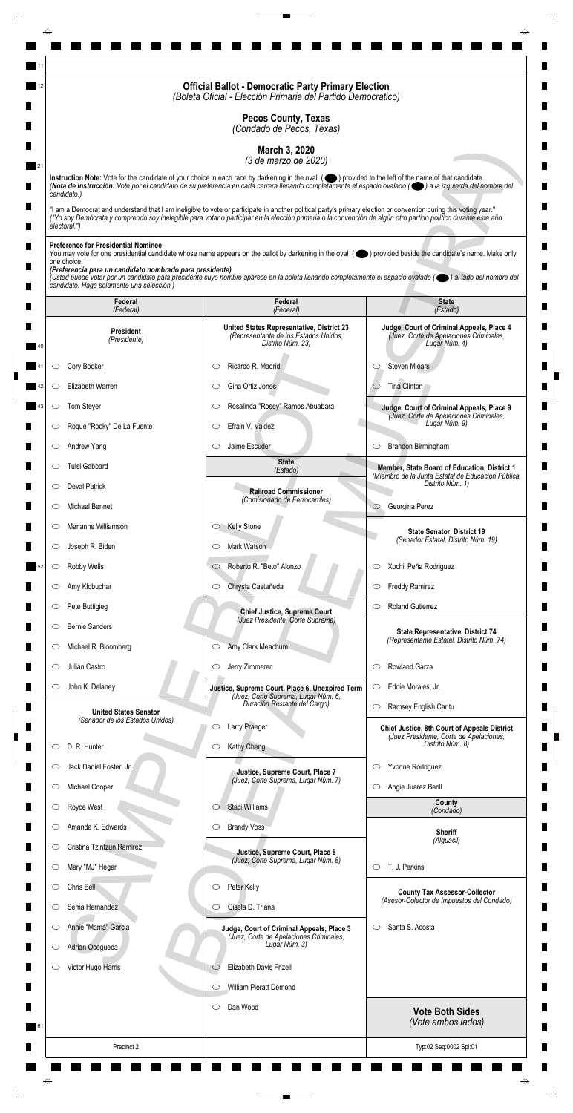|                                                                                                                                                                    | <b>Official Ballot - Democratic Party Primary Election</b><br>(Boleta Oficial - Elección Primaria del Partido Democratico)                                                                                                                                                                                                         |                                                                                                       |
|--------------------------------------------------------------------------------------------------------------------------------------------------------------------|------------------------------------------------------------------------------------------------------------------------------------------------------------------------------------------------------------------------------------------------------------------------------------------------------------------------------------|-------------------------------------------------------------------------------------------------------|
|                                                                                                                                                                    | <b>Pecos County, Texas</b><br>(Condado de Pecos, Texas)                                                                                                                                                                                                                                                                            |                                                                                                       |
|                                                                                                                                                                    | March 3, 2020<br>(3 de marzo de 2020)                                                                                                                                                                                                                                                                                              |                                                                                                       |
|                                                                                                                                                                    | Instruction Note: Vote for the candidate of your choice in each race by darkening in the oval (O) provided to the left of the name of that candidate.<br>(Nota de Instrucción: Vote por el candidato de su preferencia en cada carrera llenando completamente el espacio ovalado ((e) a la izquierda del nombre del                |                                                                                                       |
| candidato.)<br>electoral.")                                                                                                                                        | "I am a Democrat and understand that I am ineligible to vote or participate in another political party's primary election or convention during this voting year."<br>("Yo soy Demócrata y comprendo soy inelegible para votar o participar en la elección primaria o la convención de algún otro partido político durante este año |                                                                                                       |
| <b>Preference for Presidential Nominee</b><br>one choice.<br>(Preferencia para un candidato nombrado para presidente)<br>candidato. Haga solamente una selección.) | You may vote for one presidential candidate whose name appears on the ballot by darkening in the oval (objetived beside the candidate's name. Make only<br>(Usted puede votar por un candidato para presidente cuyo nombre aparece en la boleta llenando completamente el espacio ovalado (el al lado del nombre del               |                                                                                                       |
| Federal<br>(Federal)                                                                                                                                               | Federal<br>(Federal)                                                                                                                                                                                                                                                                                                               | <b>State</b><br>(Estado)                                                                              |
| <b>President</b><br>(Presidente)                                                                                                                                   | United States Representative, District 23<br>(Representante de los Estados Unidos,<br>Distrito Núm. 23)                                                                                                                                                                                                                            | Judge, Court of Criminal Appeals, Place 4<br>(Juez, Corte de Apelaciones Criminales,<br>Lugar Núm. 4) |
| Cory Booker<br>O                                                                                                                                                   | Ricardo R. Madrid<br>C                                                                                                                                                                                                                                                                                                             | <b>Steven Miears</b><br>O                                                                             |
| Elizabeth Warren<br>O                                                                                                                                              | Gina Ortiz Jones<br>O                                                                                                                                                                                                                                                                                                              | Tina Clinton                                                                                          |
| <b>Tom Steyer</b>                                                                                                                                                  | Rosalinda "Rosey" Ramos Abuabara                                                                                                                                                                                                                                                                                                   | Judge, Court of Criminal Appeals, Place 9                                                             |
| Roque "Rocky" De La Fuente<br>O                                                                                                                                    | Efrain V. Valdez<br>$\circlearrowright$                                                                                                                                                                                                                                                                                            | (Juez, Corte de Apelaciones Criminales,<br>Lugar Núm. 9)                                              |
| Andrew Yang<br>$\circ$                                                                                                                                             | Jaime Escuder<br>$\circlearrowright$                                                                                                                                                                                                                                                                                               | Brandon Birmingham<br>$\circ$                                                                         |
| Tulsi Gabbard<br>O                                                                                                                                                 | <b>State</b><br>(Estado)                                                                                                                                                                                                                                                                                                           | Member, State Board of Education, District 1                                                          |
| <b>Deval Patrick</b><br>$\circ$                                                                                                                                    | <b>Railroad Commissioner</b>                                                                                                                                                                                                                                                                                                       | (Miembro de la Junta Estatal de Educación Pública,<br>Distrito Núm. 1)                                |
| Michael Bennet<br>O                                                                                                                                                | (Comisionado de Ferrocarriles)                                                                                                                                                                                                                                                                                                     | Georgina Perez<br>$\circ$                                                                             |
| Marianne Williamson<br>$\circ$                                                                                                                                     | <b>Kelly Stone</b><br>$\circ$                                                                                                                                                                                                                                                                                                      | <b>State Senator, District 19</b>                                                                     |
| Joseph R. Biden<br>$\circ$                                                                                                                                         | Mark Watson<br>O                                                                                                                                                                                                                                                                                                                   | (Senador Estatal, Distrito Núm. 19)                                                                   |
| Robby Wells<br>$\circ$                                                                                                                                             | Roberto R. "Beto" Alonzo<br>$\circ$                                                                                                                                                                                                                                                                                                | Xochil Peña Rodriguez<br>$\circ$                                                                      |
| Amy Klobuchar<br>$\circ$                                                                                                                                           | Chrysta Castañeda<br>$\circ$                                                                                                                                                                                                                                                                                                       | <b>Freddy Ramirez</b><br>$\circ$                                                                      |
| Pete Buttigieg<br>$\circ$                                                                                                                                          | <b>Chief Justice, Supreme Court</b>                                                                                                                                                                                                                                                                                                | <b>Roland Gutierrez</b><br>O                                                                          |
| <b>Bernie Sanders</b><br>O                                                                                                                                         | (Juez Presidente, Corte Suprema)                                                                                                                                                                                                                                                                                                   | State Representative, District 74                                                                     |
| Michael R. Bloomberg<br>$\cup$                                                                                                                                     | Amy Clark Meachum<br>$\circ$                                                                                                                                                                                                                                                                                                       | (Representante Estatal, Distrito Núm. 74)                                                             |
| Julián Castro<br>O                                                                                                                                                 | Jerry Zimmerer<br>$\circ$                                                                                                                                                                                                                                                                                                          | Rowland Garza<br>$\circlearrowright$                                                                  |
| John K. Delaney<br>$\circ$                                                                                                                                         | Justice, Supreme Court, Place 6, Unexpired Term<br>(Juez, Corte Suprema, Lugar Núm. 6,                                                                                                                                                                                                                                             | Eddie Morales, Jr.<br>$\circ$                                                                         |
| <b>United States Senator</b>                                                                                                                                       | Duración Restante del Cargo)                                                                                                                                                                                                                                                                                                       | Ramsey English Cantu<br>$\circlearrowright$                                                           |
| (Senador de los Estados Unidos)                                                                                                                                    | Larry Praeger<br>O                                                                                                                                                                                                                                                                                                                 | <b>Chief Justice, 8th Court of Appeals District</b><br>(Juez Presidente, Corte de Apelaciones,        |
| D. R. Hunter<br>O                                                                                                                                                  | Kathy Cheng<br>$\circ$                                                                                                                                                                                                                                                                                                             | Distrito Núm. 8)                                                                                      |
| Jack Daniel Foster, Jr.<br>O                                                                                                                                       | Justice, Supreme Court, Place 7                                                                                                                                                                                                                                                                                                    | Yvonne Rodriguez<br>$\circ$                                                                           |
| Michael Cooper<br>$\circ$                                                                                                                                          | (Juez, Corte Suprema, Lugar Núm. 7)                                                                                                                                                                                                                                                                                                | Angie Juarez Barill<br>$\circ$                                                                        |
| Royce West                                                                                                                                                         | Staci Williams                                                                                                                                                                                                                                                                                                                     | County<br>(Condado)                                                                                   |
| Amanda K. Edwards<br>O                                                                                                                                             | <b>Brandy Voss</b><br>$\circ$                                                                                                                                                                                                                                                                                                      | <b>Sheriff</b>                                                                                        |
| Cristina Tzintzun Ramirez<br>$\circ$                                                                                                                               | Justice, Supreme Court, Place 8<br>(Juez, Corte Suprema, Lugar Núm. 8)                                                                                                                                                                                                                                                             | (Alguacil)                                                                                            |
| Mary "MJ" Hegar<br>$\circ$                                                                                                                                         |                                                                                                                                                                                                                                                                                                                                    | T. J. Perkins<br>$\circ$                                                                              |
| Chris Bell<br>O                                                                                                                                                    | Peter Kelly<br>$\circ$                                                                                                                                                                                                                                                                                                             | <b>County Tax Assessor-Collector</b><br>(Asesor-Colector de Impuestos del Condado)                    |
| Sema Hernandez<br>O                                                                                                                                                | Gisela D. Triana<br>O                                                                                                                                                                                                                                                                                                              |                                                                                                       |
| Annie "Mamá" Garcia<br>$\circ$                                                                                                                                     | Judge, Court of Criminal Appeals, Place 3<br>(Juez, Corte de Apelaciones Criminales,                                                                                                                                                                                                                                               | Santa S. Acosta<br>$\circ$                                                                            |
| Adrian Ocegueda<br>$\circ$                                                                                                                                         | Lugar Núm. 3)                                                                                                                                                                                                                                                                                                                      |                                                                                                       |
| Victor Hugo Harris<br>O                                                                                                                                            | Elizabeth Davis Frizell<br>$\circlearrowright$                                                                                                                                                                                                                                                                                     |                                                                                                       |
|                                                                                                                                                                    | William Pieratt Demond<br>$\circlearrowright$                                                                                                                                                                                                                                                                                      |                                                                                                       |
|                                                                                                                                                                    | Dan Wood<br>$\circ$                                                                                                                                                                                                                                                                                                                | <b>Vote Both Sides</b><br>(Vote ambos lados)                                                          |
| Precinct 2                                                                                                                                                         |                                                                                                                                                                                                                                                                                                                                    | Typ:02 Seq:0002 Spl:01                                                                                |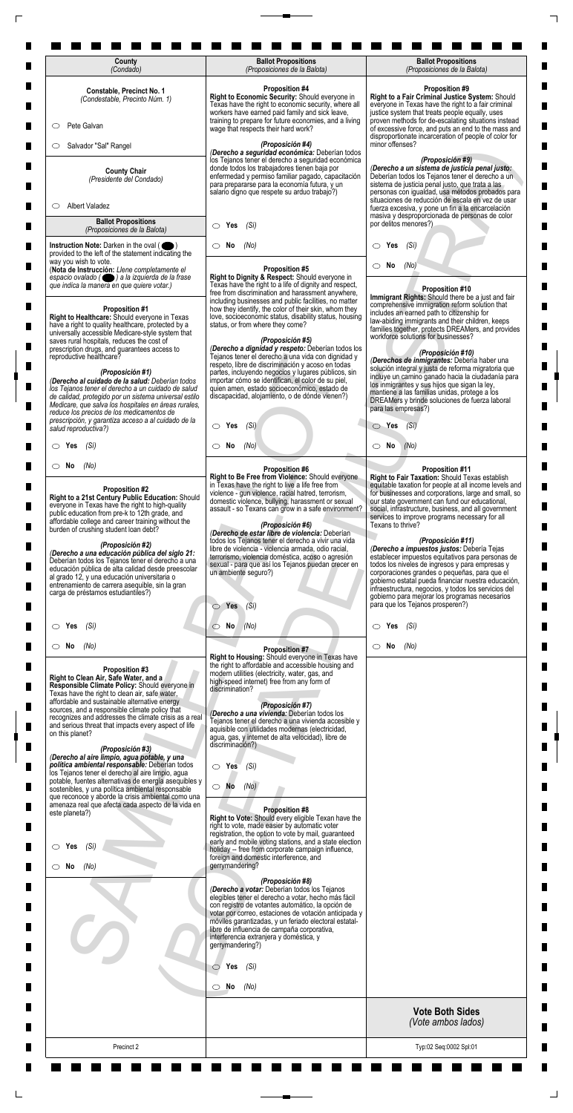| County<br>(Condado)                                                                                                                                                                                                                                                                                                                                                                                                                                                                                                                                                                               | <b>Ballot Propositions</b><br>(Proposiciones de la Balota)                                                                                                                                                                                                                                                                                                                                                                                                                                                                                                                                                                         | <b>Ballot Propositions</b><br>(Proposiciones de la Balota)                                                                                                                                                                                                                                                                                                                                                                                                                                                                                                                                                                                                                                                                                                                         |
|---------------------------------------------------------------------------------------------------------------------------------------------------------------------------------------------------------------------------------------------------------------------------------------------------------------------------------------------------------------------------------------------------------------------------------------------------------------------------------------------------------------------------------------------------------------------------------------------------|------------------------------------------------------------------------------------------------------------------------------------------------------------------------------------------------------------------------------------------------------------------------------------------------------------------------------------------------------------------------------------------------------------------------------------------------------------------------------------------------------------------------------------------------------------------------------------------------------------------------------------|------------------------------------------------------------------------------------------------------------------------------------------------------------------------------------------------------------------------------------------------------------------------------------------------------------------------------------------------------------------------------------------------------------------------------------------------------------------------------------------------------------------------------------------------------------------------------------------------------------------------------------------------------------------------------------------------------------------------------------------------------------------------------------|
| Constable, Precinct No. 1<br>(Condestable, Precinto Núm. 1)                                                                                                                                                                                                                                                                                                                                                                                                                                                                                                                                       | <b>Proposition #4</b><br>Right to Economic Security: Should everyone in<br>Texas have the right to economic security, where all                                                                                                                                                                                                                                                                                                                                                                                                                                                                                                    | <b>Proposition #9</b><br>Right to a Fair Criminal Justice System: Should<br>everyone in Texas have the right to a fair criminal                                                                                                                                                                                                                                                                                                                                                                                                                                                                                                                                                                                                                                                    |
| Pete Galvan<br>$\circ$                                                                                                                                                                                                                                                                                                                                                                                                                                                                                                                                                                            | workers have earned paid family and sick leave,<br>training to prepare for future economies, and a living<br>wage that respects their hard work?                                                                                                                                                                                                                                                                                                                                                                                                                                                                                   | justice system that treats people equally, uses<br>proven methods for de-escalating situations instead<br>of excessive force, and puts an end to the mass and                                                                                                                                                                                                                                                                                                                                                                                                                                                                                                                                                                                                                      |
| Salvador "Sal" Rangel<br>O                                                                                                                                                                                                                                                                                                                                                                                                                                                                                                                                                                        | (Proposición #4)<br>(Derecho a seguridad económica: Deberían todos                                                                                                                                                                                                                                                                                                                                                                                                                                                                                                                                                                 | disproportionate incarceration of people of color for<br>minor offenses?                                                                                                                                                                                                                                                                                                                                                                                                                                                                                                                                                                                                                                                                                                           |
| <b>County Chair</b><br>(Presidente del Condado)                                                                                                                                                                                                                                                                                                                                                                                                                                                                                                                                                   | los Tejanos tener el derecho a seguridad económica<br>donde todos los trabajadores tienen baja por<br>enfermedad y permiso familiar pagado, capacitación<br>para prepararse para la economía futura, y un<br>salario digno que respete su arduo trabajo?)                                                                                                                                                                                                                                                                                                                                                                          | (Proposición #9)<br>(Derecho a un sistema de justicia penal justo:<br>Deberían todos los Tejanos tener el derecho a un<br>sistema de justicia penal justo, que trata a las<br>personas con igualdad, usa métodos probados para<br>situaciones de reducción de escala en vez de usar                                                                                                                                                                                                                                                                                                                                                                                                                                                                                                |
| <b>Albert Valadez</b><br>O<br><b>Ballot Propositions</b>                                                                                                                                                                                                                                                                                                                                                                                                                                                                                                                                          |                                                                                                                                                                                                                                                                                                                                                                                                                                                                                                                                                                                                                                    | fuerza excesiva, y pone un fin a la encarcelación<br>masiva y desproporcionada de personas de color<br>por delitos menores?)                                                                                                                                                                                                                                                                                                                                                                                                                                                                                                                                                                                                                                                       |
| (Proposiciones de la Balota)<br>Instruction Note: Darken in the oval (                                                                                                                                                                                                                                                                                                                                                                                                                                                                                                                            | Yes<br>(Si)<br>$\circ$<br>(No)<br>No<br>O                                                                                                                                                                                                                                                                                                                                                                                                                                                                                                                                                                                          | Yes<br>(Si)<br>$\circ$                                                                                                                                                                                                                                                                                                                                                                                                                                                                                                                                                                                                                                                                                                                                                             |
| provided to the left of the statement indicating the<br>way you wish to vote.<br>(Nota de Instrucción: Llene completamente el<br>espacio ovalado ( ) a la izquierda de la frase                                                                                                                                                                                                                                                                                                                                                                                                                   | <b>Proposition #5</b><br>Right to Dignity & Respect: Should everyone in                                                                                                                                                                                                                                                                                                                                                                                                                                                                                                                                                            | No<br>(No)                                                                                                                                                                                                                                                                                                                                                                                                                                                                                                                                                                                                                                                                                                                                                                         |
| que indica la manera en que quiere votar.)<br><b>Proposition #1</b><br>Right to Healthcare: Should everyone in Texas<br>have a right to quality healthcare, protected by a<br>universally accessible Medicare-style system that                                                                                                                                                                                                                                                                                                                                                                   | Texas have the right to a life of dignity and respect,<br>free from discrimination and harassment anywhere,<br>including businesses and public facilities, no matter<br>how they identify, the color of their skin, whom they<br>love, socioeconomic status, disability status, housing<br>status, or from where they come?                                                                                                                                                                                                                                                                                                        | Proposition #10<br>Immigrant Rights: Should there be a just and fair<br>comprehensive immigration reform solution that<br>includes an earned path to citizenship for<br>law-abiding immigrants and their children, keeps<br>families together, protects DREAMers, and provides                                                                                                                                                                                                                                                                                                                                                                                                                                                                                                     |
| saves rural hospitals, reduces the cost of<br>prescription drugs, and guarantees access to<br>reproductive healthcare?<br>(Proposición #1)<br>(Derecho al cuidado de la salud: Deberían todos<br>los Tejanos tener el derecho a un cuidado de salud                                                                                                                                                                                                                                                                                                                                               | (Proposición #5)<br>(Derecho a dignidad y respeto: Deberían todos los<br>Tejanos tener el derecho a una vida con dignidad y<br>respeto, libre de discriminación y acoso en todas<br>partes, incluyendo negocios y lugares públicos, sin<br>importar cómo se identifican, el color de su piel,<br>quien amen, estado socioeconómico, estado de                                                                                                                                                                                                                                                                                      | workforce solutions for businesses?<br>(Proposición #10)<br>(Derechos de inmigrantes: Debería haber una<br>solución integral y justa de reforma migratoria que<br>incluye un camino ganado hacia la ciudadanía para<br>los inmigrantes y sus hijos que sigan la ley,                                                                                                                                                                                                                                                                                                                                                                                                                                                                                                               |
| de calidad, protegido por un sistema universal estilo<br>Medicare, que salva los hospitales en áreas rurales,<br>reduce los precios de los medicamentos de<br>prescripción, y garantiza acceso a al cuidado de la                                                                                                                                                                                                                                                                                                                                                                                 | discapacidad, alojamiento, o de dónde vienen?)                                                                                                                                                                                                                                                                                                                                                                                                                                                                                                                                                                                     | mantiene a las familias unidas, protege a los<br>DREAMers y brinde soluciones de fuerza laboral<br>para las empresas?)                                                                                                                                                                                                                                                                                                                                                                                                                                                                                                                                                                                                                                                             |
| salud reproductiva?)<br>$\circ$ Yes<br>(Sí)                                                                                                                                                                                                                                                                                                                                                                                                                                                                                                                                                       | $\bigcirc$ Yes (Si)<br>$\circ$ No<br>(No)                                                                                                                                                                                                                                                                                                                                                                                                                                                                                                                                                                                          | $\bigcirc$ Yes $(Si)$<br>$\circ$ No<br>(No)                                                                                                                                                                                                                                                                                                                                                                                                                                                                                                                                                                                                                                                                                                                                        |
| $\circ$ No<br>(No)                                                                                                                                                                                                                                                                                                                                                                                                                                                                                                                                                                                | <b>Proposition #6</b>                                                                                                                                                                                                                                                                                                                                                                                                                                                                                                                                                                                                              | <b>Proposition #11</b>                                                                                                                                                                                                                                                                                                                                                                                                                                                                                                                                                                                                                                                                                                                                                             |
| Proposition #2<br>Right to a 21st Century Public Education: Should<br>everyone in Texas have the right to high-quality<br>public education from pre-k to 12th grade, and<br>affordable college and career training without the<br>burden of crushing student loan debt?<br>(Proposición #2)<br>(Derecho a una educación pública del siglo 21:<br>Deberían todos los Tejanos tener el derecho a una<br>educación pública de alta calidad desde preescolar<br>al grado 12, y una educación universitaria o<br>entrenamiento de carrera asequible, sin la gran<br>carga de préstamos estudiantiles?) | Right to Be Free from Violence: Should everyone<br>in Texas have the right to live a life free from<br>violence - gun violence, racial hatred, terrorism,<br>domestic violence, bullying, harassment or sexual<br>assault - so Texans can grow in a safe environment?<br>(Proposición #6)<br>(Derecho de estar libre de violencia: Deberían<br>todos los Tejanos tener el derecho a vivir una vida<br>libre de violencia - violencia armada, odio racial,<br>terrorismo, violencia doméstica, acoso o agresión<br>sexual - para que así los Tejanos puedan crecer en<br>un ambiente seguro?)<br>Yes<br>(Si)<br>$\circlearrowright$ | Right to Fair Taxation: Should Texas establish<br>equitable taxation for people at all income levels and<br>for businesses and corporations, large and small, so<br>our state government can fund our educational,<br>social, infrastructure, business, and all government<br>services to improve programs necessary for all<br>Texans to thrive?<br>(Proposición #11)<br>(Derecho a impuestos justos: Debería Tejas<br>establecer impuestos equitativos para personas de<br>todos los niveles de ingresos y para empresas y<br>corporaciones grandes o pequeñas, para que el<br>gobierno estatal pueda financiar nuestra educación,<br>infraestructura, negocios, y todos los servicios del<br>gobierno para mejorar los programas necesarios<br>para que los Tejanos prosperen?) |
| (Sí)<br>$\circ$ Yes                                                                                                                                                                                                                                                                                                                                                                                                                                                                                                                                                                               | $\circ$ No<br>(No)                                                                                                                                                                                                                                                                                                                                                                                                                                                                                                                                                                                                                 | Yes<br>(Sí)                                                                                                                                                                                                                                                                                                                                                                                                                                                                                                                                                                                                                                                                                                                                                                        |
| $\circ$ No<br>(No)<br>Proposition #3<br>Right to Clean Air, Safe Water, and a<br>Responsible Climate Policy: Should everyone in<br>Texas have the right to clean air, safe water,<br>affordable and sustainable alternative energy<br>sources, and a responsible climate policy that<br>recognizes and addresses the climate crisis as a real<br>and serious threat that impacts every aspect of life<br>on this planet?<br>(Proposición #3)<br>(Derecho al aire limpio, agua potable, y una<br>política ambiental responsable: Deberían todos                                                    | <b>Proposition #7</b><br>Right to Housing: Should everyone in Texas have<br>the right to affordable and accessible housing and<br>modern utilities (electricity, water, gas, and<br>high-speed internet) free from any form of<br>discrimination?<br>(Proposición #7)<br>(Derecho a una vivienda: Deberían todos los<br>Tejanos tener el derecho a una vivienda accesible y<br>aquisible con utilidades modernas (electricidad,<br>agua, gas, y internet de alta velocidad), libre de<br>discriminación?)<br>$\circ$ Yes<br>(Si)                                                                                                   | $\circ$ No<br>(No)                                                                                                                                                                                                                                                                                                                                                                                                                                                                                                                                                                                                                                                                                                                                                                 |
| los Tejanos tener el derecho al aire limpio, agua<br>potable, fuentes alternativas de energía asequibles y<br>sostenibles, y una política ambiental responsable<br>que reconoce y aborde la crisis ambiental como una<br>amenaza real que afecta cada aspecto de la vida en<br>este planeta?)                                                                                                                                                                                                                                                                                                     | $\bigcirc$ No<br>(No)<br><b>Proposition #8</b>                                                                                                                                                                                                                                                                                                                                                                                                                                                                                                                                                                                     |                                                                                                                                                                                                                                                                                                                                                                                                                                                                                                                                                                                                                                                                                                                                                                                    |
| (Sí)<br>$\circ$ Yes                                                                                                                                                                                                                                                                                                                                                                                                                                                                                                                                                                               | Right to Vote: Should every eligible Texan have the<br>right to vote, made easier by automatic voter<br>registration, the option to vote by mail, guaranteed<br>early and mobile voting stations, and a state election<br>holiday -- free from corporate campaign influence,<br>foreign and domestic interference, and                                                                                                                                                                                                                                                                                                             |                                                                                                                                                                                                                                                                                                                                                                                                                                                                                                                                                                                                                                                                                                                                                                                    |
| $\circ$ No<br>(No)                                                                                                                                                                                                                                                                                                                                                                                                                                                                                                                                                                                | gerrymandering?<br>(Proposición #8)<br>(Derecho a votar: Deberían todos los Tejanos<br>elegibles tener el derecho a votar, hecho más fácil<br>con registro de votantes automático, la opción de<br>votar por correo, estaciones de votación anticipada y<br>móviles garantizadas, y un feriado electoral estatal-<br>libre de influencia de campaña corporativa,<br>interferencia extranjera y doméstica, y<br>gerrymandering?)                                                                                                                                                                                                    |                                                                                                                                                                                                                                                                                                                                                                                                                                                                                                                                                                                                                                                                                                                                                                                    |
|                                                                                                                                                                                                                                                                                                                                                                                                                                                                                                                                                                                                   |                                                                                                                                                                                                                                                                                                                                                                                                                                                                                                                                                                                                                                    |                                                                                                                                                                                                                                                                                                                                                                                                                                                                                                                                                                                                                                                                                                                                                                                    |

 $\Box$ 

 $\overline{\Gamma}$ 

| Precinct 2                                                           |                                                                                                                                                        | Typ:02 Seq:0002 Spl:01                       |
|----------------------------------------------------------------------|--------------------------------------------------------------------------------------------------------------------------------------------------------|----------------------------------------------|
|                                                                      |                                                                                                                                                        | <b>Vote Both Sides</b><br>(Vote ambos lados) |
|                                                                      | No<br>(No)<br>◯                                                                                                                                        |                                              |
|                                                                      | Yes<br>(Si)<br>◯                                                                                                                                       |                                              |
|                                                                      | gerrymandering?)                                                                                                                                       |                                              |
|                                                                      | móviles garantizadas, y un feriado electoral estatal-<br>libre de influencia de campaña corporativa,<br>interferencia extranjera y doméstica, y        |                                              |
|                                                                      | con registro de votantes automático, la opción de<br>votar por correo, estaciones de votación anticipada y                                             |                                              |
|                                                                      | (Proposición #8)<br>(Derecho a votar: Deberían todos los Tejanos<br>elegibles tener el derecho a votar, hecho más fácil                                |                                              |
| No<br>(No)                                                           | gerrymandering?                                                                                                                                        |                                              |
| (Si)<br>Yes                                                          | early and mobile voting stations, and a state election<br>holiday -- free from corporate campaign influence,<br>foreign and domestic interference, and |                                              |
|                                                                      | right to vote, made easier by automatic voter<br>registration, the option to vote by mail, guaranteed                                                  |                                              |
| amenaza real que afecta cada aspecto de la vida en<br>este planeta?) | <b>Proposition #8</b><br>Right to Vote: Should every eligible Texan have the                                                                           |                                              |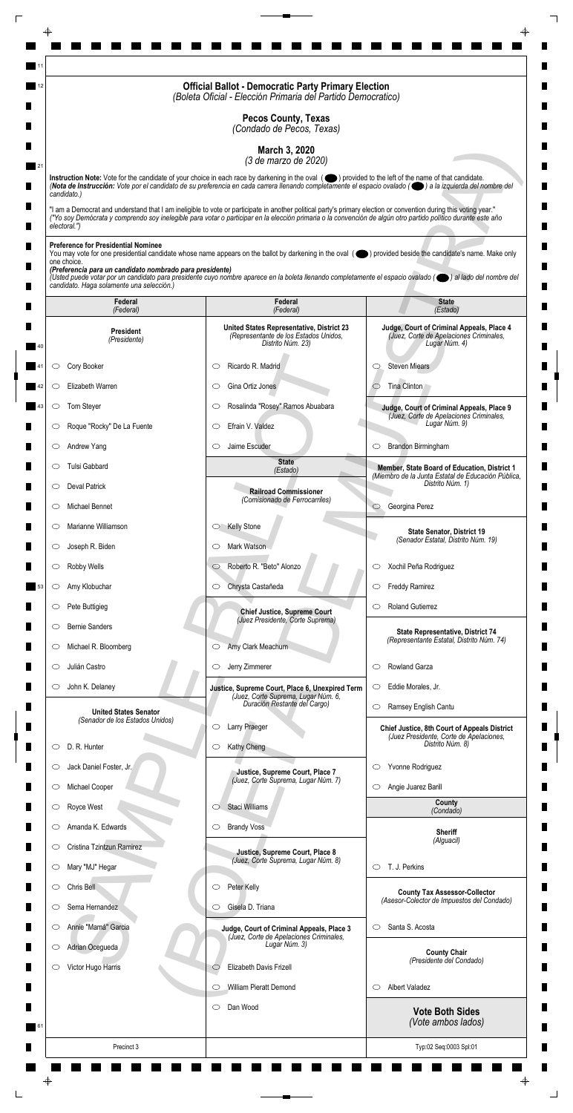|                                                                         | <b>Official Ballot - Democratic Party Primary Election</b><br>(Boleta Oficial - Elección Primaria del Partido Democratico)                                                                                                                                                                                                         |                                                                                                       |
|-------------------------------------------------------------------------|------------------------------------------------------------------------------------------------------------------------------------------------------------------------------------------------------------------------------------------------------------------------------------------------------------------------------------|-------------------------------------------------------------------------------------------------------|
|                                                                         | <b>Pecos County, Texas</b><br>(Condado de Pecos, Texas)                                                                                                                                                                                                                                                                            |                                                                                                       |
|                                                                         | March 3, 2020                                                                                                                                                                                                                                                                                                                      |                                                                                                       |
|                                                                         | (3 de marzo de 2020)<br>Instruction Note: Vote for the candidate of your choice in each race by darkening in the oval (O) provided to the left of the name of that candidate.                                                                                                                                                      |                                                                                                       |
| candidato.)                                                             | (Nota de Instrucción: Vote por el candidato de su preferencia en cada carrera llenando completamente el espacio ovalado ((e) a la izquierda del nombre del                                                                                                                                                                         |                                                                                                       |
| electoral.")                                                            | "I am a Democrat and understand that I am ineligible to vote or participate in another political party's primary election or convention during this voting year."<br>("Yo soy Demócrata y comprendo soy inelegible para votar o participar en la elección primaria o la convención de algún otro partido político durante este año |                                                                                                       |
| <b>Preference for Presidential Nominee</b>                              |                                                                                                                                                                                                                                                                                                                                    |                                                                                                       |
| one choice.<br>(Preferencia para un candidato nombrado para presidente) | You may vote for one presidential candidate whose name appears on the ballot by darkening in the oval (objetived beside the candidate's name. Make only                                                                                                                                                                            |                                                                                                       |
| candidato. Haga solamente una selección.)                               | (Usted puede votar por un candidato para presidente cuyo nombre aparece en la boleta llenando completamente el espacio ovalado (el al lado del nombre del                                                                                                                                                                          |                                                                                                       |
| Federal<br>(Federal)                                                    | Federal<br>(Federal)                                                                                                                                                                                                                                                                                                               | <b>State</b><br>(Estado)                                                                              |
| <b>President</b><br>(Presidente)                                        | United States Representative, District 23<br>(Representante de los Estados Unidos,<br>Distrito Núm. 23)                                                                                                                                                                                                                            | Judge, Court of Criminal Appeals, Place 4<br>(Juez, Corte de Apelaciones Criminales,<br>Lugar Núm. 4) |
| Cory Booker<br>O                                                        | Ricardo R. Madrid<br>C                                                                                                                                                                                                                                                                                                             | <b>Steven Miears</b><br>O                                                                             |
| Elizabeth Warren<br>O                                                   | Gina Ortiz Jones<br>O                                                                                                                                                                                                                                                                                                              | Tina Clinton                                                                                          |
| Tom Steyer                                                              | Rosalinda "Rosey" Ramos Abuabara                                                                                                                                                                                                                                                                                                   | Judge, Court of Criminal Appeals, Place 9<br>(Juez, Corte de Apelaciones Criminales,                  |
| Roque "Rocky" De La Fuente<br>O                                         | Efrain V. Valdez<br>$\circlearrowright$                                                                                                                                                                                                                                                                                            | Lugar Núm. 9)                                                                                         |
| Andrew Yang<br>$\circ$                                                  | Jaime Escuder<br>$\circlearrowright$                                                                                                                                                                                                                                                                                               | Brandon Birmingham<br>$\circ$                                                                         |
| Tulsi Gabbard<br>O                                                      | <b>State</b><br>(Estado)                                                                                                                                                                                                                                                                                                           | Member, State Board of Education, District 1<br>(Miembro de la Junta Estatal de Educación Pública,    |
| <b>Deval Patrick</b><br>$\circ$                                         | <b>Railroad Commissioner</b>                                                                                                                                                                                                                                                                                                       | Distrito Núm. 1)                                                                                      |
| Michael Bennet<br>O                                                     | (Comisionado de Ferrocarriles)                                                                                                                                                                                                                                                                                                     | Georgina Perez<br>$\circ$                                                                             |
| Marianne Williamson<br>$\circ$                                          | <b>Kelly Stone</b><br>$\circ$                                                                                                                                                                                                                                                                                                      | <b>State Senator, District 19</b><br>(Senador Estatal, Distrito Núm. 19)                              |
| Joseph R. Biden<br>$\circ$                                              | Mark Watson<br>O                                                                                                                                                                                                                                                                                                                   |                                                                                                       |
| Robby Wells<br>$\circ$                                                  | Roberto R. "Beto" Alonzo<br>$\circ$                                                                                                                                                                                                                                                                                                | Xochil Peña Rodriguez<br>$\circ$                                                                      |
| Amy Klobuchar<br>$\circlearrowright$                                    | Chrysta Castañeda<br>$\circ$                                                                                                                                                                                                                                                                                                       | <b>Freddy Ramirez</b><br>$\circ$                                                                      |
| Pete Buttigieg<br>$\circ$                                               | <b>Chief Justice, Supreme Court</b><br>(Juez Presidente, Corte Suprema)                                                                                                                                                                                                                                                            | <b>Roland Gutierrez</b><br>O                                                                          |
| <b>Bernie Sanders</b><br>O                                              |                                                                                                                                                                                                                                                                                                                                    | State Representative, District 74<br>(Representante Estatal, Distrito Núm. 74)                        |
| Michael R. Bloomberg<br>$\cup$<br>Julián Castro<br>O                    | Amy Clark Meachum<br>$\circ$<br>Jerry Zimmerer<br>$\circ$                                                                                                                                                                                                                                                                          | Rowland Garza<br>$\circlearrowright$                                                                  |
| John K. Delaney<br>$\circ$                                              |                                                                                                                                                                                                                                                                                                                                    | Eddie Morales, Jr.<br>$\circ$                                                                         |
|                                                                         | Justice, Supreme Court, Place 6, Unexpired Term<br>(Juez, Corte Suprema, Lugar Núm. 6,<br>Duración Restante del Cargo)                                                                                                                                                                                                             | Ramsey English Cantu<br>$\circlearrowright$                                                           |
| <b>United States Senator</b><br>(Senador de los Estados Unidos)         | Larry Praeger<br>O                                                                                                                                                                                                                                                                                                                 | <b>Chief Justice, 8th Court of Appeals District</b>                                                   |
| D. R. Hunter<br>O                                                       | Kathy Cheng<br>$\circ$                                                                                                                                                                                                                                                                                                             | (Juez Presidente, Corte de Apelaciones,<br>Distrito Núm. 8)                                           |
| Jack Daniel Foster, Jr.<br>O                                            | Justice, Supreme Court, Place 7                                                                                                                                                                                                                                                                                                    | Yvonne Rodriguez<br>$\circ$                                                                           |
| Michael Cooper<br>$\circ$                                               | (Juez, Corte Suprema, Lugar Núm. 7)                                                                                                                                                                                                                                                                                                | Angie Juarez Barill<br>$\circ$                                                                        |
| Royce West                                                              | Staci Williams                                                                                                                                                                                                                                                                                                                     | County<br>(Condado)                                                                                   |
| Amanda K. Edwards<br>O                                                  | <b>Brandy Voss</b><br>$\circ$                                                                                                                                                                                                                                                                                                      | <b>Sheriff</b>                                                                                        |
| Cristina Tzintzun Ramirez<br>$\circ$                                    | Justice, Supreme Court, Place 8                                                                                                                                                                                                                                                                                                    | (Alguacil)                                                                                            |
| Mary "MJ" Hegar<br>$\circ$                                              | (Juez, Corte Suprema, Lugar Núm. 8)                                                                                                                                                                                                                                                                                                | T. J. Perkins<br>$\circ$                                                                              |
| Chris Bell<br>O                                                         | Peter Kelly<br>$\circ$                                                                                                                                                                                                                                                                                                             | <b>County Tax Assessor-Collector</b><br>(Asesor-Colector de Impuestos del Condado)                    |
| Sema Hernandez<br>O                                                     | Gisela D. Triana<br>O                                                                                                                                                                                                                                                                                                              |                                                                                                       |
| Annie "Mamá" Garcia<br>$\circ$                                          | Judge, Court of Criminal Appeals, Place 3<br>(Juez, Corte de Apelaciones Criminales,                                                                                                                                                                                                                                               | Santa S. Acosta<br>$\circlearrowright$                                                                |
| Adrian Ocegueda<br>$\circ$                                              | Lugar Núm. 3)                                                                                                                                                                                                                                                                                                                      | <b>County Chair</b><br>(Presidente del Condado)                                                       |
| Victor Hugo Harris<br>O                                                 | Elizabeth Davis Frizell<br>$\circlearrowright$                                                                                                                                                                                                                                                                                     |                                                                                                       |
|                                                                         | William Pieratt Demond<br>$\circlearrowright$                                                                                                                                                                                                                                                                                      | <b>Albert Valadez</b><br>$\circ$                                                                      |
|                                                                         | Dan Wood<br>$\circ$                                                                                                                                                                                                                                                                                                                | <b>Vote Both Sides</b><br>(Vote ambos lados)                                                          |
| Precinct 3                                                              |                                                                                                                                                                                                                                                                                                                                    | Typ:02 Seq:0003 Spl:01                                                                                |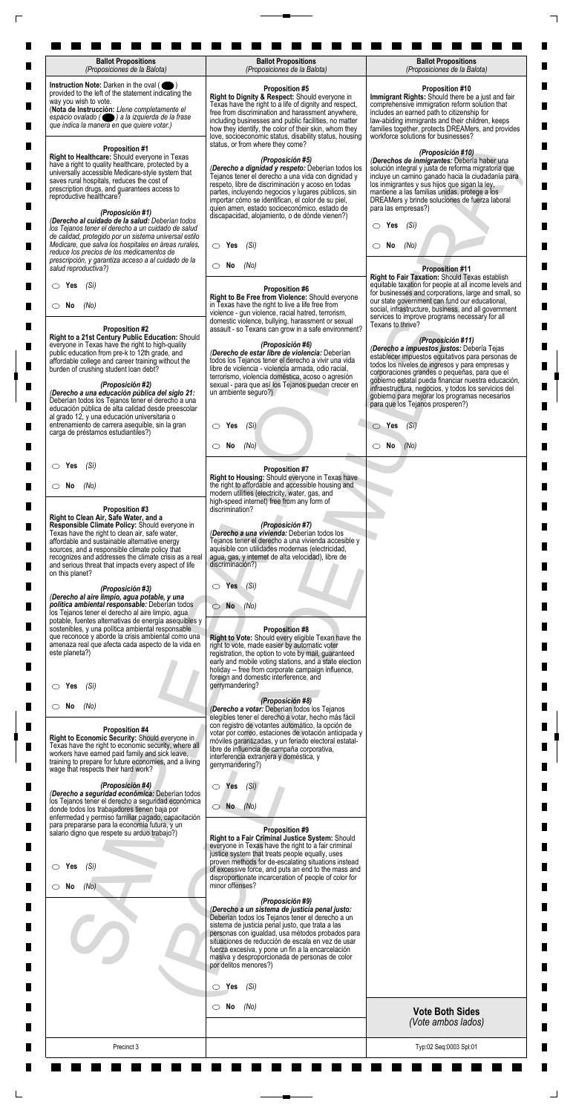| <b>Ballot Propositions</b><br>(Proposiciones de la Balota)                                                                                                                                                                                                                                                                                                                         | <b>Ballot Propositions</b><br>(Proposiciones de la Balota)                                                                                                                                                                                                                                                                                                                                                    | <b>Ballot Propositions</b><br>(Proposiciones de la Balota)                                                                                                                                                                                                                                                                                                                                |
|------------------------------------------------------------------------------------------------------------------------------------------------------------------------------------------------------------------------------------------------------------------------------------------------------------------------------------------------------------------------------------|---------------------------------------------------------------------------------------------------------------------------------------------------------------------------------------------------------------------------------------------------------------------------------------------------------------------------------------------------------------------------------------------------------------|-------------------------------------------------------------------------------------------------------------------------------------------------------------------------------------------------------------------------------------------------------------------------------------------------------------------------------------------------------------------------------------------|
| Instruction Note: Darken in the oval (<br>provided to the left of the statement indicating the<br>way you wish to vote.<br>(Nota de Instrucción: Llene completamente el<br>espacio ovalado ( ) a la izquierda de la frase<br>que indica la manera en que quiere votar.)                                                                                                            | <b>Proposition #5</b><br>Right to Dignity & Respect: Should everyone in<br>Texas have the right to a life of dignity and respect,<br>free from discrimination and harassment anywhere,<br>including businesses and public facilities, no matter<br>how they identify, the color of their skin, whom they<br>love, socioeconomic status, disability status, housing<br>status, or from where they come?        | <b>Proposition #10</b><br>Immigrant Rights: Should there be a just and fair<br>comprehensive immigration reform solution that<br>includes an earned path to citizenship for<br>law-abiding immigrants and their children, keeps<br>families together, protects DREAMers, and provides<br>workforce solutions for businesses?                                                              |
| <b>Proposition #1</b><br>Right to Healthcare: Should everyone in Texas<br>have a right to quality healthcare, protected by a<br>universally accessible Medicare-style system that<br>saves rural hospitals, reduces the cost of<br>prescription drugs, and guarantees access to<br>reproductive healthcare?<br>(Proposición #1)<br>(Derecho al cuidado de la salud: Deberían todos | (Proposición #5)<br>(Derecho a dignidad y respeto: Deberían todos los<br>Tejanos tener el derecho a una vida con dignidad y<br>respeto, libre de discriminación y acoso en todas<br>partes, incluyendo negocios y lugares públicos, sin<br>importar cómo se identifican, el color de su piel,<br>quien amen, estado socioeconómico, estado de<br>discapacidad, alojamiento, o de dónde vienen?)               | (Proposición #10)<br>(Derechos de inmigrantes: Debería haber una<br>solución integral y justa de reforma migratoria que<br>incluye un camino ganado hacia la ciudadanía para<br>los inmigrantes y sus hijos que sigan la ley,<br>mantiene a las familias unidas, protege a los<br>DREAMers y brinde soluciones de fuerza laboral<br>para las empresas?)                                   |
| los Tejanos tener el derecho a un cuidado de salud<br>de calidad, protegido por un sistema universal estilo<br>Medicare, que salva los hospitales en áreas rurales,<br>reduce los precios de los medicamentos de                                                                                                                                                                   | $\circ$ Yes<br>(Sí)                                                                                                                                                                                                                                                                                                                                                                                           | Yes<br>(Sí)<br>O<br>No<br>(No)<br>CD.                                                                                                                                                                                                                                                                                                                                                     |
| prescripción, y garantiza acceso a al cuidado de la<br>salud reproductiva?)                                                                                                                                                                                                                                                                                                        | $\circ$ No<br>(No)                                                                                                                                                                                                                                                                                                                                                                                            | <b>Proposition #11</b><br>Right to Fair Taxation: Should Texas establish                                                                                                                                                                                                                                                                                                                  |
| (Sí)<br>$\circ$ Yes<br>$\circ$ No<br>(No)<br><b>Proposition #2</b>                                                                                                                                                                                                                                                                                                                 | <b>Proposition #6</b><br>Right to Be Free from Violence: Should everyone<br>in Texas have the right to live a life free from<br>violence - gun violence, racial hatred, terrorism,<br>domestic violence, bullying, harassment or sexual<br>assault - so Texans can grow in a safe environment?                                                                                                                | equitable taxation for people at all income levels and<br>for businesses and corporations, large and small, so<br>our state government can fund our educational,<br>social, infrastructure, business, and all government<br>services to improve programs necessary for all<br>Texans to thrive?                                                                                           |
| Right to a 21st Century Public Education: Should<br>everyone in Texas have the right to high-quality<br>public education from pre-k to 12th grade, and<br>affordable college and career training without the<br>burden of crushing student loan debt?<br>(Proposición #2)<br>(Derecho a una educación pública del siglo 21:                                                        | (Proposición #6)<br>(Derecho de estar libre de violencia: Deberían<br>todos los Tejanos tener el derecho a vivir una vida<br>libre de violencia - violencia armada, odio racial,<br>terrorismo, violencia doméstica, acoso o agresión<br>sexual - para que así los Tejanos puedan crecer en<br>un ambiente seguro?)                                                                                           | (Proposición #11)<br>(Derecho a impuestos justos: Debería Tejas<br>establecer impuestos equitativos para personas de<br>todos los niveles de ingresos y para empresas y<br>corporaciones grandes o pequeñas, para que el<br>gobierno estatal pueda financiar nuestra educación,<br>infraestructura, negocios, y todos los servicios del<br>gobierno para mejorar los programas necesarios |
| Deberían todos los Tejanos tener el derecho a una<br>educación pública de alta calidad desde preescolar<br>al grado 12, y una educación universitaria o<br>entrenamiento de carrera asequible, sin la gran<br>carga de préstamos estudiantiles?)                                                                                                                                   | $\circ$ Yes<br>(Si)                                                                                                                                                                                                                                                                                                                                                                                           | para que los Tejanos prosperen?)<br>$\circ$ Yes<br>(Si)                                                                                                                                                                                                                                                                                                                                   |
|                                                                                                                                                                                                                                                                                                                                                                                    | No<br>(No)<br>$\circ$                                                                                                                                                                                                                                                                                                                                                                                         | $\circ$ No<br>(No)                                                                                                                                                                                                                                                                                                                                                                        |
| (Sí)<br>$\circ$ Yes                                                                                                                                                                                                                                                                                                                                                                | <b>Proposition #7</b><br>Right to Housing: Should everyone in Texas have                                                                                                                                                                                                                                                                                                                                      |                                                                                                                                                                                                                                                                                                                                                                                           |
| $\circ$ No<br>(No)<br>Proposition #3                                                                                                                                                                                                                                                                                                                                               | the right to affordable and accessible housing and<br>modern utilities (electricity, water, gas, and<br>high-speed internet) free from any form of<br>discrimination?                                                                                                                                                                                                                                         |                                                                                                                                                                                                                                                                                                                                                                                           |
| Right to Clean Air, Safe Water, and a<br>Responsible Climate Policy: Should everyone in<br>Texas have the right to clean air, safe water,<br>affordable and sustainable alternative energy<br>sources, and a responsible climate policy that<br>recognizes and addresses the climate crisis as a real<br>and serious threat that impacts every aspect of life<br>on this planet?   | (Proposición #7)<br>(Derecho a una vivienda: Deberían todos los<br>Tejanos tener el derecho a una vivienda accesible y<br>aquisible con utilidades modernas (electricidad,<br>agua, gas, y internet de alta velocidad), libre de<br>discriminación?)                                                                                                                                                          |                                                                                                                                                                                                                                                                                                                                                                                           |
| (Proposición #3)<br>(Derecho al aire limpio, agua potable, y una<br>política ambiental responsable: Deberían todos<br>los Tejanos tener el derecho al aire limpio, agua<br>potable, fuentes alternativas de energía asequibles y                                                                                                                                                   | Yes<br>$\bigcirc$<br>(Si)<br><b>No</b><br>(No)<br>01                                                                                                                                                                                                                                                                                                                                                          |                                                                                                                                                                                                                                                                                                                                                                                           |
| sostenibles, y una política ambiental responsable<br>que reconoce y aborde la crisis ambiental como una<br>amenaza real que afecta cada aspecto de la vida en<br>este planeta?)                                                                                                                                                                                                    | <b>Proposition #8</b><br>Right to Vote: Should every eligible Texan have the<br>right to vote, made easier by automatic voter<br>registration, the option to vote by mail, guaranteed<br>early and mobile voting stations, and a state election<br>holiday -- free from corporate campaign influence,<br>foreign and domestic interference, and                                                               |                                                                                                                                                                                                                                                                                                                                                                                           |
| (Si)<br>Yes                                                                                                                                                                                                                                                                                                                                                                        | gerrymandering?<br>(Proposición #8)                                                                                                                                                                                                                                                                                                                                                                           |                                                                                                                                                                                                                                                                                                                                                                                           |
| $\circ$ No<br>(No)<br>Proposition #4<br>Right to Economic Security: Should everyone in<br>Texas have the right to economic security, where all<br>workers have earned paid family and sick leave,<br>training to prepare for future economies, and a living<br>wage that respects their hard work?                                                                                 | (Derecho a votar: Deberían todos los Tejanos<br>elegibles tener el derecho a votar, hecho más fácil<br>con registro de votantes automático, la opción de<br>votar por correo, estaciones de votación anticipada y<br>móviles garantizadas, y un feriado electoral estatal-<br>libre de influencia de campaña corporativa,<br>interferencia extranjera y doméstica, y<br>gerrymandering?)                      |                                                                                                                                                                                                                                                                                                                                                                                           |
| (Proposición #4)<br>(Derecho a seguridad económica: Deberían todos<br>los Tejanos tener el derecho a seguridad económica<br>donde todos los trabajadores tienen baja por<br>enfermedad y permiso familiar pagado, capacitación                                                                                                                                                     | (Si)<br>$\circ$ Yes<br>$\bigcirc$ No $(No)$                                                                                                                                                                                                                                                                                                                                                                   |                                                                                                                                                                                                                                                                                                                                                                                           |
| para prepararse para la economía futura, y un<br>salario digno que respete su arduo trabajo?)<br>$\circ$ Yes<br>(Si)                                                                                                                                                                                                                                                               | Proposition #9<br>Right to a Fair Criminal Justice System: Should<br>everyone in Texas have the right to a fair criminal<br>justice system that treats people equally, uses<br>proven methods for de-escalating situations instead<br>of excessive force, and puts an end to the mass and<br>disproportionate incarceration of people of color for                                                            |                                                                                                                                                                                                                                                                                                                                                                                           |
| (No)<br>$\circ$ No                                                                                                                                                                                                                                                                                                                                                                 | minor offenses?<br>(Proposición #9)<br>(Derecho a un sistema de justicia penal justo:<br>Deberían todos los Tejanos tener el derecho a un<br>sistema de justicia penal justo, que trata a las<br>personas con igualdad, usa métodos probados para<br>situaciones de reducción de escala en vez de usar<br>fuerza excesiva, y pone un fin a la encarcelación<br>masiva y desproporcionada de personas de color |                                                                                                                                                                                                                                                                                                                                                                                           |
|                                                                                                                                                                                                                                                                                                                                                                                    | por delitos menores?)                                                                                                                                                                                                                                                                                                                                                                                         |                                                                                                                                                                                                                                                                                                                                                                                           |
|                                                                                                                                                                                                                                                                                                                                                                                    | $\circ$ Yes<br>(Sí)<br>No<br>(No)<br>$\circ$                                                                                                                                                                                                                                                                                                                                                                  | <b>Vote Both Sides</b>                                                                                                                                                                                                                                                                                                                                                                    |
|                                                                                                                                                                                                                                                                                                                                                                                    |                                                                                                                                                                                                                                                                                                                                                                                                               | (Vote ambos lados)                                                                                                                                                                                                                                                                                                                                                                        |
| Precinct 3                                                                                                                                                                                                                                                                                                                                                                         |                                                                                                                                                                                                                                                                                                                                                                                                               | Typ:02 Seq:0003 Spl:01                                                                                                                                                                                                                                                                                                                                                                    |

 $\Box$ 

 $\Box$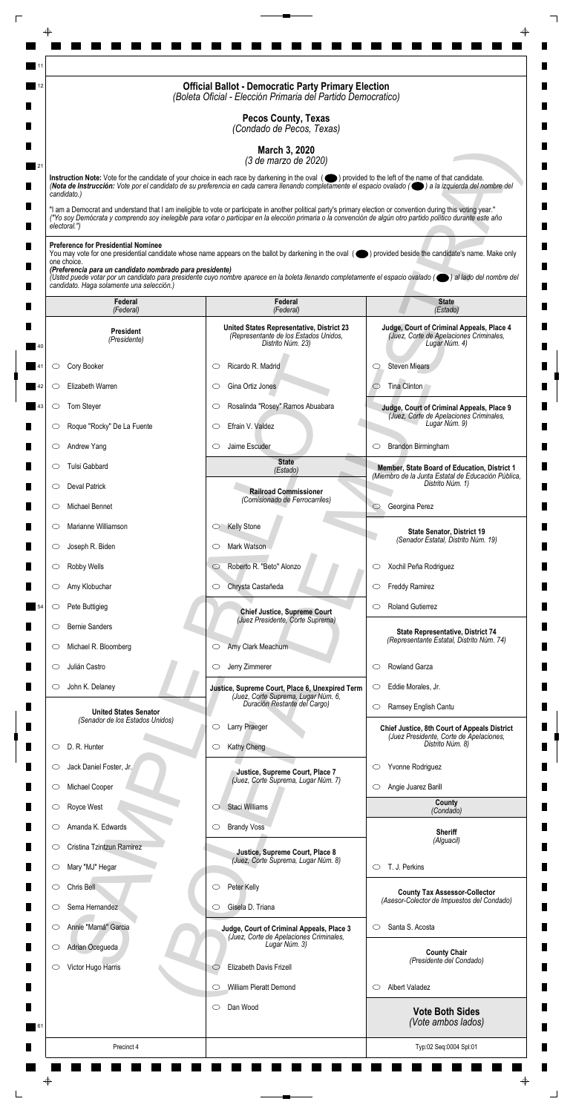|                                                                         | <b>Official Ballot - Democratic Party Primary Election</b><br>(Boleta Oficial - Elección Primaria del Partido Democratico)                                                                                                                                                                                                         |                                                                                                       |
|-------------------------------------------------------------------------|------------------------------------------------------------------------------------------------------------------------------------------------------------------------------------------------------------------------------------------------------------------------------------------------------------------------------------|-------------------------------------------------------------------------------------------------------|
|                                                                         | <b>Pecos County, Texas</b><br>(Condado de Pecos, Texas)                                                                                                                                                                                                                                                                            |                                                                                                       |
|                                                                         | March 3, 2020                                                                                                                                                                                                                                                                                                                      |                                                                                                       |
|                                                                         | (3 de marzo de 2020)<br>Instruction Note: Vote for the candidate of your choice in each race by darkening in the oval (O) provided to the left of the name of that candidate.                                                                                                                                                      |                                                                                                       |
| candidato.)                                                             | (Nota de Instrucción: Vote por el candidato de su preferencia en cada carrera llenando completamente el espacio ovalado ((e) a la izquierda del nombre del                                                                                                                                                                         |                                                                                                       |
| electoral.")                                                            | "I am a Democrat and understand that I am ineligible to vote or participate in another political party's primary election or convention during this voting year."<br>("Yo soy Demócrata y comprendo soy inelegible para votar o participar en la elección primaria o la convención de algún otro partido político durante este año |                                                                                                       |
| <b>Preference for Presidential Nominee</b>                              |                                                                                                                                                                                                                                                                                                                                    |                                                                                                       |
| one choice.<br>(Preferencia para un candidato nombrado para presidente) | You may vote for one presidential candidate whose name appears on the ballot by darkening in the oval (objetived beside the candidate's name. Make only                                                                                                                                                                            |                                                                                                       |
| candidato. Haga solamente una selección.)                               | (Usted puede votar por un candidato para presidente cuyo nombre aparece en la boleta llenando completamente el espacio ovalado (el al lado del nombre del                                                                                                                                                                          |                                                                                                       |
| Federal<br>(Federal)                                                    | Federal<br>(Federal)                                                                                                                                                                                                                                                                                                               | <b>State</b><br>(Estado)                                                                              |
| <b>President</b><br>(Presidente)                                        | United States Representative, District 23<br>(Representante de los Estados Unidos,<br>Distrito Núm. 23)                                                                                                                                                                                                                            | Judge, Court of Criminal Appeals, Place 4<br>(Juez, Corte de Apelaciones Criminales,<br>Lugar Núm. 4) |
| Cory Booker<br>O                                                        | Ricardo R. Madrid<br>C                                                                                                                                                                                                                                                                                                             | <b>Steven Miears</b><br>O                                                                             |
| Elizabeth Warren<br>O                                                   | Gina Ortiz Jones<br>O                                                                                                                                                                                                                                                                                                              | Tina Clinton                                                                                          |
| Tom Steyer                                                              | Rosalinda "Rosey" Ramos Abuabara                                                                                                                                                                                                                                                                                                   | Judge, Court of Criminal Appeals, Place 9<br>(Juez, Corte de Apelaciones Criminales,                  |
| Roque "Rocky" De La Fuente<br>O                                         | Efrain V. Valdez<br>$\circlearrowright$                                                                                                                                                                                                                                                                                            | Lugar Núm. 9)                                                                                         |
| Andrew Yang<br>$\circ$                                                  | Jaime Escuder<br>$\circlearrowright$                                                                                                                                                                                                                                                                                               | Brandon Birmingham<br>$\circ$                                                                         |
| Tulsi Gabbard<br>O                                                      | <b>State</b><br>(Estado)                                                                                                                                                                                                                                                                                                           | Member, State Board of Education, District 1<br>(Miembro de la Junta Estatal de Educación Pública,    |
| <b>Deval Patrick</b><br>$\circ$                                         | <b>Railroad Commissioner</b><br>(Comisionado de Ferrocarriles)                                                                                                                                                                                                                                                                     | Distrito Núm. 1)                                                                                      |
| Michael Bennet<br>O                                                     |                                                                                                                                                                                                                                                                                                                                    | Georgina Perez<br>$\circ$                                                                             |
| Marianne Williamson<br>$\circ$                                          | <b>Kelly Stone</b><br>$\circ$                                                                                                                                                                                                                                                                                                      | <b>State Senator, District 19</b><br>(Senador Estatal, Distrito Núm. 19)                              |
| Joseph R. Biden<br>$\circ$                                              | Mark Watson<br>O                                                                                                                                                                                                                                                                                                                   |                                                                                                       |
| Robby Wells<br>$\circ$                                                  | Roberto R. "Beto" Alonzo<br>$\circ$                                                                                                                                                                                                                                                                                                | Xochil Peña Rodriguez<br>$\circ$                                                                      |
| Amy Klobuchar<br>$\circ$                                                | Chrysta Castañeda<br>$\circ$                                                                                                                                                                                                                                                                                                       | <b>Freddy Ramirez</b><br>$\circ$                                                                      |
| Pete Buttigieg<br>$\circ$                                               | <b>Chief Justice, Supreme Court</b><br>(Juez Presidente, Corte Suprema)                                                                                                                                                                                                                                                            | <b>Roland Gutierrez</b><br>O                                                                          |
| <b>Bernie Sanders</b><br>O<br>Michael R. Bloomberg                      | Amy Clark Meachum<br>$\circ$                                                                                                                                                                                                                                                                                                       | State Representative, District 74<br>(Representante Estatal, Distrito Núm. 74)                        |
| $\cup$<br>Julián Castro<br>O                                            | Jerry Zimmerer<br>$\circ$                                                                                                                                                                                                                                                                                                          | Rowland Garza<br>$\circlearrowright$                                                                  |
| John K. Delaney<br>$\circ$                                              | Justice, Supreme Court, Place 6, Unexpired Term                                                                                                                                                                                                                                                                                    | Eddie Morales, Jr.<br>$\circ$                                                                         |
|                                                                         | (Juez, Corte Suprema, Lugar Núm. 6,<br>Duración Restante del Cargo)                                                                                                                                                                                                                                                                | Ramsey English Cantu<br>$\circlearrowright$                                                           |
| <b>United States Senator</b><br>(Senador de los Estados Unidos)         | Larry Praeger<br>O                                                                                                                                                                                                                                                                                                                 | <b>Chief Justice, 8th Court of Appeals District</b>                                                   |
| D. R. Hunter<br>O                                                       | Kathy Cheng<br>$\circ$                                                                                                                                                                                                                                                                                                             | (Juez Presidente, Corte de Apelaciones,<br>Distrito Núm. 8)                                           |
| Jack Daniel Foster, Jr.<br>O                                            | Justice, Supreme Court, Place 7                                                                                                                                                                                                                                                                                                    | Yvonne Rodriguez<br>$\circ$                                                                           |
| Michael Cooper<br>$\circ$                                               | (Juez, Corte Suprema, Lugar Núm. 7)                                                                                                                                                                                                                                                                                                | Angie Juarez Barill<br>$\circ$                                                                        |
| Royce West                                                              | Staci Williams                                                                                                                                                                                                                                                                                                                     | County<br>(Condado)                                                                                   |
| Amanda K. Edwards<br>O                                                  | <b>Brandy Voss</b><br>$\circ$                                                                                                                                                                                                                                                                                                      | <b>Sheriff</b>                                                                                        |
| Cristina Tzintzun Ramirez<br>$\circ$                                    | Justice, Supreme Court, Place 8                                                                                                                                                                                                                                                                                                    | (Alguacil)                                                                                            |
| Mary "MJ" Hegar<br>$\circ$                                              | (Juez, Corte Suprema, Lugar Núm. 8)                                                                                                                                                                                                                                                                                                | T. J. Perkins<br>$\circ$                                                                              |
| Chris Bell<br>O                                                         | Peter Kelly<br>$\circ$                                                                                                                                                                                                                                                                                                             | <b>County Tax Assessor-Collector</b><br>(Asesor-Colector de Impuestos del Condado)                    |
| Sema Hernandez<br>O                                                     | Gisela D. Triana<br>O                                                                                                                                                                                                                                                                                                              |                                                                                                       |
| Annie "Mamá" Garcia<br>$\circ$                                          | Judge, Court of Criminal Appeals, Place 3<br>(Juez, Corte de Apelaciones Criminales,<br>Lugar Núm. 3)                                                                                                                                                                                                                              | Santa S. Acosta<br>$\circlearrowright$                                                                |
| Adrian Ocegueda<br>$\circ$                                              | Elizabeth Davis Frizell                                                                                                                                                                                                                                                                                                            | <b>County Chair</b><br>(Presidente del Condado)                                                       |
| Victor Hugo Harris<br>O                                                 | $\circlearrowright$<br>William Pieratt Demond<br>$\circlearrowright$                                                                                                                                                                                                                                                               | <b>Albert Valadez</b><br>$\circ$                                                                      |
|                                                                         | Dan Wood<br>$\circ$                                                                                                                                                                                                                                                                                                                |                                                                                                       |
|                                                                         |                                                                                                                                                                                                                                                                                                                                    | <b>Vote Both Sides</b><br>(Vote ambos lados)                                                          |
| Precinct 4                                                              |                                                                                                                                                                                                                                                                                                                                    | Typ:02 Seq:0004 Spl:01                                                                                |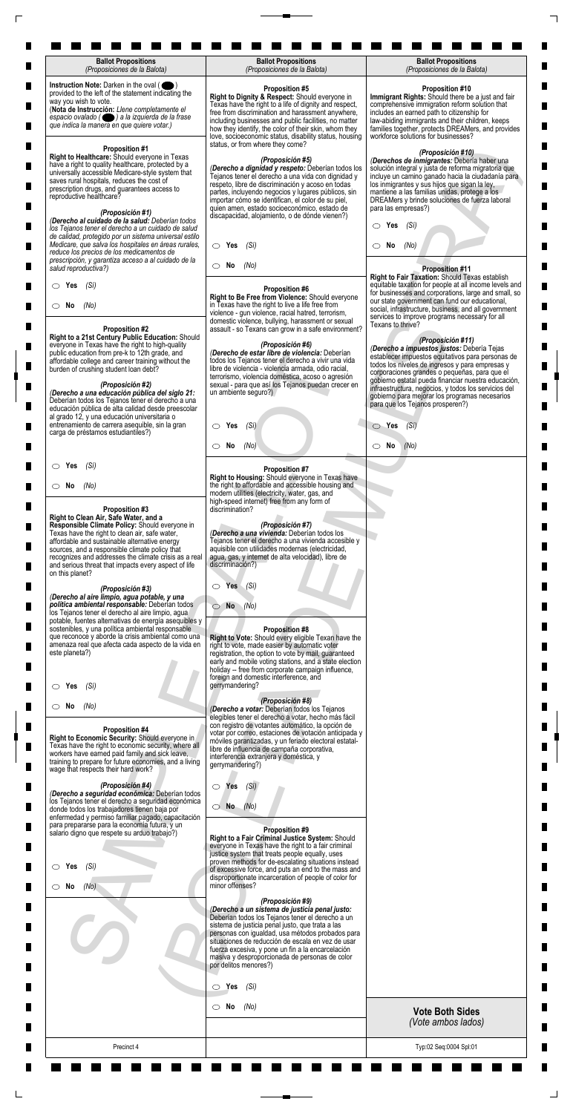| <b>Ballot Propositions</b><br>(Proposiciones de la Balota)                                                                                                                                                                                                                                                                                                                       | <b>Ballot Propositions</b><br>(Proposiciones de la Balota)                                                                                                                                                                                                                                                                                                                                                          | <b>Ballot Propositions</b><br>(Proposiciones de la Balota)                                                                                                                                                                                                                                                                                                                                |
|----------------------------------------------------------------------------------------------------------------------------------------------------------------------------------------------------------------------------------------------------------------------------------------------------------------------------------------------------------------------------------|---------------------------------------------------------------------------------------------------------------------------------------------------------------------------------------------------------------------------------------------------------------------------------------------------------------------------------------------------------------------------------------------------------------------|-------------------------------------------------------------------------------------------------------------------------------------------------------------------------------------------------------------------------------------------------------------------------------------------------------------------------------------------------------------------------------------------|
| Instruction Note: Darken in the oval (<br>provided to the left of the statement indicating the<br>way you wish to vote.<br>(Nota de Instrucción: Llene completamente el<br>espacio ovalado ( ) a la izquierda de la frase<br>que indica la manera en que quiere votar.)                                                                                                          | <b>Proposition #5</b><br>Right to Dignity & Respect: Should everyone in<br>Texas have the right to a life of dignity and respect,<br>free from discrimination and harassment anywhere,<br>including businesses and public facilities, no matter<br>how they identify, the color of their skin, whom they<br>love, socioeconomic status, disability status, housing<br>status, or from where they come?              | <b>Proposition #10</b><br>Immigrant Rights: Should there be a just and fair<br>comprehensive immigration reform solution that<br>includes an earned path to citizenship for<br>law-abiding immigrants and their children, keeps<br>families together, protects DREAMers, and provides<br>workforce solutions for businesses?                                                              |
| <b>Proposition #1</b><br>Right to Healthcare: Should everyone in Texas<br>have a right to quality healthcare, protected by a<br>universally accessible Medicare-style system that<br>saves rural hospitals, reduces the cost of<br>prescription drugs, and guarantees access to<br>reproductive healthcare?<br>(Proposición #1)                                                  | (Proposición #5)<br>(Derecho a dignidad y respeto: Deberían todos los<br>Tejanos tener el derecho a una vida con dignidad y<br>respeto, libre de discriminación y acoso en todas<br>partes, incluyendo negocios y lugares públicos, sin<br>importar cómo se identifican, el color de su piel,<br>quien amen, estado socioeconómico, estado de<br>discapacidad, alojamiento, o de dónde vienen?)                     | (Proposición #10)<br>(Derechos de inmigrantes: Debería haber una<br>solución integral y justa de reforma migratoria que<br>incluye un camino ganado hacia la ciudadanía para<br>los inmigrantes y sus hijos que sigan la ley,<br>mantiene a las familias unidas, protege a los<br>DREAMers y brinde soluciones de fuerza laboral<br>para las empresas?)                                   |
| (Derecho al cuidado de la salud: Deberían todos<br>los Tejanos tener el derecho a un cuidado de salud<br>de calidad, protegido por un sistema universal estilo<br>Medicare, que salva los hospitales en áreas rurales,<br>reduce los precios de los medicamentos de                                                                                                              | $\circ$ Yes<br>(Sí)                                                                                                                                                                                                                                                                                                                                                                                                 | Yes<br>(Sí)<br>O<br>No<br>(No)<br>CD.                                                                                                                                                                                                                                                                                                                                                     |
| prescripción, y garantiza acceso a al cuidado de la<br>salud reproductiva?)                                                                                                                                                                                                                                                                                                      | $\circ$ No<br>(No)                                                                                                                                                                                                                                                                                                                                                                                                  | <b>Proposition #11</b><br>Right to Fair Taxation: Should Texas establish                                                                                                                                                                                                                                                                                                                  |
| (Sí)<br>$\circ$ Yes<br>$\circ$ No<br>(No)<br><b>Proposition #2</b>                                                                                                                                                                                                                                                                                                               | <b>Proposition #6</b><br>Right to Be Free from Violence: Should everyone<br>in Texas have the right to live a life free from<br>violence - gun violence, racial hatred, terrorism,<br>domestic violence, bullying, harassment or sexual<br>assault - so Texans can grow in a safe environment?                                                                                                                      | equitable taxation for people at all income levels and<br>for businesses and corporations, large and small, so<br>our state government can fund our educational,<br>social, infrastructure, business, and all government<br>services to improve programs necessary for all<br>Texans to thrive?                                                                                           |
| Right to a 21st Century Public Education: Should<br>everyone in Texas have the right to high-quality<br>public education from pre-k to 12th grade, and<br>affordable college and career training without the<br>burden of crushing student loan debt?<br>(Proposición #2)<br>(Derecho a una educación pública del siglo 21:                                                      | (Proposición #6)<br>(Derecho de estar libre de violencia: Deberían<br>todos los Tejanos tener el derecho a vivir una vida<br>libre de violencia - violencia armada, odio racial,<br>terrorismo, violencia doméstica, acoso o agresión<br>sexual - para que así los Tejanos puedan crecer en<br>un ambiente seguro?)                                                                                                 | (Proposición #11)<br>(Derecho a impuestos justos: Debería Tejas<br>establecer impuestos equitativos para personas de<br>todos los niveles de ingresos y para empresas y<br>corporaciones grandes o pequeñas, para que el<br>gobierno estatal pueda financiar nuestra educación,<br>infraestructura, negocios, y todos los servicios del<br>gobierno para mejorar los programas necesarios |
| Deberían todos los Tejanos tener el derecho a una<br>educación pública de alta calidad desde preescolar<br>al grado 12, y una educación universitaria o<br>entrenamiento de carrera asequible, sin la gran<br>carga de préstamos estudiantiles?)                                                                                                                                 | $\circ$ Yes<br>(Si)                                                                                                                                                                                                                                                                                                                                                                                                 | para que los Tejanos prosperen?)<br>$\circ$ Yes<br>(Si)                                                                                                                                                                                                                                                                                                                                   |
|                                                                                                                                                                                                                                                                                                                                                                                  | No<br>(No)<br>$\circ$                                                                                                                                                                                                                                                                                                                                                                                               | $\circ$ No<br>(No)                                                                                                                                                                                                                                                                                                                                                                        |
| (Sí)<br>$\circ$ Yes                                                                                                                                                                                                                                                                                                                                                              | <b>Proposition #7</b><br>Right to Housing: Should everyone in Texas have                                                                                                                                                                                                                                                                                                                                            |                                                                                                                                                                                                                                                                                                                                                                                           |
| $\circ$ No<br>(No)<br>Proposition #3                                                                                                                                                                                                                                                                                                                                             | the right to affordable and accessible housing and<br>modern utilities (electricity, water, gas, and<br>high-speed internet) free from any form of<br>discrimination?                                                                                                                                                                                                                                               |                                                                                                                                                                                                                                                                                                                                                                                           |
| Right to Clean Air, Safe Water, and a<br>Responsible Climate Policy: Should everyone in<br>Texas have the right to clean air, safe water,<br>affordable and sustainable alternative energy<br>sources, and a responsible climate policy that<br>recognizes and addresses the climate crisis as a real<br>and serious threat that impacts every aspect of life<br>on this planet? | (Proposición #7)<br>(Derecho a una vivienda: Deberían todos los<br>Tejanos tener el derecho a una vivienda accesible y<br>aquisible con utilidades modernas (electricidad,<br>agua, gas, y internet de alta velocidad), libre de<br>discriminación?)                                                                                                                                                                |                                                                                                                                                                                                                                                                                                                                                                                           |
| (Proposición #3)<br>(Derecho al aire limpio, agua potable, y una<br>política ambiental responsable: Deberían todos<br>los Tejanos tener el derecho al aire limpio, agua<br>potable, fuentes alternativas de energía asequibles y<br>sostenibles, y una política ambiental responsable                                                                                            | Yes<br>$\bigcirc$<br>(Si)<br><b>No</b><br>(No)<br>01<br><b>Proposition #8</b>                                                                                                                                                                                                                                                                                                                                       |                                                                                                                                                                                                                                                                                                                                                                                           |
| que reconoce y aborde la crisis ambiental como una<br>amenaza real que afecta cada aspecto de la vida en<br>este planeta?)                                                                                                                                                                                                                                                       | Right to Vote: Should every eligible Texan have the<br>right to vote, made easier by automatic voter<br>registration, the option to vote by mail, guaranteed<br>early and mobile voting stations, and a state election<br>holiday -- free from corporate campaign influence,<br>foreign and domestic interference, and<br>gerrymandering?                                                                           |                                                                                                                                                                                                                                                                                                                                                                                           |
| (Si)<br>Yes<br>$\circ$ No<br>(No)                                                                                                                                                                                                                                                                                                                                                | (Proposición #8)<br>(Derecho a votar: Deberían todos los Tejanos                                                                                                                                                                                                                                                                                                                                                    |                                                                                                                                                                                                                                                                                                                                                                                           |
| Proposition #4<br>Right to Economic Security: Should everyone in<br>Texas have the right to economic security, where all<br>workers have earned paid family and sick leave,<br>training to prepare for future economies, and a living<br>wage that respects their hard work?                                                                                                     | elegibles tener el derecho a votar, hecho más fácil<br>con registro de votantes automático, la opción de<br>votar por correo, estaciones de votación anticipada y<br>móviles garantizadas, y un feriado electoral estatal-<br>libre de influencia de campaña corporativa,<br>interferencia extranjera y doméstica, y<br>gerrymandering?)                                                                            |                                                                                                                                                                                                                                                                                                                                                                                           |
| (Proposición #4)<br>(Derecho a seguridad económica: Deberían todos<br>los Tejanos tener el derecho a seguridad económica<br>donde todos los trabajadores tienen baja por<br>enfermedad y permiso familiar pagado, capacitación                                                                                                                                                   | (Si)<br>$\circ$ Yes<br>$\bigcirc$ No $(No)$                                                                                                                                                                                                                                                                                                                                                                         |                                                                                                                                                                                                                                                                                                                                                                                           |
| para prepararse para la economía futura, y un<br>salario digno que respete su arduo trabajo?)                                                                                                                                                                                                                                                                                    | Proposition #9<br>Right to a Fair Criminal Justice System: Should<br>everyone in Texas have the right to a fair criminal<br>justice system that treats people equally, uses<br>proven methods for de-escalating situations instead                                                                                                                                                                                  |                                                                                                                                                                                                                                                                                                                                                                                           |
| $\circ$ Yes<br>(Si)<br>(No)<br>$\circ$ No                                                                                                                                                                                                                                                                                                                                        | of excessive force, and puts an end to the mass and<br>disproportionate incarceration of people of color for<br>minor offenses?                                                                                                                                                                                                                                                                                     |                                                                                                                                                                                                                                                                                                                                                                                           |
|                                                                                                                                                                                                                                                                                                                                                                                  | (Proposición #9)<br>(Derecho a un sistema de justicia penal justo:<br>Deberían todos los Tejanos tener el derecho a un<br>sistema de justicia penal justo, que trata a las<br>personas con igualdad, usa métodos probados para<br>situaciones de reducción de escala en vez de usar<br>fuerza excesiva, y pone un fin a la encarcelación<br>masiva y desproporcionada de personas de color<br>por delitos menores?) |                                                                                                                                                                                                                                                                                                                                                                                           |
|                                                                                                                                                                                                                                                                                                                                                                                  | $\circ$ Yes<br>(Sí)                                                                                                                                                                                                                                                                                                                                                                                                 |                                                                                                                                                                                                                                                                                                                                                                                           |
|                                                                                                                                                                                                                                                                                                                                                                                  | $\circ$ No<br>(No)                                                                                                                                                                                                                                                                                                                                                                                                  | <b>Vote Both Sides</b><br>(Vote ambos lados)                                                                                                                                                                                                                                                                                                                                              |
|                                                                                                                                                                                                                                                                                                                                                                                  |                                                                                                                                                                                                                                                                                                                                                                                                                     |                                                                                                                                                                                                                                                                                                                                                                                           |

 $\Box$ 

 $\Box$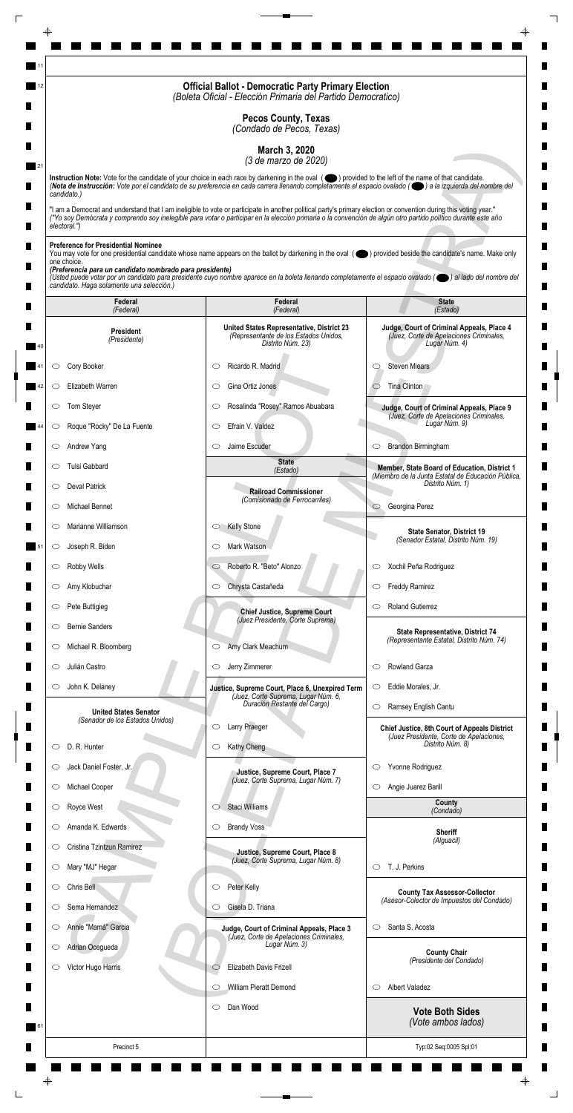|                                                                         | <b>Official Ballot - Democratic Party Primary Election</b><br>(Boleta Oficial - Elección Primaria del Partido Democratico)                                                                                                                                                                                                         |                                                                                                       |
|-------------------------------------------------------------------------|------------------------------------------------------------------------------------------------------------------------------------------------------------------------------------------------------------------------------------------------------------------------------------------------------------------------------------|-------------------------------------------------------------------------------------------------------|
|                                                                         | <b>Pecos County, Texas</b><br>(Condado de Pecos, Texas)                                                                                                                                                                                                                                                                            |                                                                                                       |
|                                                                         | March 3, 2020                                                                                                                                                                                                                                                                                                                      |                                                                                                       |
|                                                                         | (3 de marzo de 2020)<br>Instruction Note: Vote for the candidate of your choice in each race by darkening in the oval (O) provided to the left of the name of that candidate.                                                                                                                                                      |                                                                                                       |
| candidato.)                                                             | (Nota de Instrucción: Vote por el candidato de su preferencia en cada carrera llenando completamente el espacio ovalado ((e) a la izquierda del nombre del                                                                                                                                                                         |                                                                                                       |
| electoral.")                                                            | "I am a Democrat and understand that I am ineligible to vote or participate in another political party's primary election or convention during this voting year."<br>("Yo soy Demócrata y comprendo soy inelegible para votar o participar en la elección primaria o la convención de algún otro partido político durante este año |                                                                                                       |
| <b>Preference for Presidential Nominee</b>                              |                                                                                                                                                                                                                                                                                                                                    |                                                                                                       |
| one choice.<br>(Preferencia para un candidato nombrado para presidente) | You may vote for one presidential candidate whose name appears on the ballot by darkening in the oval (objetived beside the candidate's name. Make only                                                                                                                                                                            |                                                                                                       |
| candidato. Haga solamente una selección.)                               | (Usted puede votar por un candidato para presidente cuyo nombre aparece en la boleta llenando completamente el espacio ovalado (el al lado del nombre del                                                                                                                                                                          |                                                                                                       |
| Federal<br>(Federal)                                                    | Federal<br>(Federal)                                                                                                                                                                                                                                                                                                               | <b>State</b><br>(Estado)                                                                              |
| <b>President</b><br>(Presidente)                                        | United States Representative, District 23<br>(Representante de los Estados Unidos,<br>Distrito Núm. 23)                                                                                                                                                                                                                            | Judge, Court of Criminal Appeals, Place 4<br>(Juez, Corte de Apelaciones Criminales,<br>Lugar Núm. 4) |
| Cory Booker<br>O                                                        | Ricardo R. Madrid<br>C                                                                                                                                                                                                                                                                                                             | <b>Steven Miears</b><br>O                                                                             |
| Elizabeth Warren<br>O                                                   | Gina Ortiz Jones<br>O                                                                                                                                                                                                                                                                                                              | Tina Clinton                                                                                          |
| Tom Steyer                                                              | Rosalinda "Rosey" Ramos Abuabara                                                                                                                                                                                                                                                                                                   | Judge, Court of Criminal Appeals, Place 9<br>(Juez, Corte de Apelaciones Criminales,                  |
| Roque "Rocky" De La Fuente<br>$\circ$                                   | Efrain V. Valdez<br>$\circlearrowright$                                                                                                                                                                                                                                                                                            | Lugar Núm. 9)                                                                                         |
| Andrew Yang<br>$\circ$                                                  | Jaime Escuder<br>$\circlearrowright$                                                                                                                                                                                                                                                                                               | Brandon Birmingham<br>$\circ$                                                                         |
| Tulsi Gabbard<br>O                                                      | <b>State</b><br>(Estado)                                                                                                                                                                                                                                                                                                           | Member, State Board of Education, District 1<br>(Miembro de la Junta Estatal de Educación Pública,    |
| <b>Deval Patrick</b><br>$\circ$                                         | <b>Railroad Commissioner</b><br>(Comisionado de Ferrocarriles)                                                                                                                                                                                                                                                                     | Distrito Núm. 1)                                                                                      |
| Michael Bennet<br>O                                                     |                                                                                                                                                                                                                                                                                                                                    | Georgina Perez<br>$\circ$                                                                             |
| Marianne Williamson<br>$\circ$                                          | <b>Kelly Stone</b><br>$\circ$                                                                                                                                                                                                                                                                                                      | <b>State Senator, District 19</b><br>(Senador Estatal, Distrito Núm. 19)                              |
| Joseph R. Biden<br>$\circ$                                              | Mark Watson<br>O                                                                                                                                                                                                                                                                                                                   |                                                                                                       |
| Robby Wells<br>$\circ$                                                  | Roberto R. "Beto" Alonzo<br>$\circ$                                                                                                                                                                                                                                                                                                | Xochil Peña Rodriguez<br>$\circ$                                                                      |
| Amy Klobuchar<br>O                                                      | Chrysta Castañeda<br>$\circ$                                                                                                                                                                                                                                                                                                       | <b>Freddy Ramirez</b><br>$\circ$                                                                      |
| Pete Buttigieg<br>$\circ$                                               | <b>Chief Justice, Supreme Court</b><br>(Juez Presidente, Corte Suprema)                                                                                                                                                                                                                                                            | <b>Roland Gutierrez</b><br>O                                                                          |
| <b>Bernie Sanders</b><br>O<br>Michael R. Bloomberg                      | Amy Clark Meachum<br>$\circ$                                                                                                                                                                                                                                                                                                       | State Representative, District 74<br>(Representante Estatal, Distrito Núm. 74)                        |
| $\cup$<br>Julián Castro<br>O                                            | Jerry Zimmerer<br>$\circ$                                                                                                                                                                                                                                                                                                          | Rowland Garza<br>$\circlearrowright$                                                                  |
| John K. Delaney<br>$\circ$                                              | Justice, Supreme Court, Place 6, Unexpired Term                                                                                                                                                                                                                                                                                    | Eddie Morales, Jr.<br>$\circ$                                                                         |
|                                                                         | (Juez, Corte Suprema, Lugar Núm. 6,<br>Duración Restante del Cargo)                                                                                                                                                                                                                                                                | Ramsey English Cantu<br>$\circlearrowright$                                                           |
| <b>United States Senator</b><br>(Senador de los Estados Unidos)         | Larry Praeger<br>O                                                                                                                                                                                                                                                                                                                 | <b>Chief Justice, 8th Court of Appeals District</b>                                                   |
| D. R. Hunter<br>O                                                       | Kathy Cheng<br>$\circ$                                                                                                                                                                                                                                                                                                             | (Juez Presidente, Corte de Apelaciones,<br>Distrito Núm. 8)                                           |
| Jack Daniel Foster, Jr.<br>O                                            | Justice, Supreme Court, Place 7                                                                                                                                                                                                                                                                                                    | Yvonne Rodriguez<br>$\circ$                                                                           |
| Michael Cooper<br>$\circ$                                               | (Juez, Corte Suprema, Lugar Núm. 7)                                                                                                                                                                                                                                                                                                | Angie Juarez Barill<br>$\circ$                                                                        |
| Royce West                                                              | Staci Williams                                                                                                                                                                                                                                                                                                                     | County<br>(Condado)                                                                                   |
| Amanda K. Edwards<br>O                                                  | <b>Brandy Voss</b><br>$\circ$                                                                                                                                                                                                                                                                                                      | <b>Sheriff</b>                                                                                        |
| Cristina Tzintzun Ramirez<br>$\circ$                                    | Justice, Supreme Court, Place 8                                                                                                                                                                                                                                                                                                    | (Alguacil)                                                                                            |
| Mary "MJ" Hegar<br>$\circ$                                              | (Juez, Corte Suprema, Lugar Núm. 8)                                                                                                                                                                                                                                                                                                | T. J. Perkins<br>$\circ$                                                                              |
| Chris Bell<br>O                                                         | Peter Kelly<br>$\circ$                                                                                                                                                                                                                                                                                                             | <b>County Tax Assessor-Collector</b><br>(Asesor-Colector de Impuestos del Condado)                    |
| Sema Hernandez<br>O                                                     | Gisela D. Triana<br>O                                                                                                                                                                                                                                                                                                              |                                                                                                       |
| Annie "Mamá" Garcia<br>$\circ$                                          | Judge, Court of Criminal Appeals, Place 3<br>(Juez, Corte de Apelaciones Criminales,<br>Lugar Núm. 3)                                                                                                                                                                                                                              | Santa S. Acosta<br>$\circlearrowright$                                                                |
| Adrian Ocegueda<br>$\circ$                                              | Elizabeth Davis Frizell                                                                                                                                                                                                                                                                                                            | <b>County Chair</b><br>(Presidente del Condado)                                                       |
| Victor Hugo Harris<br>O                                                 | $\circlearrowright$<br>William Pieratt Demond<br>$\circlearrowright$                                                                                                                                                                                                                                                               | <b>Albert Valadez</b><br>$\circ$                                                                      |
|                                                                         | Dan Wood<br>$\circ$                                                                                                                                                                                                                                                                                                                |                                                                                                       |
|                                                                         |                                                                                                                                                                                                                                                                                                                                    | <b>Vote Both Sides</b><br>(Vote ambos lados)                                                          |
| Precinct 5                                                              |                                                                                                                                                                                                                                                                                                                                    | Typ:02 Seq:0005 Spl:01                                                                                |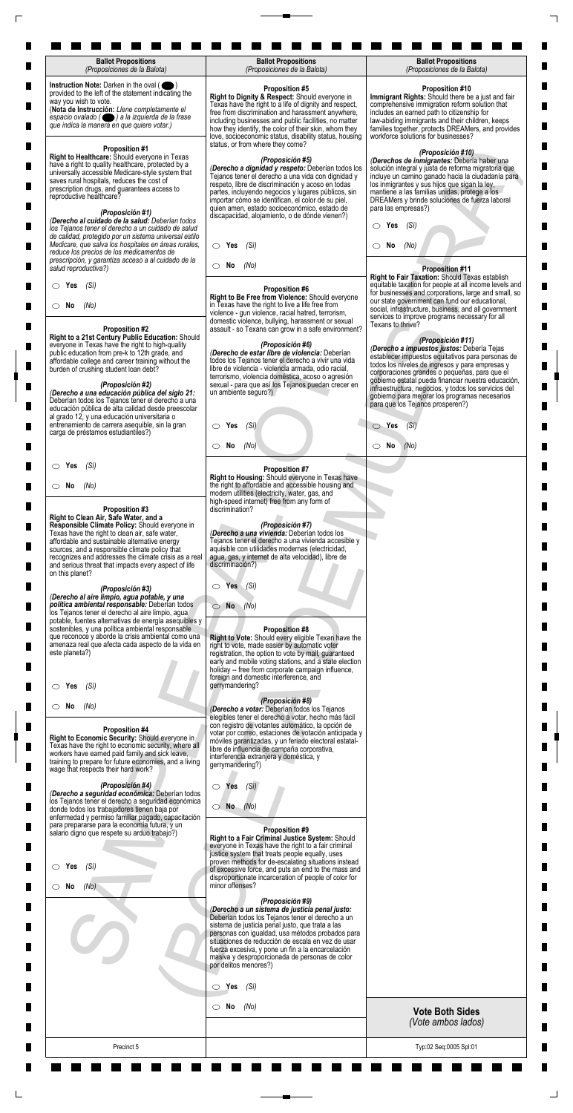| <b>Ballot Propositions</b><br>(Proposiciones de la Balota)                                                                                                                                                                                                                                                                                                                         | <b>Ballot Propositions</b><br>(Proposiciones de la Balota)                                                                                                                                                                                                                                                                                                                                                          | <b>Ballot Propositions</b><br>(Proposiciones de la Balota)                                                                                                                                                                                                                                                                                                                                |
|------------------------------------------------------------------------------------------------------------------------------------------------------------------------------------------------------------------------------------------------------------------------------------------------------------------------------------------------------------------------------------|---------------------------------------------------------------------------------------------------------------------------------------------------------------------------------------------------------------------------------------------------------------------------------------------------------------------------------------------------------------------------------------------------------------------|-------------------------------------------------------------------------------------------------------------------------------------------------------------------------------------------------------------------------------------------------------------------------------------------------------------------------------------------------------------------------------------------|
| Instruction Note: Darken in the oval (<br>provided to the left of the statement indicating the<br>way you wish to vote.<br>(Nota de Instrucción: Llene completamente el<br>espacio ovalado ( ) a la izquierda de la frase<br>que indica la manera en que quiere votar.)                                                                                                            | <b>Proposition #5</b><br>Right to Dignity & Respect: Should everyone in<br>Texas have the right to a life of dignity and respect,<br>free from discrimination and harassment anywhere,<br>including businesses and public facilities, no matter<br>how they identify, the color of their skin, whom they<br>love, socioeconomic status, disability status, housing<br>status, or from where they come?              | <b>Proposition #10</b><br>Immigrant Rights: Should there be a just and fair<br>comprehensive immigration reform solution that<br>includes an earned path to citizenship for<br>law-abiding immigrants and their children, keeps<br>families together, protects DREAMers, and provides<br>workforce solutions for businesses?                                                              |
| <b>Proposition #1</b><br>Right to Healthcare: Should everyone in Texas<br>have a right to quality healthcare, protected by a<br>universally accessible Medicare-style system that<br>saves rural hospitals, reduces the cost of<br>prescription drugs, and guarantees access to<br>reproductive healthcare?<br>(Proposición #1)<br>(Derecho al cuidado de la salud: Deberían todos | (Proposición #5)<br>(Derecho a dignidad y respeto: Deberían todos los<br>Tejanos tener el derecho a una vida con dignidad y<br>respeto, libre de discriminación y acoso en todas<br>partes, incluyendo negocios y lugares públicos, sin<br>importar cómo se identifican, el color de su piel,<br>quien amen, estado socioeconómico, estado de<br>discapacidad, alojamiento, o de dónde vienen?)                     | (Proposición #10)<br>(Derechos de inmigrantes: Debería haber una<br>solución integral y justa de reforma migratoria que<br>incluye un camino ganado hacia la ciudadanía para<br>los inmigrantes y sus hijos que sigan la ley,<br>mantiene a las familias unidas, protege a los<br>DREAMers y brinde soluciones de fuerza laboral<br>para las empresas?)                                   |
| los Tejanos tener el derecho a un cuidado de salud<br>de calidad, protegido por un sistema universal estilo<br>Medicare, que salva los hospitales en áreas rurales,<br>reduce los precios de los medicamentos de                                                                                                                                                                   | $\circ$ Yes<br>(Sí)                                                                                                                                                                                                                                                                                                                                                                                                 | Yes<br>(Sí)<br>O<br>No<br>(No)<br>CD.                                                                                                                                                                                                                                                                                                                                                     |
| prescripción, y garantiza acceso a al cuidado de la<br>salud reproductiva?)                                                                                                                                                                                                                                                                                                        | $\circ$ No<br>(No)                                                                                                                                                                                                                                                                                                                                                                                                  | <b>Proposition #11</b><br>Right to Fair Taxation: Should Texas establish                                                                                                                                                                                                                                                                                                                  |
| (Sí)<br>$\circ$ Yes<br>$\circ$ No<br>(No)<br><b>Proposition #2</b>                                                                                                                                                                                                                                                                                                                 | <b>Proposition #6</b><br>Right to Be Free from Violence: Should everyone<br>in Texas have the right to live a life free from<br>violence - gun violence, racial hatred, terrorism,<br>domestic violence, bullying, harassment or sexual<br>assault - so Texans can grow in a safe environment?                                                                                                                      | equitable taxation for people at all income levels and<br>for businesses and corporations, large and small, so<br>our state government can fund our educational,<br>social, infrastructure, business, and all government<br>services to improve programs necessary for all<br>Texans to thrive?                                                                                           |
| Right to a 21st Century Public Education: Should<br>everyone in Texas have the right to high-quality<br>public education from pre-k to 12th grade, and<br>affordable college and career training without the<br>burden of crushing student loan debt?<br>(Proposición #2)<br>(Derecho a una educación pública del siglo 21:                                                        | (Proposición #6)<br>(Derecho de estar libre de violencia: Deberían<br>todos los Tejanos tener el derecho a vivir una vida<br>libre de violencia - violencia armada, odio racial,<br>terrorismo, violencia doméstica, acoso o agresión<br>sexual - para que así los Tejanos puedan crecer en<br>un ambiente seguro?)                                                                                                 | (Proposición #11)<br>(Derecho a impuestos justos: Debería Tejas<br>establecer impuestos equitativos para personas de<br>todos los niveles de ingresos y para empresas y<br>corporaciones grandes o pequeñas, para que el<br>gobierno estatal pueda financiar nuestra educación,<br>infraestructura, negocios, y todos los servicios del<br>gobierno para mejorar los programas necesarios |
| Deberían todos los Tejanos tener el derecho a una<br>educación pública de alta calidad desde preescolar<br>al grado 12, y una educación universitaria o<br>entrenamiento de carrera asequible, sin la gran<br>carga de préstamos estudiantiles?)                                                                                                                                   | $\circ$ Yes<br>(Si)                                                                                                                                                                                                                                                                                                                                                                                                 | para que los Tejanos prosperen?)<br>$\circ$ Yes<br>(Si)                                                                                                                                                                                                                                                                                                                                   |
|                                                                                                                                                                                                                                                                                                                                                                                    | No<br>(No)<br>$\circ$                                                                                                                                                                                                                                                                                                                                                                                               | $\circ$ No<br>(No)                                                                                                                                                                                                                                                                                                                                                                        |
| (Sí)<br>$\circ$ Yes                                                                                                                                                                                                                                                                                                                                                                | <b>Proposition #7</b><br>Right to Housing: Should everyone in Texas have                                                                                                                                                                                                                                                                                                                                            |                                                                                                                                                                                                                                                                                                                                                                                           |
| $\circ$ No<br>(No)<br>Proposition #3                                                                                                                                                                                                                                                                                                                                               | the right to affordable and accessible housing and<br>modern utilities (electricity, water, gas, and<br>high-speed internet) free from any form of<br>discrimination?                                                                                                                                                                                                                                               |                                                                                                                                                                                                                                                                                                                                                                                           |
| Right to Clean Air, Safe Water, and a<br>Responsible Climate Policy: Should everyone in<br>Texas have the right to clean air, safe water,<br>affordable and sustainable alternative energy<br>sources, and a responsible climate policy that<br>recognizes and addresses the climate crisis as a real<br>and serious threat that impacts every aspect of life<br>on this planet?   | (Proposición #7)<br>(Derecho a una vivienda: Deberían todos los<br>Tejanos tener el derecho a una vivienda accesible y<br>aquisible con utilidades modernas (electricidad,<br>agua, gas, y internet de alta velocidad), libre de<br>discriminación?)                                                                                                                                                                |                                                                                                                                                                                                                                                                                                                                                                                           |
| (Proposición #3)<br>(Derecho al aire limpio, agua potable, y una<br>política ambiental responsable: Deberían todos<br>los Tejanos tener el derecho al aire limpio, agua<br>potable, fuentes alternativas de energía asequibles y                                                                                                                                                   | Yes<br>$\bigcirc$<br>(Si)<br><b>No</b><br>(No)<br>01                                                                                                                                                                                                                                                                                                                                                                |                                                                                                                                                                                                                                                                                                                                                                                           |
| sostenibles, y una política ambiental responsable<br>que reconoce y aborde la crisis ambiental como una<br>amenaza real que afecta cada aspecto de la vida en<br>este planeta?)                                                                                                                                                                                                    | <b>Proposition #8</b><br>Right to Vote: Should every eligible Texan have the<br>right to vote, made easier by automatic voter<br>registration, the option to vote by mail, guaranteed<br>early and mobile voting stations, and a state election<br>holiday -- free from corporate campaign influence,<br>foreign and domestic interference, and                                                                     |                                                                                                                                                                                                                                                                                                                                                                                           |
| (Si)<br>Yes<br>$\circ$ No<br>(No)                                                                                                                                                                                                                                                                                                                                                  | gerrymandering?<br>(Proposición #8)<br>(Derecho a votar: Deberían todos los Tejanos                                                                                                                                                                                                                                                                                                                                 |                                                                                                                                                                                                                                                                                                                                                                                           |
| Proposition #4<br>Right to Economic Security: Should everyone in<br>Texas have the right to economic security, where all<br>workers have earned paid family and sick leave,<br>training to prepare for future economies, and a living<br>wage that respects their hard work?                                                                                                       | elegibles tener el derecho a votar, hecho más fácil<br>con registro de votantes automático, la opción de<br>votar por correo, estaciones de votación anticipada y<br>móviles garantizadas, y un feriado electoral estatal-<br>libre de influencia de campaña corporativa,<br>interferencia extranjera y doméstica, y<br>gerrymandering?)                                                                            |                                                                                                                                                                                                                                                                                                                                                                                           |
| (Proposición #4)<br>(Derecho a seguridad económica: Deberían todos<br>los Tejanos tener el derecho a seguridad económica<br>donde todos los trabajadores tienen baja por<br>enfermedad y permiso familiar pagado, capacitación                                                                                                                                                     | (Si)<br>$\circ$ Yes<br>$\bigcirc$ No $(No)$                                                                                                                                                                                                                                                                                                                                                                         |                                                                                                                                                                                                                                                                                                                                                                                           |
| para prepararse para la economía futura, y un<br>salario digno que respete su arduo trabajo?)                                                                                                                                                                                                                                                                                      | Proposition #9<br>Right to a Fair Criminal Justice System: Should<br>everyone in Texas have the right to a fair criminal<br>justice system that treats people equally, uses<br>proven methods for de-escalating situations instead                                                                                                                                                                                  |                                                                                                                                                                                                                                                                                                                                                                                           |
| $\circ$ Yes<br>(Si)<br>(No)<br>$\circ$ No                                                                                                                                                                                                                                                                                                                                          | of excessive force, and puts an end to the mass and<br>disproportionate incarceration of people of color for<br>minor offenses?                                                                                                                                                                                                                                                                                     |                                                                                                                                                                                                                                                                                                                                                                                           |
|                                                                                                                                                                                                                                                                                                                                                                                    | (Proposición #9)<br>(Derecho a un sistema de justicia penal justo:<br>Deberían todos los Tejanos tener el derecho a un<br>sistema de justicia penal justo, que trata a las<br>personas con igualdad, usa métodos probados para<br>situaciones de reducción de escala en vez de usar<br>fuerza excesiva, y pone un fin a la encarcelación<br>masiva y desproporcionada de personas de color<br>por delitos menores?) |                                                                                                                                                                                                                                                                                                                                                                                           |
|                                                                                                                                                                                                                                                                                                                                                                                    | $\circ$ Yes<br>(Sí)                                                                                                                                                                                                                                                                                                                                                                                                 |                                                                                                                                                                                                                                                                                                                                                                                           |
|                                                                                                                                                                                                                                                                                                                                                                                    | $\circ$ No<br>(No)                                                                                                                                                                                                                                                                                                                                                                                                  | <b>Vote Both Sides</b><br>(Vote ambos lados)                                                                                                                                                                                                                                                                                                                                              |
| Precinct 5                                                                                                                                                                                                                                                                                                                                                                         |                                                                                                                                                                                                                                                                                                                                                                                                                     | Typ:02 Seq:0005 Spl:01                                                                                                                                                                                                                                                                                                                                                                    |
|                                                                                                                                                                                                                                                                                                                                                                                    |                                                                                                                                                                                                                                                                                                                                                                                                                     |                                                                                                                                                                                                                                                                                                                                                                                           |

 $\Box$ 

 $\Box$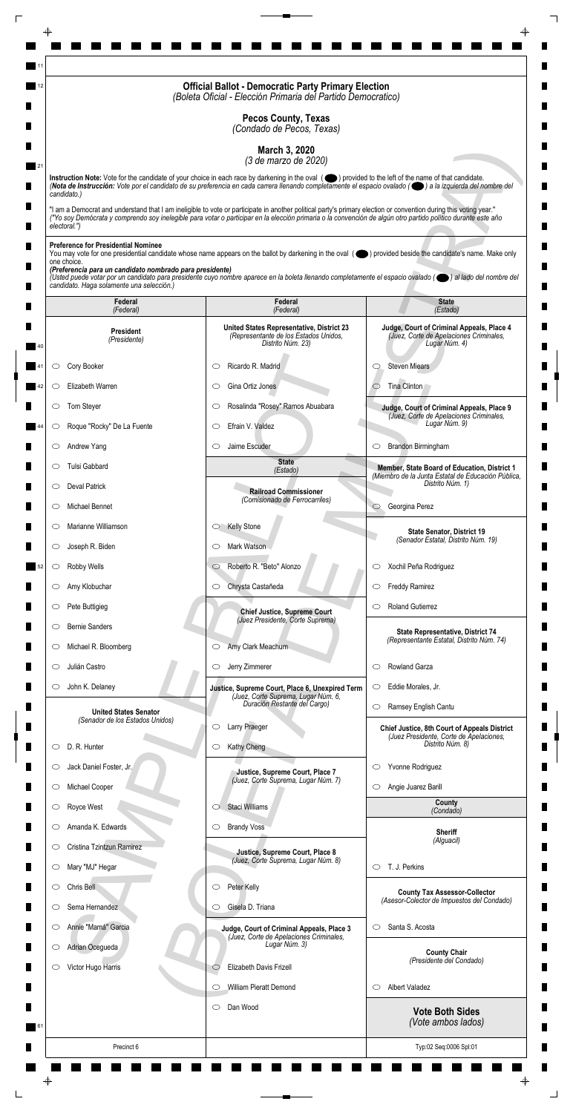|                                                                                                                                                                    | <b>Official Ballot - Democratic Party Primary Election</b><br>(Boleta Oficial - Elección Primaria del Partido Democratico)                                                                                                                                                                                                         |                                                                                                       |
|--------------------------------------------------------------------------------------------------------------------------------------------------------------------|------------------------------------------------------------------------------------------------------------------------------------------------------------------------------------------------------------------------------------------------------------------------------------------------------------------------------------|-------------------------------------------------------------------------------------------------------|
|                                                                                                                                                                    | <b>Pecos County, Texas</b><br>(Condado de Pecos, Texas)                                                                                                                                                                                                                                                                            |                                                                                                       |
|                                                                                                                                                                    | March 3, 2020                                                                                                                                                                                                                                                                                                                      |                                                                                                       |
|                                                                                                                                                                    | (3 de marzo de 2020)<br>Instruction Note: Vote for the candidate of your choice in each race by darkening in the oval (O) provided to the left of the name of that candidate.                                                                                                                                                      |                                                                                                       |
| candidato.)                                                                                                                                                        | (Nota de Instrucción: Vote por el candidato de su preferencia en cada carrera llenando completamente el espacio ovalado ((e) a la izquierda del nombre del                                                                                                                                                                         |                                                                                                       |
| electoral.")                                                                                                                                                       | "I am a Democrat and understand that I am ineligible to vote or participate in another political party's primary election or convention during this voting year."<br>("Yo soy Demócrata y comprendo soy inelegible para votar o participar en la elección primaria o la convención de algún otro partido político durante este año |                                                                                                       |
| <b>Preference for Presidential Nominee</b><br>one choice.<br>(Preferencia para un candidato nombrado para presidente)<br>candidato. Haga solamente una selección.) | You may vote for one presidential candidate whose name appears on the ballot by darkening in the oval (objetived beside the candidate's name. Make only<br>(Usted puede votar por un candidato para presidente cuyo nombre aparece en la boleta llenando completamente el espacio ovalado (el al lado del nombre del               |                                                                                                       |
| Federal<br>(Federal)                                                                                                                                               | Federal<br>(Federal)                                                                                                                                                                                                                                                                                                               | <b>State</b><br>(Estado)                                                                              |
| <b>President</b><br>(Presidente)                                                                                                                                   | United States Representative, District 23<br>(Representante de los Estados Unidos,<br>Distrito Núm. 23)                                                                                                                                                                                                                            | Judge, Court of Criminal Appeals, Place 4<br>(Juez, Corte de Apelaciones Criminales,<br>Lugar Núm. 4) |
| Cory Booker<br>O                                                                                                                                                   | Ricardo R. Madrid<br>C                                                                                                                                                                                                                                                                                                             | <b>Steven Miears</b><br>O                                                                             |
| Elizabeth Warren<br>O                                                                                                                                              | Gina Ortiz Jones<br>O                                                                                                                                                                                                                                                                                                              | Tina Clinton                                                                                          |
| Tom Steyer                                                                                                                                                         | Rosalinda "Rosey" Ramos Abuabara                                                                                                                                                                                                                                                                                                   | Judge, Court of Criminal Appeals, Place 9                                                             |
| Roque "Rocky" De La Fuente<br>$\circ$                                                                                                                              | Efrain V. Valdez<br>$\circlearrowright$                                                                                                                                                                                                                                                                                            | (Juez, Corte de Apelaciones Criminales,<br>Lugar Núm. 9)                                              |
| Andrew Yang<br>$\circ$                                                                                                                                             | Jaime Escuder<br>$\circlearrowright$                                                                                                                                                                                                                                                                                               | Brandon Birmingham<br>$\circ$                                                                         |
| Tulsi Gabbard<br>O                                                                                                                                                 | <b>State</b><br>(Estado)                                                                                                                                                                                                                                                                                                           | Member, State Board of Education, District 1<br>(Miembro de la Junta Estatal de Educación Pública,    |
| <b>Deval Patrick</b><br>$\circ$                                                                                                                                    | <b>Railroad Commissioner</b>                                                                                                                                                                                                                                                                                                       | Distrito Núm. 1)                                                                                      |
| Michael Bennet<br>O                                                                                                                                                | (Comisionado de Ferrocarriles)                                                                                                                                                                                                                                                                                                     | Georgina Perez<br>$\circ$                                                                             |
| Marianne Williamson<br>$\circ$                                                                                                                                     | <b>Kelly Stone</b><br>$\circ$                                                                                                                                                                                                                                                                                                      | <b>State Senator, District 19</b><br>(Senador Estatal, Distrito Núm. 19)                              |
| Joseph R. Biden<br>$\circ$                                                                                                                                         | Mark Watson<br>O                                                                                                                                                                                                                                                                                                                   |                                                                                                       |
| Robby Wells<br>$\circ$                                                                                                                                             | Roberto R. "Beto" Alonzo<br>$\circ$                                                                                                                                                                                                                                                                                                | Xochil Peña Rodriguez<br>$\circ$                                                                      |
| Amy Klobuchar<br>$\circ$                                                                                                                                           | Chrysta Castañeda<br>$\circ$                                                                                                                                                                                                                                                                                                       | <b>Freddy Ramirez</b><br>$\circ$                                                                      |
| Pete Buttigieg<br>$\circ$                                                                                                                                          | <b>Chief Justice, Supreme Court</b><br>(Juez Presidente, Corte Suprema)                                                                                                                                                                                                                                                            | <b>Roland Gutierrez</b><br>O                                                                          |
| <b>Bernie Sanders</b><br>O                                                                                                                                         |                                                                                                                                                                                                                                                                                                                                    | State Representative, District 74<br>(Representante Estatal, Distrito Núm. 74)                        |
| Michael R. Bloomberg<br>$\cup$                                                                                                                                     | Amy Clark Meachum<br>$\circ$                                                                                                                                                                                                                                                                                                       |                                                                                                       |
| Julián Castro<br>O<br>John K. Delaney<br>$\circ$                                                                                                                   | Jerry Zimmerer<br>$\circ$                                                                                                                                                                                                                                                                                                          | Rowland Garza<br>$\circlearrowright$<br>Eddie Morales, Jr.<br>$\circ$                                 |
|                                                                                                                                                                    | Justice, Supreme Court, Place 6, Unexpired Term<br>(Juez, Corte Suprema, Lugar Núm. 6,<br>Duración Restante del Cargo)                                                                                                                                                                                                             | Ramsey English Cantu<br>$\circlearrowright$                                                           |
| <b>United States Senator</b><br>(Senador de los Estados Unidos)                                                                                                    | Larry Praeger<br>O                                                                                                                                                                                                                                                                                                                 | <b>Chief Justice, 8th Court of Appeals District</b>                                                   |
| D. R. Hunter<br>O                                                                                                                                                  | Kathy Cheng<br>$\circ$                                                                                                                                                                                                                                                                                                             | (Juez Presidente, Corte de Apelaciones,<br>Distrito Núm. 8)                                           |
| Jack Daniel Foster, Jr.<br>O                                                                                                                                       |                                                                                                                                                                                                                                                                                                                                    | Yvonne Rodriguez<br>$\circ$                                                                           |
| Michael Cooper<br>$\circ$                                                                                                                                          | Justice, Supreme Court, Place 7<br>(Juez, Corte Suprema, Lugar Núm. 7)                                                                                                                                                                                                                                                             | Angie Juarez Barill<br>$\circ$                                                                        |
| Royce West                                                                                                                                                         | Staci Williams                                                                                                                                                                                                                                                                                                                     | County<br>(Condado)                                                                                   |
| Amanda K. Edwards<br>O                                                                                                                                             | <b>Brandy Voss</b><br>$\circ$                                                                                                                                                                                                                                                                                                      | <b>Sheriff</b>                                                                                        |
| Cristina Tzintzun Ramirez<br>$\circ$                                                                                                                               | Justice, Supreme Court, Place 8                                                                                                                                                                                                                                                                                                    | (Alguacil)                                                                                            |
| Mary "MJ" Hegar<br>$\circ$                                                                                                                                         | (Juez, Corte Suprema, Lugar Núm. 8)                                                                                                                                                                                                                                                                                                | T. J. Perkins<br>$\circ$                                                                              |
| Chris Bell<br>O                                                                                                                                                    | Peter Kelly<br>$\circ$                                                                                                                                                                                                                                                                                                             | <b>County Tax Assessor-Collector</b>                                                                  |
| Sema Hernandez<br>O                                                                                                                                                | Gisela D. Triana<br>O                                                                                                                                                                                                                                                                                                              | (Asesor-Colector de Impuestos del Condado)                                                            |
| Annie "Mamá" Garcia<br>$\circ$                                                                                                                                     | Judge, Court of Criminal Appeals, Place 3<br>(Juez, Corte de Apelaciones Criminales,                                                                                                                                                                                                                                               | Santa S. Acosta<br>$\circlearrowright$                                                                |
| Adrian Ocegueda<br>$\circ$                                                                                                                                         | Lugar Núm. 3)                                                                                                                                                                                                                                                                                                                      | <b>County Chair</b><br>(Presidente del Condado)                                                       |
| Victor Hugo Harris<br>O                                                                                                                                            | Elizabeth Davis Frizell<br>$\circlearrowright$                                                                                                                                                                                                                                                                                     |                                                                                                       |
|                                                                                                                                                                    | William Pieratt Demond<br>$\circlearrowright$                                                                                                                                                                                                                                                                                      | <b>Albert Valadez</b><br>$\circ$                                                                      |
|                                                                                                                                                                    | Dan Wood<br>$\circ$                                                                                                                                                                                                                                                                                                                | <b>Vote Both Sides</b><br>(Vote ambos lados)                                                          |
| Precinct 6                                                                                                                                                         |                                                                                                                                                                                                                                                                                                                                    | Typ:02 Seq:0006 Spl:01                                                                                |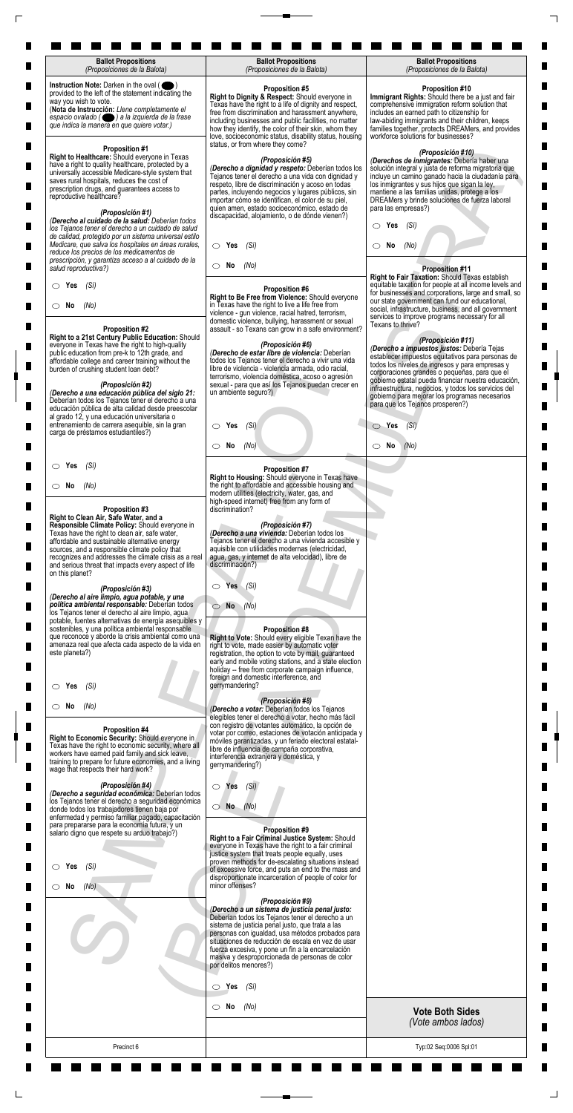| <b>Ballot Propositions</b><br>(Proposiciones de la Balota)                                                                                                                                                                                                                                                                                                                         | <b>Ballot Propositions</b><br>(Proposiciones de la Balota)                                                                                                                                                                                                                                                                                                                                                    | <b>Ballot Propositions</b><br>(Proposiciones de la Balota)                                                                                                                                                                                                                                                                                                                                |
|------------------------------------------------------------------------------------------------------------------------------------------------------------------------------------------------------------------------------------------------------------------------------------------------------------------------------------------------------------------------------------|---------------------------------------------------------------------------------------------------------------------------------------------------------------------------------------------------------------------------------------------------------------------------------------------------------------------------------------------------------------------------------------------------------------|-------------------------------------------------------------------------------------------------------------------------------------------------------------------------------------------------------------------------------------------------------------------------------------------------------------------------------------------------------------------------------------------|
| Instruction Note: Darken in the oval (<br>provided to the left of the statement indicating the<br>way you wish to vote.<br>(Nota de Instrucción: Llene completamente el<br>espacio ovalado ( ) a la izquierda de la frase<br>que indica la manera en que quiere votar.)                                                                                                            | <b>Proposition #5</b><br>Right to Dignity & Respect: Should everyone in<br>Texas have the right to a life of dignity and respect,<br>free from discrimination and harassment anywhere,<br>including businesses and public facilities, no matter<br>how they identify, the color of their skin, whom they<br>love, socioeconomic status, disability status, housing<br>status, or from where they come?        | <b>Proposition #10</b><br>Immigrant Rights: Should there be a just and fair<br>comprehensive immigration reform solution that<br>includes an earned path to citizenship for<br>law-abiding immigrants and their children, keeps<br>families together, protects DREAMers, and provides<br>workforce solutions for businesses?                                                              |
| <b>Proposition #1</b><br>Right to Healthcare: Should everyone in Texas<br>have a right to quality healthcare, protected by a<br>universally accessible Medicare-style system that<br>saves rural hospitals, reduces the cost of<br>prescription drugs, and guarantees access to<br>reproductive healthcare?<br>(Proposición #1)<br>(Derecho al cuidado de la salud: Deberían todos | (Proposición #5)<br>(Derecho a dignidad y respeto: Deberían todos los<br>Tejanos tener el derecho a una vida con dignidad y<br>respeto, libre de discriminación y acoso en todas<br>partes, incluyendo negocios y lugares públicos, sin<br>importar cómo se identifican, el color de su piel,<br>quien amen, estado socioeconómico, estado de<br>discapacidad, alojamiento, o de dónde vienen?)               | (Proposición #10)<br>(Derechos de inmigrantes: Debería haber una<br>solución integral y justa de reforma migratoria que<br>incluye un camino ganado hacia la ciudadanía para<br>los inmigrantes y sus hijos que sigan la ley,<br>mantiene a las familias unidas, protege a los<br>DREAMers y brinde soluciones de fuerza laboral<br>para las empresas?)                                   |
| los Tejanos tener el derecho a un cuidado de salud<br>de calidad, protegido por un sistema universal estilo<br>Medicare, que salva los hospitales en áreas rurales,<br>reduce los precios de los medicamentos de                                                                                                                                                                   | $\circ$ Yes<br>(Sí)                                                                                                                                                                                                                                                                                                                                                                                           | Yes<br>(Sí)<br>O<br>No<br>(No)<br>CD.                                                                                                                                                                                                                                                                                                                                                     |
| prescripción, y garantiza acceso a al cuidado de la<br>salud reproductiva?)                                                                                                                                                                                                                                                                                                        | $\circ$ No<br>(No)                                                                                                                                                                                                                                                                                                                                                                                            | <b>Proposition #11</b><br>Right to Fair Taxation: Should Texas establish                                                                                                                                                                                                                                                                                                                  |
| (Sí)<br>$\circ$ Yes<br>$\circ$ No<br>(No)<br><b>Proposition #2</b>                                                                                                                                                                                                                                                                                                                 | <b>Proposition #6</b><br>Right to Be Free from Violence: Should everyone<br>in Texas have the right to live a life free from<br>violence - gun violence, racial hatred, terrorism,<br>domestic violence, bullying, harassment or sexual<br>assault - so Texans can grow in a safe environment?                                                                                                                | equitable taxation for people at all income levels and<br>for businesses and corporations, large and small, so<br>our state government can fund our educational,<br>social, infrastructure, business, and all government<br>services to improve programs necessary for all<br>Texans to thrive?                                                                                           |
| Right to a 21st Century Public Education: Should<br>everyone in Texas have the right to high-quality<br>public education from pre-k to 12th grade, and<br>affordable college and career training without the<br>burden of crushing student loan debt?<br>(Proposición #2)<br>(Derecho a una educación pública del siglo 21:                                                        | (Proposición #6)<br>(Derecho de estar libre de violencia: Deberían<br>todos los Tejanos tener el derecho a vivir una vida<br>libre de violencia - violencia armada, odio racial,<br>terrorismo, violencia doméstica, acoso o agresión<br>sexual - para que así los Tejanos puedan crecer en<br>un ambiente seguro?)                                                                                           | (Proposición #11)<br>(Derecho a impuestos justos: Debería Tejas<br>establecer impuestos equitativos para personas de<br>todos los niveles de ingresos y para empresas y<br>corporaciones grandes o pequeñas, para que el<br>gobierno estatal pueda financiar nuestra educación,<br>infraestructura, negocios, y todos los servicios del<br>gobierno para mejorar los programas necesarios |
| Deberían todos los Tejanos tener el derecho a una<br>educación pública de alta calidad desde preescolar<br>al grado 12, y una educación universitaria o<br>entrenamiento de carrera asequible, sin la gran<br>carga de préstamos estudiantiles?)                                                                                                                                   | $\circ$ Yes<br>(Si)                                                                                                                                                                                                                                                                                                                                                                                           | para que los Tejanos prosperen?)<br>$\circ$ Yes<br>(Si)                                                                                                                                                                                                                                                                                                                                   |
|                                                                                                                                                                                                                                                                                                                                                                                    | No<br>(No)<br>$\circ$                                                                                                                                                                                                                                                                                                                                                                                         | $\circ$ No<br>(No)                                                                                                                                                                                                                                                                                                                                                                        |
| (Sí)<br>$\circ$ Yes                                                                                                                                                                                                                                                                                                                                                                | <b>Proposition #7</b><br>Right to Housing: Should everyone in Texas have                                                                                                                                                                                                                                                                                                                                      |                                                                                                                                                                                                                                                                                                                                                                                           |
| $\circ$ No<br>(No)<br>Proposition #3                                                                                                                                                                                                                                                                                                                                               | the right to affordable and accessible housing and<br>modern utilities (electricity, water, gas, and<br>high-speed internet) free from any form of<br>discrimination?                                                                                                                                                                                                                                         |                                                                                                                                                                                                                                                                                                                                                                                           |
| Right to Clean Air, Safe Water, and a<br>Responsible Climate Policy: Should everyone in<br>Texas have the right to clean air, safe water,<br>affordable and sustainable alternative energy<br>sources, and a responsible climate policy that<br>recognizes and addresses the climate crisis as a real<br>and serious threat that impacts every aspect of life<br>on this planet?   | (Proposición #7)<br>(Derecho a una vivienda: Deberían todos los<br>Tejanos tener el derecho a una vivienda accesible y<br>aquisible con utilidades modernas (electricidad,<br>agua, gas, y internet de alta velocidad), libre de<br>discriminación?)                                                                                                                                                          |                                                                                                                                                                                                                                                                                                                                                                                           |
| (Proposición #3)<br>(Derecho al aire limpio, agua potable, y una<br>política ambiental responsable: Deberían todos<br>los Tejanos tener el derecho al aire limpio, agua<br>potable, fuentes alternativas de energía asequibles y                                                                                                                                                   | Yes<br>$\bigcirc$<br>(Si)<br><b>No</b><br>(No)<br>01                                                                                                                                                                                                                                                                                                                                                          |                                                                                                                                                                                                                                                                                                                                                                                           |
| sostenibles, y una política ambiental responsable<br>que reconoce y aborde la crisis ambiental como una<br>amenaza real que afecta cada aspecto de la vida en<br>este planeta?)                                                                                                                                                                                                    | <b>Proposition #8</b><br>Right to Vote: Should every eligible Texan have the<br>right to vote, made easier by automatic voter<br>registration, the option to vote by mail, guaranteed<br>early and mobile voting stations, and a state election<br>holiday -- free from corporate campaign influence,<br>foreign and domestic interference, and                                                               |                                                                                                                                                                                                                                                                                                                                                                                           |
| (Si)<br>Yes                                                                                                                                                                                                                                                                                                                                                                        | gerrymandering?<br>(Proposición #8)                                                                                                                                                                                                                                                                                                                                                                           |                                                                                                                                                                                                                                                                                                                                                                                           |
| $\circ$ No<br>(No)<br>Proposition #4<br>Right to Economic Security: Should everyone in<br>Texas have the right to economic security, where all<br>workers have earned paid family and sick leave,<br>training to prepare for future economies, and a living<br>wage that respects their hard work?                                                                                 | (Derecho a votar: Deberían todos los Tejanos<br>elegibles tener el derecho a votar, hecho más fácil<br>con registro de votantes automático, la opción de<br>votar por correo, estaciones de votación anticipada y<br>móviles garantizadas, y un feriado electoral estatal-<br>libre de influencia de campaña corporativa,<br>interferencia extranjera y doméstica, y<br>gerrymandering?)                      |                                                                                                                                                                                                                                                                                                                                                                                           |
| (Proposición #4)<br>(Derecho a seguridad económica: Deberían todos<br>los Tejanos tener el derecho a seguridad económica<br>donde todos los trabajadores tienen baja por<br>enfermedad y permiso familiar pagado, capacitación                                                                                                                                                     | (Si)<br>$\circ$ Yes<br>$\bigcirc$ No $(No)$                                                                                                                                                                                                                                                                                                                                                                   |                                                                                                                                                                                                                                                                                                                                                                                           |
| para prepararse para la economía futura, y un<br>salario digno que respete su arduo trabajo?)<br>$\circ$ Yes<br>(Si)                                                                                                                                                                                                                                                               | Proposition #9<br>Right to a Fair Criminal Justice System: Should<br>everyone in Texas have the right to a fair criminal<br>justice system that treats people equally, uses<br>proven methods for de-escalating situations instead<br>of excessive force, and puts an end to the mass and<br>disproportionate incarceration of people of color for                                                            |                                                                                                                                                                                                                                                                                                                                                                                           |
| (No)<br>$\circ$ No                                                                                                                                                                                                                                                                                                                                                                 | minor offenses?<br>(Proposición #9)<br>(Derecho a un sistema de justicia penal justo:<br>Deberían todos los Tejanos tener el derecho a un<br>sistema de justicia penal justo, que trata a las<br>personas con igualdad, usa métodos probados para<br>situaciones de reducción de escala en vez de usar<br>fuerza excesiva, y pone un fin a la encarcelación<br>masiva y desproporcionada de personas de color |                                                                                                                                                                                                                                                                                                                                                                                           |
|                                                                                                                                                                                                                                                                                                                                                                                    | por delitos menores?)                                                                                                                                                                                                                                                                                                                                                                                         |                                                                                                                                                                                                                                                                                                                                                                                           |
|                                                                                                                                                                                                                                                                                                                                                                                    | $\circ$ Yes<br>(Sí)<br>$\circ$ No<br>(No)                                                                                                                                                                                                                                                                                                                                                                     | <b>Vote Both Sides</b>                                                                                                                                                                                                                                                                                                                                                                    |
|                                                                                                                                                                                                                                                                                                                                                                                    |                                                                                                                                                                                                                                                                                                                                                                                                               | (Vote ambos lados)                                                                                                                                                                                                                                                                                                                                                                        |
| Precinct 6                                                                                                                                                                                                                                                                                                                                                                         |                                                                                                                                                                                                                                                                                                                                                                                                               | Typ:02 Seq:0006 Spl:01                                                                                                                                                                                                                                                                                                                                                                    |

 $\Box$ 

 $\Box$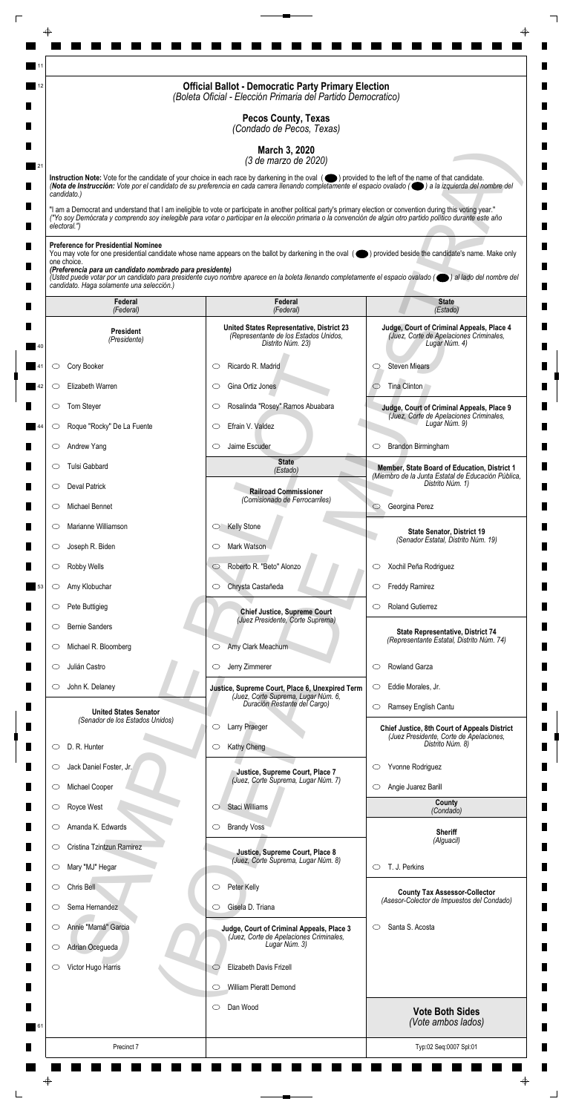|                                                                                                                                                                    | <b>Official Ballot - Democratic Party Primary Election</b><br>(Boleta Oficial - Elección Primaria del Partido Democratico)                                                                                                                                                                                                         |                                                                                                       |
|--------------------------------------------------------------------------------------------------------------------------------------------------------------------|------------------------------------------------------------------------------------------------------------------------------------------------------------------------------------------------------------------------------------------------------------------------------------------------------------------------------------|-------------------------------------------------------------------------------------------------------|
|                                                                                                                                                                    | <b>Pecos County, Texas</b><br>(Condado de Pecos, Texas)                                                                                                                                                                                                                                                                            |                                                                                                       |
|                                                                                                                                                                    | March 3, 2020<br>(3 de marzo de 2020)                                                                                                                                                                                                                                                                                              |                                                                                                       |
|                                                                                                                                                                    | Instruction Note: Vote for the candidate of your choice in each race by darkening in the oval (O) provided to the left of the name of that candidate.<br>(Nota de Instrucción: Vote por el candidato de su preferencia en cada carrera llenando completamente el espacio ovalado ((e) a la izquierda del nombre del                |                                                                                                       |
| candidato.)<br>electoral.")                                                                                                                                        | "I am a Democrat and understand that I am ineligible to vote or participate in another political party's primary election or convention during this voting year."<br>("Yo soy Demócrata y comprendo soy inelegible para votar o participar en la elección primaria o la convención de algún otro partido político durante este año |                                                                                                       |
| <b>Preference for Presidential Nominee</b><br>one choice.<br>(Preferencia para un candidato nombrado para presidente)<br>candidato. Haga solamente una selección.) | You may vote for one presidential candidate whose name appears on the ballot by darkening in the oval (objetived beside the candidate's name. Make only<br>(Usted puede votar por un candidato para presidente cuyo nombre aparece en la boleta llenando completamente el espacio ovalado (el al lado del nombre del               |                                                                                                       |
| Federal<br>(Federal)                                                                                                                                               | Federal<br>(Federal)                                                                                                                                                                                                                                                                                                               | <b>State</b><br>(Estado)                                                                              |
| <b>President</b><br>(Presidente)                                                                                                                                   | United States Representative, District 23<br>(Representante de los Estados Unidos,<br>Distrito Núm. 23)                                                                                                                                                                                                                            | Judge, Court of Criminal Appeals, Place 4<br>(Juez, Corte de Apelaciones Criminales,<br>Lugar Núm. 4) |
| Cory Booker<br>O                                                                                                                                                   | Ricardo R. Madrid<br>C                                                                                                                                                                                                                                                                                                             | <b>Steven Miears</b><br>O                                                                             |
| Elizabeth Warren<br>O                                                                                                                                              | Gina Ortiz Jones<br>O                                                                                                                                                                                                                                                                                                              | Tina Clinton                                                                                          |
| Tom Steyer                                                                                                                                                         | Rosalinda "Rosey" Ramos Abuabara                                                                                                                                                                                                                                                                                                   | Judge, Court of Criminal Appeals, Place 9                                                             |
| Roque "Rocky" De La Fuente<br>$\circ$                                                                                                                              | Efrain V. Valdez<br>$\circlearrowright$                                                                                                                                                                                                                                                                                            | (Juez, Corte de Apelaciones Criminales,<br>Lugar Núm. 9)                                              |
| Andrew Yang<br>$\circ$                                                                                                                                             | Jaime Escuder<br>$\circlearrowright$                                                                                                                                                                                                                                                                                               | Brandon Birmingham<br>$\circ$                                                                         |
| Tulsi Gabbard<br>O                                                                                                                                                 | <b>State</b><br>(Estado)                                                                                                                                                                                                                                                                                                           | Member, State Board of Education, District 1                                                          |
| <b>Deval Patrick</b><br>$\circ$                                                                                                                                    | <b>Railroad Commissioner</b>                                                                                                                                                                                                                                                                                                       | (Miembro de la Junta Estatal de Educación Pública,<br>Distrito Núm. 1)                                |
| Michael Bennet<br>O                                                                                                                                                | (Comisionado de Ferrocarriles)                                                                                                                                                                                                                                                                                                     | Georgina Perez<br>$\circ$                                                                             |
| Marianne Williamson<br>$\circ$                                                                                                                                     | <b>Kelly Stone</b><br>$\circ$                                                                                                                                                                                                                                                                                                      | <b>State Senator, District 19</b>                                                                     |
| Joseph R. Biden<br>$\circ$                                                                                                                                         | Mark Watson<br>O                                                                                                                                                                                                                                                                                                                   | (Senador Estatal, Distrito Núm. 19)                                                                   |
| Robby Wells<br>$\circ$                                                                                                                                             | Roberto R. "Beto" Alonzo<br>$\circ$                                                                                                                                                                                                                                                                                                | Xochil Peña Rodriguez<br>$\circ$                                                                      |
| Amy Klobuchar<br>$\circlearrowright$                                                                                                                               | Chrysta Castañeda<br>$\circ$                                                                                                                                                                                                                                                                                                       | <b>Freddy Ramirez</b><br>$\circ$                                                                      |
| Pete Buttigieg<br>$\circ$                                                                                                                                          | <b>Chief Justice, Supreme Court</b>                                                                                                                                                                                                                                                                                                | <b>Roland Gutierrez</b><br>O                                                                          |
| <b>Bernie Sanders</b><br>O                                                                                                                                         | (Juez Presidente, Corte Suprema)                                                                                                                                                                                                                                                                                                   | State Representative, District 74                                                                     |
| Michael R. Bloomberg<br>$\cup$                                                                                                                                     | Amy Clark Meachum<br>$\circ$                                                                                                                                                                                                                                                                                                       | (Representante Estatal, Distrito Núm. 74)                                                             |
| Julián Castro<br>O                                                                                                                                                 | Jerry Zimmerer<br>$\circ$                                                                                                                                                                                                                                                                                                          | Rowland Garza<br>$\circlearrowright$                                                                  |
| John K. Delaney<br>$\circ$                                                                                                                                         | Justice, Supreme Court, Place 6, Unexpired Term<br>(Juez, Corte Suprema, Lugar Núm. 6,                                                                                                                                                                                                                                             | Eddie Morales, Jr.<br>$\circ$                                                                         |
| <b>United States Senator</b>                                                                                                                                       | Duración Restante del Cargo)                                                                                                                                                                                                                                                                                                       | Ramsey English Cantu<br>$\circlearrowright$                                                           |
| (Senador de los Estados Unidos)                                                                                                                                    | Larry Praeger<br>O                                                                                                                                                                                                                                                                                                                 | <b>Chief Justice, 8th Court of Appeals District</b><br>(Juez Presidente, Corte de Apelaciones,        |
| D. R. Hunter<br>O                                                                                                                                                  | Kathy Cheng<br>$\circ$                                                                                                                                                                                                                                                                                                             | Distrito Núm. 8)                                                                                      |
| Jack Daniel Foster, Jr.<br>O                                                                                                                                       | Justice, Supreme Court, Place 7<br>(Juez, Corte Suprema, Lugar Núm. 7)                                                                                                                                                                                                                                                             | Yvonne Rodriguez<br>$\circ$                                                                           |
| Michael Cooper<br>$\circ$                                                                                                                                          |                                                                                                                                                                                                                                                                                                                                    | Angie Juarez Barill<br>$\circ$<br>County                                                              |
| Royce West                                                                                                                                                         | Staci Williams                                                                                                                                                                                                                                                                                                                     | (Condado)                                                                                             |
| Amanda K. Edwards<br>O                                                                                                                                             | <b>Brandy Voss</b><br>$\circ$                                                                                                                                                                                                                                                                                                      | <b>Sheriff</b><br>(Alguacil)                                                                          |
| Cristina Tzintzun Ramirez<br>$\circ$                                                                                                                               | Justice, Supreme Court, Place 8<br>(Juez, Corte Suprema, Lugar Núm. 8)                                                                                                                                                                                                                                                             |                                                                                                       |
| Mary "MJ" Hegar<br>$\circ$                                                                                                                                         |                                                                                                                                                                                                                                                                                                                                    | T. J. Perkins<br>$\circ$                                                                              |
| Chris Bell<br>O                                                                                                                                                    | Peter Kelly<br>$\circ$                                                                                                                                                                                                                                                                                                             | <b>County Tax Assessor-Collector</b><br>(Asesor-Colector de Impuestos del Condado)                    |
| Sema Hernandez<br>O                                                                                                                                                | Gisela D. Triana<br>O                                                                                                                                                                                                                                                                                                              |                                                                                                       |
| Annie "Mamá" Garcia<br>$\circ$                                                                                                                                     | Judge, Court of Criminal Appeals, Place 3<br>(Juez, Corte de Apelaciones Criminales,<br>Lugar Núm. 3)                                                                                                                                                                                                                              | Santa S. Acosta<br>$\circ$                                                                            |
| Adrian Ocegueda<br>$\circ$<br>Victor Hugo Harris                                                                                                                   | Elizabeth Davis Frizell<br>$\circlearrowright$                                                                                                                                                                                                                                                                                     |                                                                                                       |
| O                                                                                                                                                                  | William Pieratt Demond<br>$\circlearrowright$                                                                                                                                                                                                                                                                                      |                                                                                                       |
|                                                                                                                                                                    | Dan Wood<br>$\circ$                                                                                                                                                                                                                                                                                                                |                                                                                                       |
|                                                                                                                                                                    |                                                                                                                                                                                                                                                                                                                                    | <b>Vote Both Sides</b><br>(Vote ambos lados)                                                          |
| Precinct 7                                                                                                                                                         |                                                                                                                                                                                                                                                                                                                                    | Typ:02 Seq:0007 Spl:01                                                                                |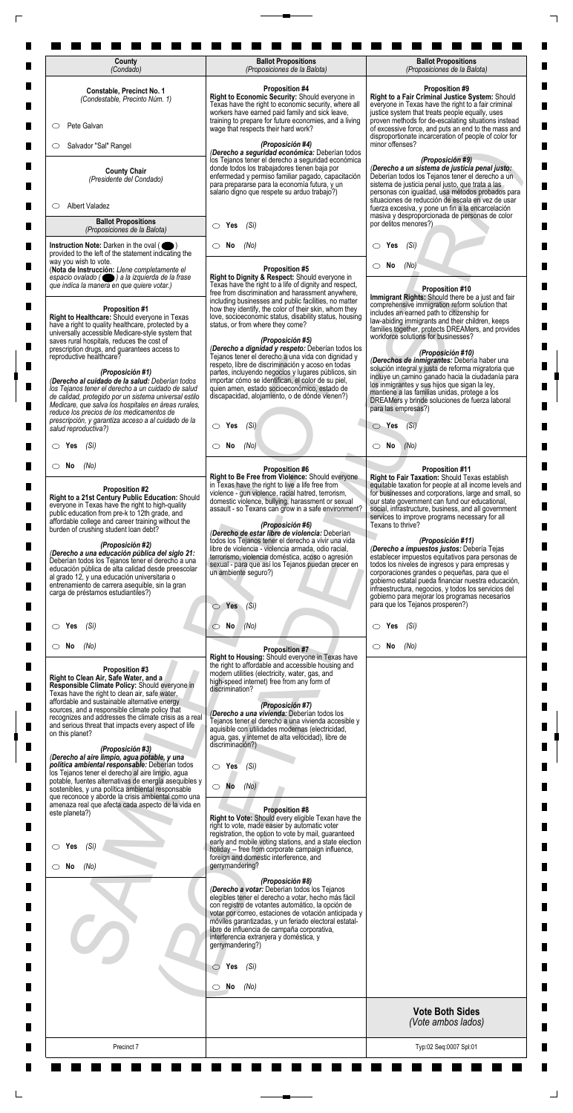| Constable, Precinct No. 1<br>(Condestable, Precinto Núm. 1)                                                                                                                                                                                                                                                                                                                                                                                                                                                                                                                                              | <b>Proposition #4</b><br>Right to Economic Security: Should everyone in<br>Texas have the right to economic security, where all                                                                                                                                                                                                                                                                                                                                                                                                                                                                                                    | <b>Proposition #9</b><br>Right to a Fair Criminal Justice System: Should<br>everyone in Texas have the right to a fair criminal                                                                                                                                                                                                                                                                                                                                                                                                                                                                                                                                                                                                                                                    |
|----------------------------------------------------------------------------------------------------------------------------------------------------------------------------------------------------------------------------------------------------------------------------------------------------------------------------------------------------------------------------------------------------------------------------------------------------------------------------------------------------------------------------------------------------------------------------------------------------------|------------------------------------------------------------------------------------------------------------------------------------------------------------------------------------------------------------------------------------------------------------------------------------------------------------------------------------------------------------------------------------------------------------------------------------------------------------------------------------------------------------------------------------------------------------------------------------------------------------------------------------|------------------------------------------------------------------------------------------------------------------------------------------------------------------------------------------------------------------------------------------------------------------------------------------------------------------------------------------------------------------------------------------------------------------------------------------------------------------------------------------------------------------------------------------------------------------------------------------------------------------------------------------------------------------------------------------------------------------------------------------------------------------------------------|
| Pete Galvan<br>$\circ$                                                                                                                                                                                                                                                                                                                                                                                                                                                                                                                                                                                   | workers have earned paid family and sick leave,<br>training to prepare for future economies, and a living<br>wage that respects their hard work?                                                                                                                                                                                                                                                                                                                                                                                                                                                                                   | justice system that treats people equally, uses<br>proven methods for de-escalating situations instead<br>of excessive force, and puts an end to the mass and                                                                                                                                                                                                                                                                                                                                                                                                                                                                                                                                                                                                                      |
| Salvador "Sal" Rangel<br>O                                                                                                                                                                                                                                                                                                                                                                                                                                                                                                                                                                               | (Proposición #4)<br>(Derecho a seguridad económica: Deberían todos                                                                                                                                                                                                                                                                                                                                                                                                                                                                                                                                                                 | disproportionate incarceration of people of color for<br>minor offenses?                                                                                                                                                                                                                                                                                                                                                                                                                                                                                                                                                                                                                                                                                                           |
| <b>County Chair</b><br>(Presidente del Condado)                                                                                                                                                                                                                                                                                                                                                                                                                                                                                                                                                          | los Tejanos tener el derecho a seguridad económica<br>donde todos los trabajadores tienen baja por<br>enfermedad y permiso familiar pagado, capacitación<br>para prepararse para la economía futura, y un<br>salario digno que respete su arduo trabajo?)                                                                                                                                                                                                                                                                                                                                                                          | (Proposición #9)<br>(Derecho a un sistema de justicia penal justo:<br>Deberían todos los Tejanos tener el derecho a un<br>sistema de justicia penal justo, que trata a las<br>personas con igualdad, usa métodos probados para<br>situaciones de reducción de escala en vez de usar                                                                                                                                                                                                                                                                                                                                                                                                                                                                                                |
| <b>Albert Valadez</b><br>O<br><b>Ballot Propositions</b>                                                                                                                                                                                                                                                                                                                                                                                                                                                                                                                                                 |                                                                                                                                                                                                                                                                                                                                                                                                                                                                                                                                                                                                                                    | fuerza excesiva, y pone un fin a la encarcelación<br>masiva y desproporcionada de personas de color<br>por delitos menores?)                                                                                                                                                                                                                                                                                                                                                                                                                                                                                                                                                                                                                                                       |
| (Proposiciones de la Balota)<br>Instruction Note: Darken in the oval (                                                                                                                                                                                                                                                                                                                                                                                                                                                                                                                                   | Yes<br>(Si)<br>$\circ$<br>(No)<br>No<br>O                                                                                                                                                                                                                                                                                                                                                                                                                                                                                                                                                                                          | Yes<br>(Si)<br>$\circ$                                                                                                                                                                                                                                                                                                                                                                                                                                                                                                                                                                                                                                                                                                                                                             |
| provided to the left of the statement indicating the<br>way you wish to vote.<br>(Nota de Instrucción: Llene completamente el<br>espacio ovalado ( ) a la izquierda de la frase                                                                                                                                                                                                                                                                                                                                                                                                                          | <b>Proposition #5</b><br>Right to Dignity & Respect: Should everyone in                                                                                                                                                                                                                                                                                                                                                                                                                                                                                                                                                            | No<br>(No)                                                                                                                                                                                                                                                                                                                                                                                                                                                                                                                                                                                                                                                                                                                                                                         |
| que indica la manera en que quiere votar.)<br><b>Proposition #1</b><br>Right to Healthcare: Should everyone in Texas<br>have a right to quality healthcare, protected by a<br>universally accessible Medicare-style system that                                                                                                                                                                                                                                                                                                                                                                          | Texas have the right to a life of dignity and respect,<br>free from discrimination and harassment anywhere,<br>including businesses and public facilities, no matter<br>how they identify, the color of their skin, whom they<br>love, socioeconomic status, disability status, housing<br>status, or from where they come?                                                                                                                                                                                                                                                                                                        | Proposition #10<br>Immigrant Rights: Should there be a just and fair<br>comprehensive immigration reform solution that<br>includes an earned path to citizenship for<br>law-abiding immigrants and their children, keeps<br>families together, protects DREAMers, and provides                                                                                                                                                                                                                                                                                                                                                                                                                                                                                                     |
| saves rural hospitals, reduces the cost of<br>prescription drugs, and guarantees access to<br>reproductive healthcare?<br>(Proposición #1)<br>(Derecho al cuidado de la salud: Deberían todos<br>los Tejanos tener el derecho a un cuidado de salud                                                                                                                                                                                                                                                                                                                                                      | (Proposición #5)<br>(Derecho a dignidad y respeto: Deberían todos los<br>Tejanos tener el derecho a una vida con dignidad y<br>respeto, libre de discriminación y acoso en todas<br>partes, incluyendo negocios y lugares públicos, sin<br>importar cómo se identifican, el color de su piel,<br>quien amen, estado socioeconómico, estado de                                                                                                                                                                                                                                                                                      | workforce solutions for businesses?<br>(Proposición #10)<br>(Derechos de inmigrantes: Debería haber una<br>solución integral y justa de reforma migratoria que<br>incluye un camino ganado hacia la ciudadanía para<br>los inmigrantes y sus hijos que sigan la ley,                                                                                                                                                                                                                                                                                                                                                                                                                                                                                                               |
| de calidad, protegido por un sistema universal estilo<br>Medicare, que salva los hospitales en áreas rurales,<br>reduce los precios de los medicamentos de<br>prescripción, y garantiza acceso a al cuidado de la                                                                                                                                                                                                                                                                                                                                                                                        | discapacidad, alojamiento, o de dónde vienen?)                                                                                                                                                                                                                                                                                                                                                                                                                                                                                                                                                                                     | mantiene a las familias unidas, protege a los<br>DREAMers y brinde soluciones de fuerza laboral<br>para las empresas?)                                                                                                                                                                                                                                                                                                                                                                                                                                                                                                                                                                                                                                                             |
| salud reproductiva?)<br>$\circ$ Yes<br>(Sí)                                                                                                                                                                                                                                                                                                                                                                                                                                                                                                                                                              | $\bigcirc$ Yes (Si)<br>$\circ$ No<br>(No)                                                                                                                                                                                                                                                                                                                                                                                                                                                                                                                                                                                          | $\bigcirc$ Yes $(Si)$<br>$\circ$ No<br>(No)                                                                                                                                                                                                                                                                                                                                                                                                                                                                                                                                                                                                                                                                                                                                        |
| $\circ$ No<br>(No)                                                                                                                                                                                                                                                                                                                                                                                                                                                                                                                                                                                       | <b>Proposition #6</b>                                                                                                                                                                                                                                                                                                                                                                                                                                                                                                                                                                                                              | <b>Proposition #11</b>                                                                                                                                                                                                                                                                                                                                                                                                                                                                                                                                                                                                                                                                                                                                                             |
| <b>Proposition #2</b><br>Right to a 21st Century Public Education: Should<br>everyone in Texas have the right to high-quality<br>public education from pre-k to 12th grade, and<br>affordable college and career training without the<br>burden of crushing student loan debt?<br>(Proposición #2)<br>(Derecho a una educación pública del siglo 21:<br>Deberían todos los Tejanos tener el derecho a una<br>educación pública de alta calidad desde preescolar<br>al grado 12, y una educación universitaria o<br>entrenamiento de carrera asequible, sin la gran<br>carga de préstamos estudiantiles?) | Right to Be Free from Violence: Should everyone<br>in Texas have the right to live a life free from<br>violence - gun violence, racial hatred, terrorism,<br>domestic violence, bullying, harassment or sexual<br>assault - so Texans can grow in a safe environment?<br>(Proposición #6)<br>(Derecho de estar libre de violencia: Deberían<br>todos los Tejanos tener el derecho a vivir una vida<br>libre de violencia - violencia armada, odio racial,<br>terrorismo, violencia doméstica, acoso o agresión<br>sexual - para que así los Tejanos puedan crecer en<br>un ambiente seguro?)<br>Yes<br>(Si)<br>$\circlearrowright$ | Right to Fair Taxation: Should Texas establish<br>equitable taxation for people at all income levels and<br>for businesses and corporations, large and small, so<br>our state government can fund our educational,<br>social, infrastructure, business, and all government<br>services to improve programs necessary for all<br>Texans to thrive?<br>(Proposición #11)<br>(Derecho a impuestos justos: Debería Tejas<br>establecer impuestos equitativos para personas de<br>todos los niveles de ingresos y para empresas y<br>corporaciones grandes o pequeñas, para que el<br>gobierno estatal pueda financiar nuestra educación,<br>infraestructura, negocios, y todos los servicios del<br>gobierno para mejorar los programas necesarios<br>para que los Tejanos prosperen?) |
| (Sí)<br>$\circ$ Yes                                                                                                                                                                                                                                                                                                                                                                                                                                                                                                                                                                                      | $\circ$ No<br>(No)                                                                                                                                                                                                                                                                                                                                                                                                                                                                                                                                                                                                                 | Yes<br>(Sí)                                                                                                                                                                                                                                                                                                                                                                                                                                                                                                                                                                                                                                                                                                                                                                        |
| $\circ$ No<br>(No)<br>Proposition #3<br>Right to Clean Air, Safe Water, and a<br>Responsible Climate Policy: Should everyone in<br>Texas have the right to clean air, safe water,<br>affordable and sustainable alternative energy<br>sources, and a responsible climate policy that<br>recognizes and addresses the climate crisis as a real<br>and serious threat that impacts every aspect of life<br>on this planet?<br>(Proposición #3)<br>(Derecho al aire limpio, agua potable, y una<br>política ambiental responsable: Deberían todos                                                           | <b>Proposition #7</b><br>Right to Housing: Should everyone in Texas have<br>the right to affordable and accessible housing and<br>modern utilities (electricity, water, gas, and<br>high-speed internet) free from any form of<br>discrimination?<br>(Proposición #7)<br>(Derecho a una vivienda: Deberían todos los<br>Tejanos tener el derecho a una vivienda accesible y<br>aquisible con utilidades modernas (electricidad,<br>agua, gas, y internet de alta velocidad), libre de<br>discriminación?)<br>$\circ$ Yes<br>(Si)                                                                                                   | $\circ$ No<br>(No)                                                                                                                                                                                                                                                                                                                                                                                                                                                                                                                                                                                                                                                                                                                                                                 |
| los Tejanos tener el derecho al aire limpio, agua<br>potable, fuentes alternativas de energía asequibles y<br>sostenibles, y una política ambiental responsable<br>que reconoce y aborde la crisis ambiental como una<br>amenaza real que afecta cada aspecto de la vida en<br>este planeta?)                                                                                                                                                                                                                                                                                                            | $\bigcirc$ No<br>(No)<br><b>Proposition #8</b><br>Right to Vote: Should every eligible Texan have the                                                                                                                                                                                                                                                                                                                                                                                                                                                                                                                              |                                                                                                                                                                                                                                                                                                                                                                                                                                                                                                                                                                                                                                                                                                                                                                                    |
| (Sí)<br>$\circ$ Yes                                                                                                                                                                                                                                                                                                                                                                                                                                                                                                                                                                                      | right to vote, made easier by automatic voter<br>registration, the option to vote by mail, guaranteed<br>early and mobile voting stations, and a state election<br>holiday -- free from corporate campaign influence,<br>foreign and domestic interference, and                                                                                                                                                                                                                                                                                                                                                                    |                                                                                                                                                                                                                                                                                                                                                                                                                                                                                                                                                                                                                                                                                                                                                                                    |
| $\circ$ No<br>(No)                                                                                                                                                                                                                                                                                                                                                                                                                                                                                                                                                                                       | gerrymandering?<br>(Proposición #8)<br>(Derecho a votar: Deberían todos los Tejanos<br>elegibles tener el derecho a votar, hecho más fácil<br>con registro de votantes automático, la opción de<br>votar por correo, estaciones de votación anticipada y<br>móviles garantizadas, y un feriado electoral estatal-<br>libre de influencia de campaña corporativa,<br>interferencia extranjera y doméstica, y<br>gerrymandering?)                                                                                                                                                                                                    |                                                                                                                                                                                                                                                                                                                                                                                                                                                                                                                                                                                                                                                                                                                                                                                    |
|                                                                                                                                                                                                                                                                                                                                                                                                                                                                                                                                                                                                          |                                                                                                                                                                                                                                                                                                                                                                                                                                                                                                                                                                                                                                    |                                                                                                                                                                                                                                                                                                                                                                                                                                                                                                                                                                                                                                                                                                                                                                                    |

 $\Box$ 

 $\overline{\Gamma}$ 

| Precinct <sub>7</sub>                                                |                                                                                                                                                        | Typ:02 Seq:0007 Spl:01                       |
|----------------------------------------------------------------------|--------------------------------------------------------------------------------------------------------------------------------------------------------|----------------------------------------------|
|                                                                      |                                                                                                                                                        | <b>Vote Both Sides</b><br>(Vote ambos lados) |
|                                                                      | No<br>(No)<br>◯                                                                                                                                        |                                              |
|                                                                      | Yes<br>(Si)<br>◯                                                                                                                                       |                                              |
|                                                                      | gerrymandering?)                                                                                                                                       |                                              |
|                                                                      | móviles garantizadas, y un feriado electoral estatal-<br>libre de influencia de campaña corporativa,<br>interferencia extranjera y doméstica, y        |                                              |
|                                                                      | con registro de votantes automático, la opción de<br>votar por correo, estaciones de votación anticipada y                                             |                                              |
|                                                                      | (Proposición #8)<br>(Derecho a votar: Deberían todos los Tejanos<br>elegibles tener el derecho a votar, hecho más fácil                                |                                              |
| No<br>(No)                                                           | gerrymandering?                                                                                                                                        |                                              |
| (Si)<br>Yes                                                          | early and mobile voting stations, and a state election<br>holiday -- free from corporate campaign influence,<br>foreign and domestic interference, and |                                              |
|                                                                      | right to vote, made easier by automatic voter<br>registration, the option to vote by mail, guaranteed                                                  |                                              |
| amenaza real que afecta cada aspecto de la vida en<br>este planeta?) | <b>Proposition #8</b><br>Right to Vote: Should every eligible Texan have the                                                                           |                                              |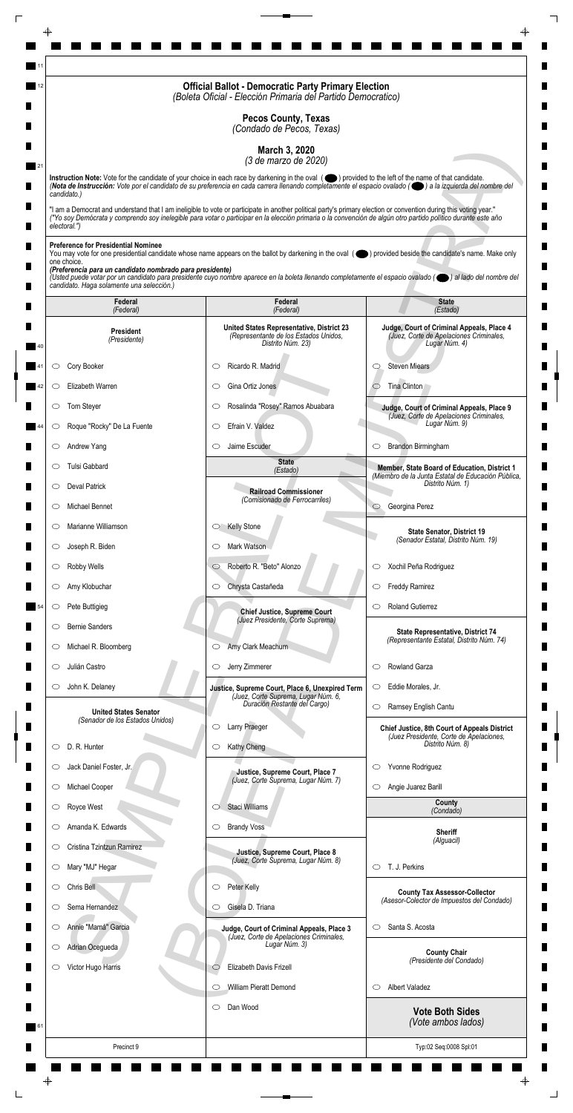|                                                                         | <b>Official Ballot - Democratic Party Primary Election</b><br>(Boleta Oficial - Elección Primaria del Partido Democratico)                                                                                                                                                                                                         |                                                                                                       |
|-------------------------------------------------------------------------|------------------------------------------------------------------------------------------------------------------------------------------------------------------------------------------------------------------------------------------------------------------------------------------------------------------------------------|-------------------------------------------------------------------------------------------------------|
|                                                                         | <b>Pecos County, Texas</b><br>(Condado de Pecos, Texas)                                                                                                                                                                                                                                                                            |                                                                                                       |
|                                                                         | March 3, 2020                                                                                                                                                                                                                                                                                                                      |                                                                                                       |
|                                                                         | (3 de marzo de 2020)<br>Instruction Note: Vote for the candidate of your choice in each race by darkening in the oval (O) provided to the left of the name of that candidate.                                                                                                                                                      |                                                                                                       |
| candidato.)                                                             | (Nota de Instrucción: Vote por el candidato de su preferencia en cada carrera llenando completamente el espacio ovalado ((e) a la izquierda del nombre del                                                                                                                                                                         |                                                                                                       |
| electoral.")                                                            | "I am a Democrat and understand that I am ineligible to vote or participate in another political party's primary election or convention during this voting year."<br>("Yo soy Demócrata y comprendo soy inelegible para votar o participar en la elección primaria o la convención de algún otro partido político durante este año |                                                                                                       |
| <b>Preference for Presidential Nominee</b>                              |                                                                                                                                                                                                                                                                                                                                    |                                                                                                       |
| one choice.<br>(Preferencia para un candidato nombrado para presidente) | You may vote for one presidential candidate whose name appears on the ballot by darkening in the oval (objetived beside the candidate's name. Make only                                                                                                                                                                            |                                                                                                       |
| candidato. Haga solamente una selección.)                               | (Usted puede votar por un candidato para presidente cuyo nombre aparece en la boleta llenando completamente el espacio ovalado (el al lado del nombre del                                                                                                                                                                          |                                                                                                       |
| Federal<br>(Federal)                                                    | Federal<br>(Federal)                                                                                                                                                                                                                                                                                                               | <b>State</b><br>(Estado)                                                                              |
| <b>President</b><br>(Presidente)                                        | United States Representative, District 23<br>(Representante de los Estados Unidos,<br>Distrito Núm. 23)                                                                                                                                                                                                                            | Judge, Court of Criminal Appeals, Place 4<br>(Juez, Corte de Apelaciones Criminales,<br>Lugar Núm. 4) |
| Cory Booker<br>O                                                        | Ricardo R. Madrid<br>C                                                                                                                                                                                                                                                                                                             | <b>Steven Miears</b><br>O                                                                             |
| Elizabeth Warren<br>O                                                   | Gina Ortiz Jones<br>O                                                                                                                                                                                                                                                                                                              | Tina Clinton                                                                                          |
| Tom Steyer                                                              | Rosalinda "Rosey" Ramos Abuabara                                                                                                                                                                                                                                                                                                   | Judge, Court of Criminal Appeals, Place 9<br>(Juez, Corte de Apelaciones Criminales,                  |
| Roque "Rocky" De La Fuente<br>$\circ$                                   | Efrain V. Valdez<br>$\circlearrowright$                                                                                                                                                                                                                                                                                            | Lugar Núm. 9)                                                                                         |
| Andrew Yang<br>$\circ$                                                  | Jaime Escuder<br>$\circlearrowright$                                                                                                                                                                                                                                                                                               | Brandon Birmingham<br>$\circ$                                                                         |
| Tulsi Gabbard<br>O                                                      | <b>State</b><br>(Estado)                                                                                                                                                                                                                                                                                                           | Member, State Board of Education, District 1<br>(Miembro de la Junta Estatal de Educación Pública,    |
| <b>Deval Patrick</b><br>$\circ$                                         | <b>Railroad Commissioner</b><br>(Comisionado de Ferrocarriles)                                                                                                                                                                                                                                                                     | Distrito Núm. 1)                                                                                      |
| Michael Bennet<br>O                                                     |                                                                                                                                                                                                                                                                                                                                    | Georgina Perez<br>$\circ$                                                                             |
| Marianne Williamson<br>$\circ$                                          | <b>Kelly Stone</b><br>$\circ$                                                                                                                                                                                                                                                                                                      | <b>State Senator, District 19</b><br>(Senador Estatal, Distrito Núm. 19)                              |
| Joseph R. Biden<br>$\circ$                                              | Mark Watson<br>O                                                                                                                                                                                                                                                                                                                   |                                                                                                       |
| Robby Wells<br>$\circ$                                                  | Roberto R. "Beto" Alonzo<br>$\circ$                                                                                                                                                                                                                                                                                                | Xochil Peña Rodriguez<br>$\circ$                                                                      |
| Amy Klobuchar<br>$\circ$                                                | Chrysta Castañeda<br>$\circ$                                                                                                                                                                                                                                                                                                       | <b>Freddy Ramirez</b><br>$\circ$                                                                      |
| Pete Buttigieg<br>$\circ$                                               | <b>Chief Justice, Supreme Court</b><br>(Juez Presidente, Corte Suprema)                                                                                                                                                                                                                                                            | <b>Roland Gutierrez</b><br>O                                                                          |
| <b>Bernie Sanders</b><br>O                                              |                                                                                                                                                                                                                                                                                                                                    | State Representative, District 74<br>(Representante Estatal, Distrito Núm. 74)                        |
| Michael R. Bloomberg<br>$\cup$<br>Julián Castro<br>O                    | Amy Clark Meachum<br>$\circ$<br>Jerry Zimmerer<br>$\circ$                                                                                                                                                                                                                                                                          | Rowland Garza<br>$\circlearrowright$                                                                  |
| John K. Delaney<br>$\circ$                                              |                                                                                                                                                                                                                                                                                                                                    | Eddie Morales, Jr.<br>$\circ$                                                                         |
|                                                                         | Justice, Supreme Court, Place 6, Unexpired Term<br>(Juez, Corte Suprema, Lugar Núm. 6,<br>Duración Restante del Cargo)                                                                                                                                                                                                             | Ramsey English Cantu<br>$\circlearrowright$                                                           |
| <b>United States Senator</b><br>(Senador de los Estados Unidos)         | Larry Praeger<br>O                                                                                                                                                                                                                                                                                                                 | <b>Chief Justice, 8th Court of Appeals District</b>                                                   |
| D. R. Hunter<br>O                                                       | Kathy Cheng<br>$\circ$                                                                                                                                                                                                                                                                                                             | (Juez Presidente, Corte de Apelaciones,<br>Distrito Núm. 8)                                           |
| Jack Daniel Foster, Jr.<br>O                                            |                                                                                                                                                                                                                                                                                                                                    | Yvonne Rodriguez<br>$\circ$                                                                           |
| Michael Cooper<br>$\circ$                                               | Justice, Supreme Court, Place 7<br>(Juez, Corte Suprema, Lugar Núm. 7)                                                                                                                                                                                                                                                             | Angie Juarez Barill<br>$\circ$                                                                        |
| Royce West                                                              | Staci Williams                                                                                                                                                                                                                                                                                                                     | County<br>(Condado)                                                                                   |
| Amanda K. Edwards<br>O                                                  | <b>Brandy Voss</b><br>$\circ$                                                                                                                                                                                                                                                                                                      | <b>Sheriff</b>                                                                                        |
| Cristina Tzintzun Ramirez<br>$\circ$                                    | Justice, Supreme Court, Place 8                                                                                                                                                                                                                                                                                                    | (Alguacil)                                                                                            |
| Mary "MJ" Hegar<br>$\circ$                                              | (Juez, Corte Suprema, Lugar Núm. 8)                                                                                                                                                                                                                                                                                                | T. J. Perkins<br>$\circ$                                                                              |
| Chris Bell<br>O                                                         | Peter Kelly<br>$\circ$                                                                                                                                                                                                                                                                                                             | <b>County Tax Assessor-Collector</b>                                                                  |
| Sema Hernandez<br>O                                                     | Gisela D. Triana<br>O                                                                                                                                                                                                                                                                                                              | (Asesor-Colector de Impuestos del Condado)                                                            |
| Annie "Mamá" Garcia<br>$\circ$                                          | Judge, Court of Criminal Appeals, Place 3<br>(Juez, Corte de Apelaciones Criminales,                                                                                                                                                                                                                                               | Santa S. Acosta<br>$\circlearrowright$                                                                |
| Adrian Ocegueda<br>$\circ$                                              | Lugar Núm. 3)                                                                                                                                                                                                                                                                                                                      | <b>County Chair</b>                                                                                   |
| Victor Hugo Harris<br>O                                                 | Elizabeth Davis Frizell<br>$\circlearrowright$                                                                                                                                                                                                                                                                                     | (Presidente del Condado)                                                                              |
|                                                                         | William Pieratt Demond<br>$\circlearrowright$                                                                                                                                                                                                                                                                                      | <b>Albert Valadez</b><br>$\circ$                                                                      |
|                                                                         | Dan Wood<br>$\circ$                                                                                                                                                                                                                                                                                                                | <b>Vote Both Sides</b><br>(Vote ambos lados)                                                          |
| Precinct 9                                                              |                                                                                                                                                                                                                                                                                                                                    | Typ:02 Seq:0008 Spl:01                                                                                |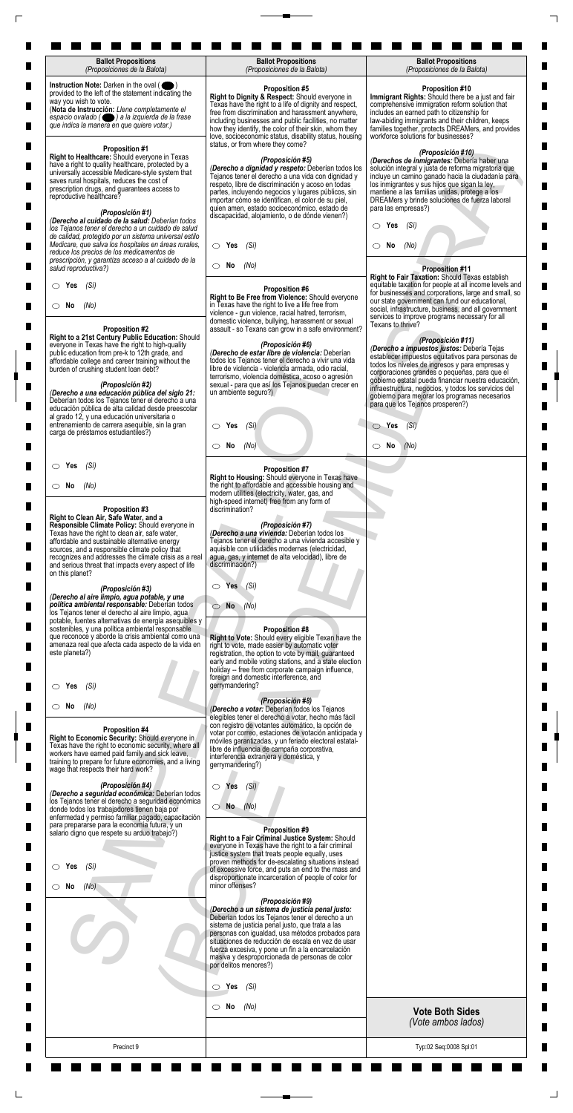| <b>Ballot Propositions</b><br>(Proposiciones de la Balota)                                                                                                                                                                                                                                                                                                                       | <b>Ballot Propositions</b><br>(Proposiciones de la Balota)                                                                                                                                                                                                                                                                                                                                                          | <b>Ballot Propositions</b><br>(Proposiciones de la Balota)                                                                                                                                                                                                                                                                                                                                |
|----------------------------------------------------------------------------------------------------------------------------------------------------------------------------------------------------------------------------------------------------------------------------------------------------------------------------------------------------------------------------------|---------------------------------------------------------------------------------------------------------------------------------------------------------------------------------------------------------------------------------------------------------------------------------------------------------------------------------------------------------------------------------------------------------------------|-------------------------------------------------------------------------------------------------------------------------------------------------------------------------------------------------------------------------------------------------------------------------------------------------------------------------------------------------------------------------------------------|
| Instruction Note: Darken in the oval (<br>provided to the left of the statement indicating the<br>way you wish to vote.<br>(Nota de Instrucción: Llene completamente el<br>espacio ovalado ( ) a la izquierda de la frase<br>que indica la manera en que quiere votar.)                                                                                                          | <b>Proposition #5</b><br>Right to Dignity & Respect: Should everyone in<br>Texas have the right to a life of dignity and respect,<br>free from discrimination and harassment anywhere,<br>including businesses and public facilities, no matter<br>how they identify, the color of their skin, whom they<br>love, socioeconomic status, disability status, housing<br>status, or from where they come?              | <b>Proposition #10</b><br>Immigrant Rights: Should there be a just and fair<br>comprehensive immigration reform solution that<br>includes an earned path to citizenship for<br>law-abiding immigrants and their children, keeps<br>families together, protects DREAMers, and provides<br>workforce solutions for businesses?                                                              |
| <b>Proposition #1</b><br>Right to Healthcare: Should everyone in Texas<br>have a right to quality healthcare, protected by a<br>universally accessible Medicare-style system that<br>saves rural hospitals, reduces the cost of<br>prescription drugs, and guarantees access to<br>reproductive healthcare?<br>(Proposición #1)                                                  | (Proposición #5)<br>(Derecho a dignidad y respeto: Deberían todos los<br>Tejanos tener el derecho a una vida con dignidad y<br>respeto, libre de discriminación y acoso en todas<br>partes, incluyendo negocios y lugares públicos, sin<br>importar cómo se identifican, el color de su piel,<br>quien amen, estado socioeconómico, estado de<br>discapacidad, alojamiento, o de dónde vienen?)                     | (Proposición #10)<br>(Derechos de inmigrantes: Debería haber una<br>solución integral y justa de reforma migratoria que<br>incluye un camino ganado hacia la ciudadanía para<br>los inmigrantes y sus hijos que sigan la ley,<br>mantiene a las familias unidas, protege a los<br>DREAMers y brinde soluciones de fuerza laboral<br>para las empresas?)                                   |
| (Derecho al cuidado de la salud: Deberían todos<br>los Tejanos tener el derecho a un cuidado de salud<br>de calidad, protegido por un sistema universal estilo<br>Medicare, que salva los hospitales en áreas rurales,<br>reduce los precios de los medicamentos de                                                                                                              | $\circ$ Yes<br>(Sí)                                                                                                                                                                                                                                                                                                                                                                                                 | Yes<br>(Sí)<br>O<br>No<br>(No)<br>CD.                                                                                                                                                                                                                                                                                                                                                     |
| prescripción, y garantiza acceso a al cuidado de la<br>salud reproductiva?)                                                                                                                                                                                                                                                                                                      | $\circ$ No<br>(No)                                                                                                                                                                                                                                                                                                                                                                                                  | <b>Proposition #11</b><br>Right to Fair Taxation: Should Texas establish                                                                                                                                                                                                                                                                                                                  |
| (Sí)<br>$\circ$ Yes<br>$\circ$ No<br>(No)<br><b>Proposition #2</b>                                                                                                                                                                                                                                                                                                               | <b>Proposition #6</b><br>Right to Be Free from Violence: Should everyone<br>in Texas have the right to live a life free from<br>violence - gun violence, racial hatred, terrorism,<br>domestic violence, bullying, harassment or sexual<br>assault - so Texans can grow in a safe environment?                                                                                                                      | equitable taxation for people at all income levels and<br>for businesses and corporations, large and small, so<br>our state government can fund our educational,<br>social, infrastructure, business, and all government<br>services to improve programs necessary for all<br>Texans to thrive?                                                                                           |
| Right to a 21st Century Public Education: Should<br>everyone in Texas have the right to high-quality<br>public education from pre-k to 12th grade, and<br>affordable college and career training without the<br>burden of crushing student loan debt?<br>(Proposición #2)<br>(Derecho a una educación pública del siglo 21:                                                      | (Proposición #6)<br>(Derecho de estar libre de violencia: Deberían<br>todos los Tejanos tener el derecho a vivir una vida<br>libre de violencia - violencia armada, odio racial,<br>terrorismo, violencia doméstica, acoso o agresión<br>sexual - para que así los Tejanos puedan crecer en<br>un ambiente seguro?)                                                                                                 | (Proposición #11)<br>(Derecho a impuestos justos: Debería Tejas<br>establecer impuestos equitativos para personas de<br>todos los niveles de ingresos y para empresas y<br>corporaciones grandes o pequeñas, para que el<br>gobierno estatal pueda financiar nuestra educación,<br>infraestructura, negocios, y todos los servicios del<br>gobierno para mejorar los programas necesarios |
| Deberían todos los Tejanos tener el derecho a una<br>educación pública de alta calidad desde preescolar<br>al grado 12, y una educación universitaria o<br>entrenamiento de carrera asequible, sin la gran<br>carga de préstamos estudiantiles?)                                                                                                                                 | $\circ$ Yes<br>(Si)                                                                                                                                                                                                                                                                                                                                                                                                 | para que los Tejanos prosperen?)<br>$\circ$ Yes<br>(Si)                                                                                                                                                                                                                                                                                                                                   |
|                                                                                                                                                                                                                                                                                                                                                                                  | No<br>(No)<br>$\circ$                                                                                                                                                                                                                                                                                                                                                                                               | $\circ$ No<br>(No)                                                                                                                                                                                                                                                                                                                                                                        |
| (Sí)<br>$\circ$ Yes                                                                                                                                                                                                                                                                                                                                                              | <b>Proposition #7</b><br>Right to Housing: Should everyone in Texas have                                                                                                                                                                                                                                                                                                                                            |                                                                                                                                                                                                                                                                                                                                                                                           |
| $\circ$ No<br>(No)<br><b>Proposition #3</b>                                                                                                                                                                                                                                                                                                                                      | the right to affordable and accessible housing and<br>modern utilities (electricity, water, gas, and<br>high-speed internet) free from any form of<br>discrimination?                                                                                                                                                                                                                                               |                                                                                                                                                                                                                                                                                                                                                                                           |
| Right to Clean Air, Safe Water, and a<br>Responsible Climate Policy: Should everyone in<br>Texas have the right to clean air, safe water,<br>affordable and sustainable alternative energy<br>sources, and a responsible climate policy that<br>recognizes and addresses the climate crisis as a real<br>and serious threat that impacts every aspect of life<br>on this planet? | (Proposición #7)<br>(Derecho a una vivienda: Deberían todos los<br>Tejanos tener el derecho a una vivienda accesible y<br>aquisible con utilidades modernas (electricidad,<br>agua, gas, y internet de alta velocidad), libre de<br>discriminación?)                                                                                                                                                                |                                                                                                                                                                                                                                                                                                                                                                                           |
| (Proposición #3)<br>(Derecho al aire limpio, agua potable, y una<br>política ambiental responsable: Deberían todos<br>los Tejanos tener el derecho al aire limpio, agua<br>potable, fuentes alternativas de energía asequibles y<br>sostenibles, y una política ambiental responsable                                                                                            | Yes<br>$\bigcirc$<br>(Si)<br><b>No</b><br>(No)<br>01<br><b>Proposition #8</b>                                                                                                                                                                                                                                                                                                                                       |                                                                                                                                                                                                                                                                                                                                                                                           |
| que reconoce y aborde la crisis ambiental como una<br>amenaza real que afecta cada aspecto de la vida en<br>este planeta?)                                                                                                                                                                                                                                                       | Right to Vote: Should every eligible Texan have the<br>right to vote, made easier by automatic voter<br>registration, the option to vote by mail, guaranteed<br>early and mobile voting stations, and a state election<br>holiday -- free from corporate campaign influence,<br>foreign and domestic interference, and                                                                                              |                                                                                                                                                                                                                                                                                                                                                                                           |
| (Si)<br>Yes<br>$\circ$ No<br>(No)                                                                                                                                                                                                                                                                                                                                                | gerrymandering?<br>(Proposición #8)<br>(Derecho a votar: Deberían todos los Tejanos                                                                                                                                                                                                                                                                                                                                 |                                                                                                                                                                                                                                                                                                                                                                                           |
| Proposition #4<br>Right to Economic Security: Should everyone in<br>Texas have the right to economic security, where all<br>workers have earned paid family and sick leave,<br>training to prepare for future economies, and a living<br>wage that respects their hard work?                                                                                                     | elegibles tener el derecho a votar, hecho más fácil<br>con registro de votantes automático, la opción de<br>votar por correo, estaciones de votación anticipada y<br>móviles garantizadas, y un feriado electoral estatal-<br>libre de influencia de campaña corporativa,<br>interferencia extranjera y doméstica, y<br>gerrymandering?)                                                                            |                                                                                                                                                                                                                                                                                                                                                                                           |
| (Proposición #4)<br>(Derecho a seguridad económica: Deberían todos<br>los Tejanos tener el derecho a seguridad económica<br>donde todos los trabajadores tienen baja por<br>enfermedad y permiso familiar pagado, capacitación                                                                                                                                                   | (Si)<br>$\circ$ Yes<br>$\bigcirc$ No $(No)$                                                                                                                                                                                                                                                                                                                                                                         |                                                                                                                                                                                                                                                                                                                                                                                           |
| para prepararse para la economía futura, y un<br>salario digno que respete su arduo trabajo?)                                                                                                                                                                                                                                                                                    | Proposition #9<br>Right to a Fair Criminal Justice System: Should<br>everyone in Texas have the right to a fair criminal<br>justice system that treats people equally, uses<br>proven methods for de-escalating situations instead                                                                                                                                                                                  |                                                                                                                                                                                                                                                                                                                                                                                           |
| $\circ$ Yes<br>(Si)<br>(No)<br>$\circ$ No                                                                                                                                                                                                                                                                                                                                        | of excessive force, and puts an end to the mass and<br>disproportionate incarceration of people of color for<br>minor offenses?                                                                                                                                                                                                                                                                                     |                                                                                                                                                                                                                                                                                                                                                                                           |
|                                                                                                                                                                                                                                                                                                                                                                                  | (Proposición #9)<br>(Derecho a un sistema de justicia penal justo:<br>Deberían todos los Tejanos tener el derecho a un<br>sistema de justicia penal justo, que trata a las<br>personas con igualdad, usa métodos probados para<br>situaciones de reducción de escala en vez de usar<br>fuerza excesiva, y pone un fin a la encarcelación<br>masiva y desproporcionada de personas de color<br>por delitos menores?) |                                                                                                                                                                                                                                                                                                                                                                                           |
|                                                                                                                                                                                                                                                                                                                                                                                  | $\circ$ Yes<br>(Sí)                                                                                                                                                                                                                                                                                                                                                                                                 |                                                                                                                                                                                                                                                                                                                                                                                           |
|                                                                                                                                                                                                                                                                                                                                                                                  | $\circ$ No<br>(No)                                                                                                                                                                                                                                                                                                                                                                                                  | <b>Vote Both Sides</b><br>(Vote ambos lados)                                                                                                                                                                                                                                                                                                                                              |
|                                                                                                                                                                                                                                                                                                                                                                                  |                                                                                                                                                                                                                                                                                                                                                                                                                     |                                                                                                                                                                                                                                                                                                                                                                                           |

 $\Box$ 

 $\Box$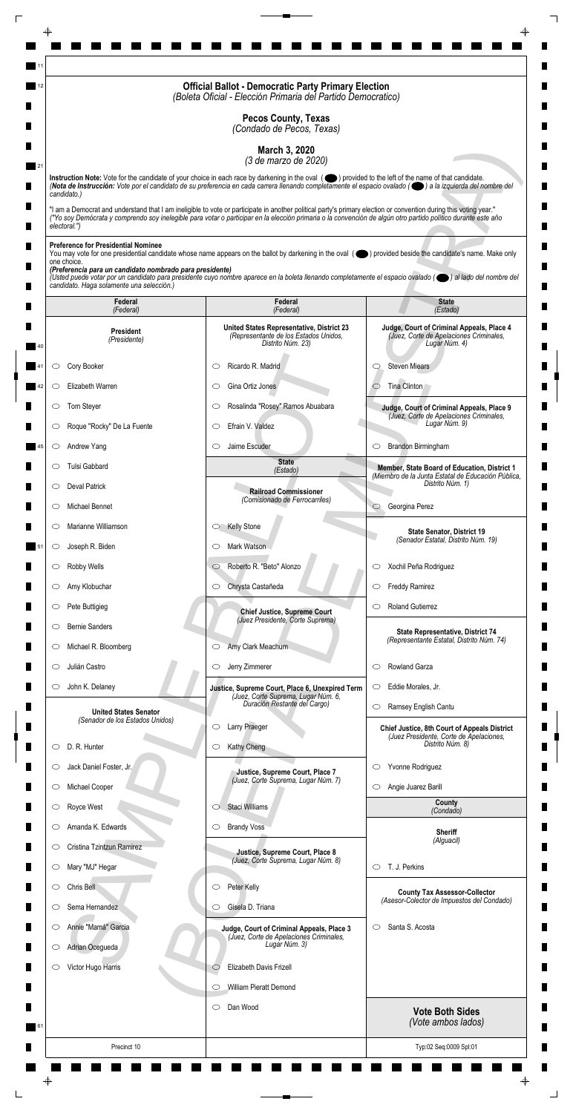|                                                                         | <b>Official Ballot - Democratic Party Primary Election</b><br>(Boleta Oficial - Elección Primaria del Partido Democratico)                                                                                                                                                                                                         |                                                                                                       |
|-------------------------------------------------------------------------|------------------------------------------------------------------------------------------------------------------------------------------------------------------------------------------------------------------------------------------------------------------------------------------------------------------------------------|-------------------------------------------------------------------------------------------------------|
|                                                                         | <b>Pecos County, Texas</b><br>(Condado de Pecos, Texas)                                                                                                                                                                                                                                                                            |                                                                                                       |
|                                                                         | March 3, 2020<br>(3 de marzo de 2020)                                                                                                                                                                                                                                                                                              |                                                                                                       |
|                                                                         | Instruction Note: Vote for the candidate of your choice in each race by darkening in the oval (O) provided to the left of the name of that candidate.<br>(Nota de Instrucción: Vote por el candidato de su preferencia en cada carrera llenando completamente el espacio ovalado ((e) a la izquierda del nombre del                |                                                                                                       |
| candidato.)                                                             |                                                                                                                                                                                                                                                                                                                                    |                                                                                                       |
| electoral.")                                                            | "I am a Democrat and understand that I am ineligible to vote or participate in another political party's primary election or convention during this voting year."<br>("Yo soy Demócrata y comprendo soy inelegible para votar o participar en la elección primaria o la convención de algún otro partido político durante este año |                                                                                                       |
| <b>Preference for Presidential Nominee</b>                              |                                                                                                                                                                                                                                                                                                                                    |                                                                                                       |
| one choice.<br>(Preferencia para un candidato nombrado para presidente) | You may vote for one presidential candidate whose name appears on the ballot by darkening in the oval (objetived beside the candidate's name. Make only                                                                                                                                                                            |                                                                                                       |
| candidato. Haga solamente una selección.)                               | (Usted puede votar por un candidato para presidente cuyo nombre aparece en la boleta llenando completamente el espacio ovalado (el al lado del nombre del                                                                                                                                                                          |                                                                                                       |
| Federal<br>(Federal)                                                    | Federal<br>(Federal)                                                                                                                                                                                                                                                                                                               | <b>State</b><br>(Estado)                                                                              |
| <b>President</b><br>(Presidente)                                        | United States Representative, District 23<br>(Representante de los Estados Unidos,<br>Distrito Núm. 23)                                                                                                                                                                                                                            | Judge, Court of Criminal Appeals, Place 4<br>(Juez, Corte de Apelaciones Criminales,<br>Lugar Núm. 4) |
| Cory Booker<br>O                                                        | Ricardo R. Madrid<br>C                                                                                                                                                                                                                                                                                                             | <b>Steven Miears</b><br>O                                                                             |
| Elizabeth Warren<br>O                                                   | Gina Ortiz Jones<br>O                                                                                                                                                                                                                                                                                                              | Tina Clinton                                                                                          |
| Tom Steyer                                                              | Rosalinda "Rosey" Ramos Abuabara                                                                                                                                                                                                                                                                                                   | Judge, Court of Criminal Appeals, Place 9                                                             |
| Roque "Rocky" De La Fuente<br>O                                         | Efrain V. Valdez<br>$\circlearrowright$                                                                                                                                                                                                                                                                                            | (Juez, Corte de Apelaciones Criminales,<br>Lugar Núm. 9)                                              |
| Andrew Yang<br>$\circ$                                                  | Jaime Escuder<br>$\circlearrowright$                                                                                                                                                                                                                                                                                               | Brandon Birmingham<br>$\circ$                                                                         |
| Tulsi Gabbard<br>O                                                      | <b>State</b><br>(Estado)                                                                                                                                                                                                                                                                                                           | Member, State Board of Education, District 1                                                          |
| <b>Deval Patrick</b><br>$\circ$                                         | <b>Railroad Commissioner</b>                                                                                                                                                                                                                                                                                                       | (Miembro de la Junta Estatal de Educación Pública,<br>Distrito Núm. 1)                                |
| Michael Bennet<br>O                                                     | (Comisionado de Ferrocarriles)                                                                                                                                                                                                                                                                                                     | Georgina Perez<br>$\circ$                                                                             |
| Marianne Williamson<br>$\circ$                                          | <b>Kelly Stone</b><br>$\circ$                                                                                                                                                                                                                                                                                                      | <b>State Senator, District 19</b>                                                                     |
| Joseph R. Biden<br>$\circ$                                              | Mark Watson<br>O                                                                                                                                                                                                                                                                                                                   | (Senador Estatal, Distrito Núm. 19)                                                                   |
| Robby Wells<br>$\circ$                                                  | Roberto R. "Beto" Alonzo<br>$\circ$                                                                                                                                                                                                                                                                                                | Xochil Peña Rodriguez<br>$\circ$                                                                      |
| Amy Klobuchar<br>O                                                      | Chrysta Castañeda<br>$\circ$                                                                                                                                                                                                                                                                                                       | <b>Freddy Ramirez</b><br>$\circ$                                                                      |
| Pete Buttigieg<br>$\circ$                                               | <b>Chief Justice, Supreme Court</b>                                                                                                                                                                                                                                                                                                | <b>Roland Gutierrez</b><br>O                                                                          |
| <b>Bernie Sanders</b><br>O                                              | (Juez Presidente, Corte Suprema)                                                                                                                                                                                                                                                                                                   | State Representative, District 74                                                                     |
| Michael R. Bloomberg<br>$\cup$                                          | Amy Clark Meachum<br>$\circ$                                                                                                                                                                                                                                                                                                       | (Representante Estatal, Distrito Núm. 74)                                                             |
| Julián Castro<br>O                                                      | Jerry Zimmerer<br>$\circ$                                                                                                                                                                                                                                                                                                          | Rowland Garza<br>$\circlearrowright$                                                                  |
| John K. Delaney<br>$\circ$                                              | Justice, Supreme Court, Place 6, Unexpired Term<br>(Juez, Corte Suprema, Lugar Núm. 6,                                                                                                                                                                                                                                             | Eddie Morales, Jr.<br>$\circ$                                                                         |
| <b>United States Senator</b><br>(Senador de los Estados Unidos)         | Duración Restante del Cargo)                                                                                                                                                                                                                                                                                                       | Ramsey English Cantu<br>$\circlearrowright$                                                           |
|                                                                         | Larry Praeger<br>O                                                                                                                                                                                                                                                                                                                 | <b>Chief Justice, 8th Court of Appeals District</b><br>(Juez Presidente, Corte de Apelaciones,        |
| D. R. Hunter<br>O                                                       | Kathy Cheng<br>$\circ$                                                                                                                                                                                                                                                                                                             | Distrito Núm. 8)                                                                                      |
| Jack Daniel Foster, Jr.<br>O                                            | Justice, Supreme Court, Place 7<br>(Juez, Corte Suprema, Lugar Núm. 7)                                                                                                                                                                                                                                                             | Yvonne Rodriguez<br>$\circ$                                                                           |
| Michael Cooper<br>$\circ$<br>Royce West                                 | Staci Williams                                                                                                                                                                                                                                                                                                                     | Angie Juarez Barill<br>$\circ$<br>County                                                              |
| Amanda K. Edwards<br>O                                                  | <b>Brandy Voss</b><br>$\circ$                                                                                                                                                                                                                                                                                                      | (Condado)                                                                                             |
| Cristina Tzintzun Ramirez<br>$\circ$                                    |                                                                                                                                                                                                                                                                                                                                    | <b>Sheriff</b><br>(Alguacil)                                                                          |
| Mary "MJ" Hegar<br>$\circ$                                              | Justice, Supreme Court, Place 8<br>(Juez, Corte Suprema, Lugar Núm. 8)                                                                                                                                                                                                                                                             | T. J. Perkins<br>$\circ$                                                                              |
| Chris Bell<br>O                                                         | Peter Kelly<br>$\circ$                                                                                                                                                                                                                                                                                                             | <b>County Tax Assessor-Collector</b>                                                                  |
| Sema Hernandez<br>O                                                     | Gisela D. Triana<br>O                                                                                                                                                                                                                                                                                                              | (Asesor-Colector de Impuestos del Condado)                                                            |
| Annie "Mamá" Garcia<br>$\circ$                                          | Judge, Court of Criminal Appeals, Place 3                                                                                                                                                                                                                                                                                          | Santa S. Acosta<br>$\circ$                                                                            |
| Adrian Ocegueda<br>$\circ$                                              | (Juez, Corte de Apelaciones Criminales,<br>Lugar Núm. 3)                                                                                                                                                                                                                                                                           |                                                                                                       |
| Victor Hugo Harris<br>O                                                 | Elizabeth Davis Frizell<br>$\circlearrowright$                                                                                                                                                                                                                                                                                     |                                                                                                       |
|                                                                         | William Pieratt Demond<br>$\circlearrowright$                                                                                                                                                                                                                                                                                      |                                                                                                       |
|                                                                         | Dan Wood<br>$\circ$                                                                                                                                                                                                                                                                                                                | <b>Vote Both Sides</b>                                                                                |
|                                                                         |                                                                                                                                                                                                                                                                                                                                    | (Vote ambos lados)                                                                                    |
| Precinct 10                                                             |                                                                                                                                                                                                                                                                                                                                    | Typ:02 Seq:0009 Spl:01                                                                                |